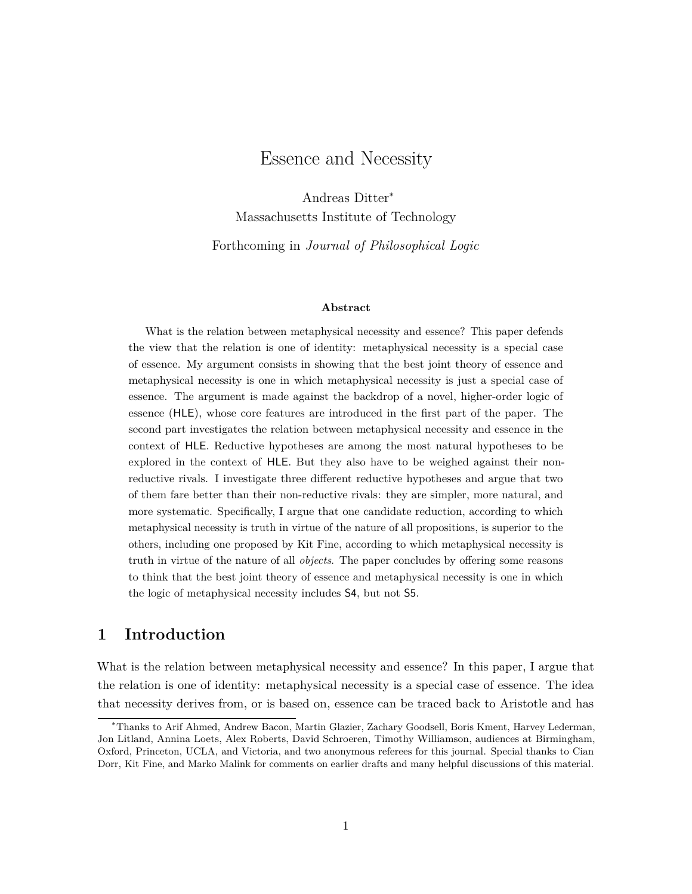# Essence and Necessity

Andreas Ditter<sup>∗</sup> Massachusetts Institute of Technology

Forthcoming in *Journal of Philosophical Logic*

#### **Abstract**

What is the relation between metaphysical necessity and essence? This paper defends the view that the relation is one of identity: metaphysical necessity is a special case of essence. My argument consists in showing that the best joint theory of essence and metaphysical necessity is one in which metaphysical necessity is just a special case of essence. The argument is made against the backdrop of a novel, higher-order logic of essence (HLE), whose core features are introduced in the first part of the paper. The second part investigates the relation between metaphysical necessity and essence in the context of HLE. Reductive hypotheses are among the most natural hypotheses to be explored in the context of HLE. But they also have to be weighed against their nonreductive rivals. I investigate three different reductive hypotheses and argue that two of them fare better than their non-reductive rivals: they are simpler, more natural, and more systematic. Specifically, I argue that one candidate reduction, according to which metaphysical necessity is truth in virtue of the nature of all propositions, is superior to the others, including one proposed by Kit Fine, according to which metaphysical necessity is truth in virtue of the nature of all *objects*. The paper concludes by offering some reasons to think that the best joint theory of essence and metaphysical necessity is one in which the logic of metaphysical necessity includes S4, but not S5.

## **1 Introduction**

What is the relation between metaphysical necessity and essence? In this paper, I argue that the relation is one of identity: metaphysical necessity is a special case of essence. The idea that necessity derives from, or is based on, essence can be traced back to Aristotle and has

<sup>∗</sup>Thanks to Arif Ahmed, Andrew Bacon, Martin Glazier, Zachary Goodsell, Boris Kment, Harvey Lederman, Jon Litland, Annina Loets, Alex Roberts, David Schroeren, Timothy Williamson, audiences at Birmingham, Oxford, Princeton, UCLA, and Victoria, and two anonymous referees for this journal. Special thanks to Cian Dorr, Kit Fine, and Marko Malink for comments on earlier drafts and many helpful discussions of this material.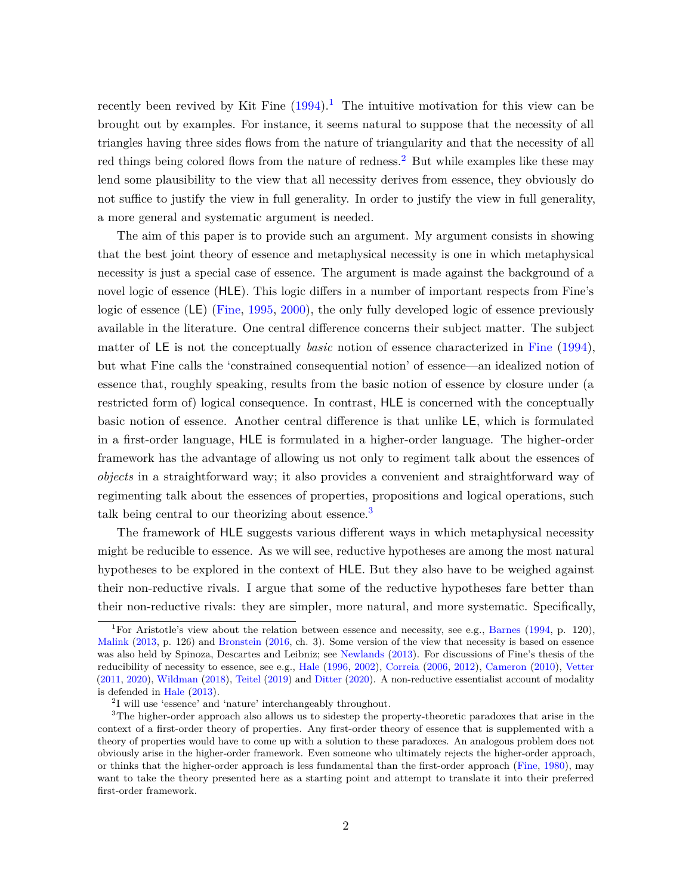recently been revived by Kit Fine  $(1994)^{1}$  $(1994)^{1}$  $(1994)^{1}$  $(1994)^{1}$ . The intuitive motivation for this view can be brought out by examples. For instance, it seems natural to suppose that the necessity of all triangles having three sides flows from the nature of triangularity and that the necessity of all red things being colored flows from the nature of redness.<sup>[2](#page-1-1)</sup> But while examples like these may lend some plausibility to the view that all necessity derives from essence, they obviously do not suffice to justify the view in full generality. In order to justify the view in full generality, a more general and systematic argument is needed.

The aim of this paper is to provide such an argument. My argument consists in showing that the best joint theory of essence and metaphysical necessity is one in which metaphysical necessity is just a special case of essence. The argument is made against the background of a novel logic of essence (HLE). This logic differs in a number of important respects from Fine's logic of essence (LE) [\(Fine,](#page-39-1) [1995,](#page-39-1) [2000\)](#page-39-2), the only fully developed logic of essence previously available in the literature. One central difference concerns their subject matter. The subject matter of LE is not the conceptually *basic* notion of essence characterized in [Fine](#page-39-0) [\(1994\)](#page-39-0), but what Fine calls the 'constrained consequential notion' of essence—an idealized notion of essence that, roughly speaking, results from the basic notion of essence by closure under (a restricted form of) logical consequence. In contrast, HLE is concerned with the conceptually basic notion of essence. Another central difference is that unlike LE, which is formulated in a first-order language, HLE is formulated in a higher-order language. The higher-order framework has the advantage of allowing us not only to regiment talk about the essences of *objects* in a straightforward way; it also provides a convenient and straightforward way of regimenting talk about the essences of properties, propositions and logical operations, such talk being central to our theorizing about essence.<sup>[3](#page-1-2)</sup>

The framework of HLE suggests various different ways in which metaphysical necessity might be reducible to essence. As we will see, reductive hypotheses are among the most natural hypotheses to be explored in the context of HLE. But they also have to be weighed against their non-reductive rivals. I argue that some of the reductive hypotheses fare better than their non-reductive rivals: they are simpler, more natural, and more systematic. Specifically,

<span id="page-1-0"></span><sup>&</sup>lt;sup>1</sup>For Aristotle's view about the relation between essence and necessity, see e.g., [Barnes](#page-38-0) [\(1994,](#page-38-0) p. 120), [Malink](#page-40-0) [\(2013,](#page-40-0) p. 126) and [Bronstein](#page-38-1) [\(2016,](#page-38-1) ch. 3). Some version of the view that necessity is based on essence was also held by Spinoza, Descartes and Leibniz; see [Newlands](#page-40-1) [\(2013\)](#page-40-1). For discussions of Fine's thesis of the reducibility of necessity to essence, see e.g., [Hale](#page-39-3) [\(1996,](#page-39-3) [2002\)](#page-39-4), [Correia](#page-38-2) [\(2006,](#page-38-2) [2012\)](#page-38-3), [Cameron](#page-38-4) [\(2010\)](#page-38-4), [Vetter](#page-41-0) [\(2011,](#page-41-0) [2020\)](#page-41-1), [Wildman](#page-41-2) [\(2018\)](#page-41-2), [Teitel](#page-41-3) [\(2019\)](#page-41-3) and [Ditter](#page-38-5) [\(2020\)](#page-38-5). A non-reductive essentialist account of modality is defended in [Hale](#page-39-5) [\(2013\)](#page-39-5).

<span id="page-1-2"></span><span id="page-1-1"></span><sup>2</sup> I will use 'essence' and 'nature' interchangeably throughout.

<sup>&</sup>lt;sup>3</sup>The higher-order approach also allows us to sidestep the property-theoretic paradoxes that arise in the context of a first-order theory of properties. Any first-order theory of essence that is supplemented with a theory of properties would have to come up with a solution to these paradoxes. An analogous problem does not obviously arise in the higher-order framework. Even someone who ultimately rejects the higher-order approach, or thinks that the higher-order approach is less fundamental than the first-order approach [\(Fine,](#page-39-6) [1980\)](#page-39-6), may want to take the theory presented here as a starting point and attempt to translate it into their preferred first-order framework.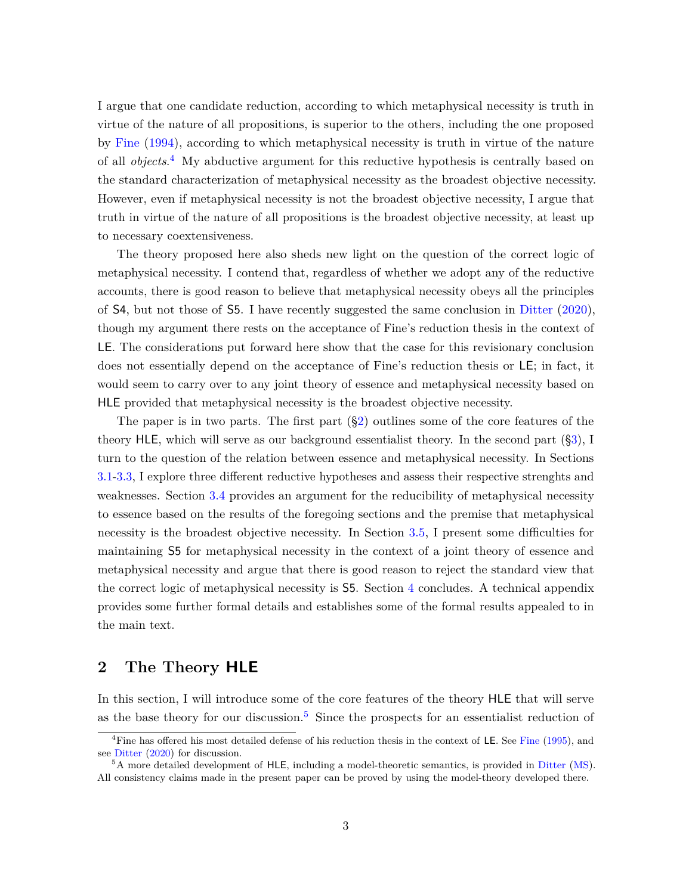I argue that one candidate reduction, according to which metaphysical necessity is truth in virtue of the nature of all propositions, is superior to the others, including the one proposed by [Fine](#page-39-0) [\(1994\)](#page-39-0), according to which metaphysical necessity is truth in virtue of the nature of all *objects*. [4](#page-2-0) My abductive argument for this reductive hypothesis is centrally based on the standard characterization of metaphysical necessity as the broadest objective necessity. However, even if metaphysical necessity is not the broadest objective necessity, I argue that truth in virtue of the nature of all propositions is the broadest objective necessity, at least up to necessary coextensiveness.

The theory proposed here also sheds new light on the question of the correct logic of metaphysical necessity. I contend that, regardless of whether we adopt any of the reductive accounts, there is good reason to believe that metaphysical necessity obeys all the principles of S4, but not those of S5. I have recently suggested the same conclusion in [Ditter](#page-38-5) [\(2020\)](#page-38-5), though my argument there rests on the acceptance of Fine's reduction thesis in the context of LE. The considerations put forward here show that the case for this revisionary conclusion does not essentially depend on the acceptance of Fine's reduction thesis or LE; in fact, it would seem to carry over to any joint theory of essence and metaphysical necessity based on HLE provided that metaphysical necessity is the broadest objective necessity.

The paper is in two parts. The first part ([§2\)](#page-2-1) outlines some of the core features of the theory HLE, which will serve as our background essentialist theory. In the second part ([§3\)](#page-15-0), I turn to the question of the relation between essence and metaphysical necessity. In Sections [3.1](#page-17-0)[-3.3,](#page-22-0) I explore three different reductive hypotheses and assess their respective strenghts and weaknesses. Section [3.4](#page-25-0) provides an argument for the reducibility of metaphysical necessity to essence based on the results of the foregoing sections and the premise that metaphysical necessity is the broadest objective necessity. In Section [3.5,](#page-29-0) I present some difficulties for maintaining S5 for metaphysical necessity in the context of a joint theory of essence and metaphysical necessity and argue that there is good reason to reject the standard view that the correct logic of metaphysical necessity is S5. Section [4](#page-33-0) concludes. A technical appendix provides some further formal details and establishes some of the formal results appealed to in the main text.

## <span id="page-2-1"></span>**2 The Theory HLE**

In this section, I will introduce some of the core features of the theory HLE that will serve as the base theory for our discussion.<sup>[5](#page-2-2)</sup> Since the prospects for an essentialist reduction of

<span id="page-2-0"></span><sup>&</sup>lt;sup>4</sup>[Fine](#page-39-1) has offered his most detailed defense of his reduction thesis in the context of LE. See Fine [\(1995\)](#page-39-1), and see [Ditter](#page-38-5) [\(2020\)](#page-38-5) for discussion.

<span id="page-2-2"></span><sup>5</sup>A more detailed development of HLE, including a model-theoretic semantics, is provided in [Ditter](#page-38-6) [\(MS\)](#page-38-6). All consistency claims made in the present paper can be proved by using the model-theory developed there.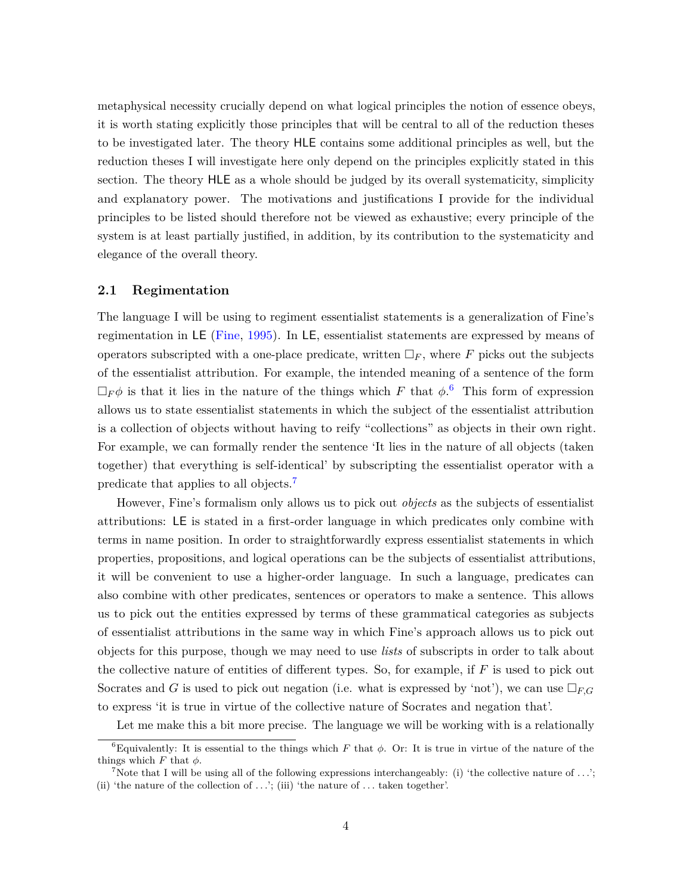metaphysical necessity crucially depend on what logical principles the notion of essence obeys, it is worth stating explicitly those principles that will be central to all of the reduction theses to be investigated later. The theory HLE contains some additional principles as well, but the reduction theses I will investigate here only depend on the principles explicitly stated in this section. The theory HLE as a whole should be judged by its overall systematicity, simplicity and explanatory power. The motivations and justifications I provide for the individual principles to be listed should therefore not be viewed as exhaustive; every principle of the system is at least partially justified, in addition, by its contribution to the systematicity and elegance of the overall theory.

#### **2.1 Regimentation**

The language I will be using to regiment essentialist statements is a generalization of Fine's regimentation in LE [\(Fine,](#page-39-1) [1995\)](#page-39-1). In LE, essentialist statements are expressed by means of operators subscripted with a one-place predicate, written  $\Box_F$ , where F picks out the subjects of the essentialist attribution. For example, the intended meaning of a sentence of the form  $\Box_F \phi$  is that it lies in the nature of the things which *F* that  $\phi$ .<sup>[6](#page-3-0)</sup> This form of expression allows us to state essentialist statements in which the subject of the essentialist attribution is a collection of objects without having to reify "collections" as objects in their own right. For example, we can formally render the sentence 'It lies in the nature of all objects (taken together) that everything is self-identical' by subscripting the essentialist operator with a predicate that applies to all objects.[7](#page-3-1)

However, Fine's formalism only allows us to pick out *objects* as the subjects of essentialist attributions: LE is stated in a first-order language in which predicates only combine with terms in name position. In order to straightforwardly express essentialist statements in which properties, propositions, and logical operations can be the subjects of essentialist attributions, it will be convenient to use a higher-order language. In such a language, predicates can also combine with other predicates, sentences or operators to make a sentence. This allows us to pick out the entities expressed by terms of these grammatical categories as subjects of essentialist attributions in the same way in which Fine's approach allows us to pick out objects for this purpose, though we may need to use *lists* of subscripts in order to talk about the collective nature of entities of different types. So, for example, if *F* is used to pick out Socrates and *G* is used to pick out negation (i.e. what is expressed by 'not'), we can use  $\Box_{F,G}$ to express 'it is true in virtue of the collective nature of Socrates and negation that'.

<span id="page-3-0"></span>Let me make this a bit more precise. The language we will be working with is a relationally

<sup>&</sup>lt;sup>6</sup>Equivalently: It is essential to the things which *F* that  $\phi$ . Or: It is true in virtue of the nature of the things which  $F$  that  $\phi$ .

<span id="page-3-1"></span><sup>&</sup>lt;sup>7</sup>Note that I will be using all of the following expressions interchangeably: (i) 'the collective nature of  $\ldots$ '; (ii) 'the nature of the collection of *. . .*'; (iii) 'the nature of *. . .* taken together'.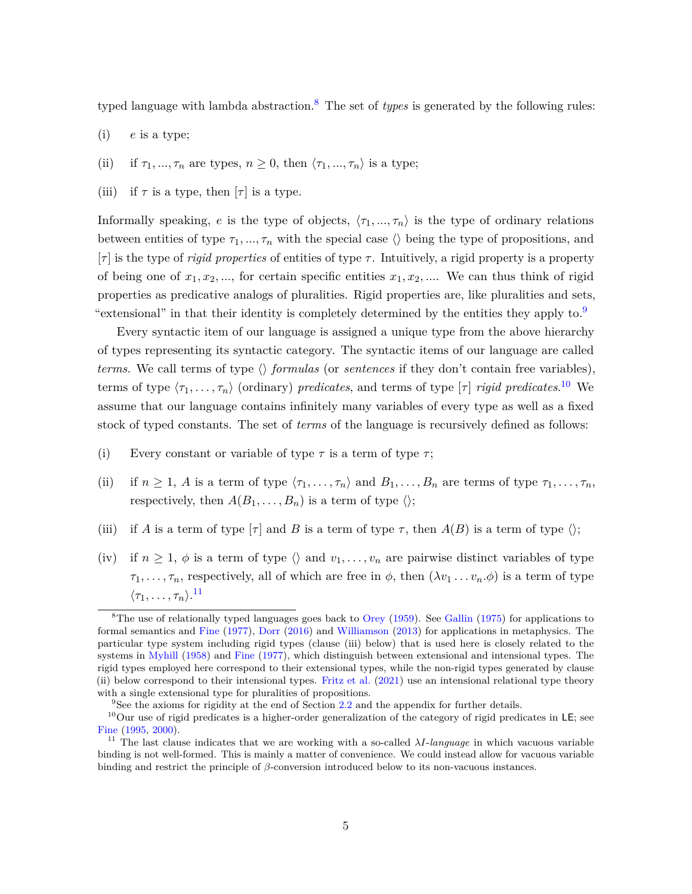typed language with lambda abstraction.[8](#page-4-0) The set of *types* is generated by the following rules:

- (i) *e* is a type;
- (ii) if  $\tau_1, ..., \tau_n$  are types,  $n \geq 0$ , then  $\langle \tau_1, ..., \tau_n \rangle$  is a type;
- (iii) if  $\tau$  is a type, then  $[\tau]$  is a type.

Informally speaking, *e* is the type of objects,  $\langle \tau_1, ..., \tau_n \rangle$  is the type of ordinary relations between entities of type  $\tau_1, ..., \tau_n$  with the special case  $\langle \rangle$  being the type of propositions, and [*τ* ] is the type of *rigid properties* of entities of type *τ* . Intuitively, a rigid property is a property of being one of  $x_1, x_2, \ldots$ , for certain specific entities  $x_1, x_2, \ldots$ . We can thus think of rigid properties as predicative analogs of pluralities. Rigid properties are, like pluralities and sets, "extensional" in that their identity is completely determined by the entities they apply to.

Every syntactic item of our language is assigned a unique type from the above hierarchy of types representing its syntactic category. The syntactic items of our language are called *terms*. We call terms of type  $\langle \rangle$  *formulas* (or *sentences* if they don't contain free variables), terms of type  $\langle \tau_1, \ldots, \tau_n \rangle$  (ordinary) *predicates*, and terms of type  $[\tau]$  *rigid predicates*.<sup>[10](#page-4-2)</sup> We assume that our language contains infinitely many variables of every type as well as a fixed stock of typed constants. The set of *terms* of the language is recursively defined as follows:

- (i) Every constant or variable of type  $\tau$  is a term of type  $\tau$ ;
- (ii) if  $n \geq 1$ , *A* is a term of type  $\langle \tau_1, \ldots, \tau_n \rangle$  and  $B_1, \ldots, B_n$  are terms of type  $\tau_1, \ldots, \tau_n$ , respectively, then  $A(B_1, \ldots, B_n)$  is a term of type  $\langle \rangle$ ;
- (iii) if *A* is a term of type  $\lceil \tau \rceil$  and *B* is a term of type  $\tau$ , then  $A(B)$  is a term of type  $\langle \rangle$ ;
- (iv) if  $n \geq 1$ ,  $\phi$  is a term of type  $\langle \rangle$  and  $v_1, \ldots, v_n$  are pairwise distinct variables of type  $\tau_1, \ldots, \tau_n$ , respectively, all of which are free in  $\phi$ , then  $(\lambda v_1 \ldots v_n \phi)$  is a term of type  $\langle \tau_1, \ldots, \tau_n \rangle$ .<sup>[11](#page-4-3)</sup>

<span id="page-4-0"></span> ${}^{8}$ The use of relationally typed languages goes back to [Orey](#page-40-2) [\(1959\)](#page-40-2). See [Gallin](#page-39-7) [\(1975\)](#page-39-7) for applications to formal semantics and [Fine](#page-39-8) [\(1977\)](#page-39-8), [Dorr](#page-38-7) [\(2016\)](#page-38-7) and [Williamson](#page-41-4) [\(2013\)](#page-41-4) for applications in metaphysics. The particular type system including rigid types (clause (iii) below) that is used here is closely related to the systems in [Myhill](#page-40-3) [\(1958\)](#page-40-3) and [Fine](#page-39-8) [\(1977\)](#page-39-8), which distinguish between extensional and intensional types. The rigid types employed here correspond to their extensional types, while the non-rigid types generated by clause (ii) below correspond to their intensional types. [Fritz et al.](#page-39-9) [\(2021\)](#page-39-9) use an intensional relational type theory with a single extensional type for pluralities of propositions.

<span id="page-4-2"></span><span id="page-4-1"></span><sup>9</sup>See the axioms for rigidity at the end of Section [2.2](#page-7-0) and the appendix for further details.

<sup>&</sup>lt;sup>10</sup>Our use of rigid predicates is a higher-order generalization of the category of rigid predicates in LE; see [Fine](#page-39-1) [\(1995,](#page-39-1) [2000\)](#page-39-2).

<span id="page-4-3"></span><sup>&</sup>lt;sup>11</sup> The last clause indicates that we are working with a so-called  $\lambda I$ -*language* in which vacuous variable binding is not well-formed. This is mainly a matter of convenience. We could instead allow for vacuous variable binding and restrict the principle of *β*-conversion introduced below to its non-vacuous instances.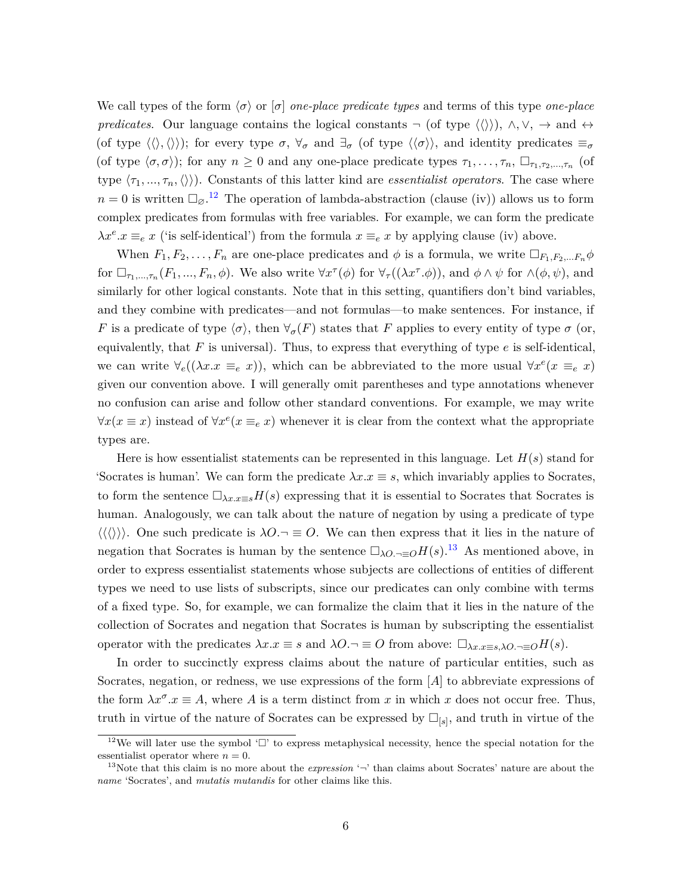We call types of the form  $\langle \sigma \rangle$  or  $\sigma$  *one-place predicate types* and terms of this type *one-place predicates*. Our language contains the logical constants  $\neg$  (of type  $\langle \langle \rangle \rangle$ ),  $\land$ ,  $\lor$ ,  $\rightarrow$  and  $\leftrightarrow$ (of type  $\langle \langle \rangle, \langle \rangle \rangle$ ); for every type  $\sigma, \forall_{\sigma}$  and  $\exists_{\sigma}$  (of type  $\langle \langle \sigma \rangle \rangle$ , and identity predicates  $\equiv_{\sigma}$ (of type  $\langle \sigma, \sigma \rangle$ ); for any  $n \geq 0$  and any one-place predicate types  $\tau_1, \ldots, \tau_n$ ,  $\Box_{\tau_1, \tau_2, \ldots, \tau_n}$  (of type  $\langle \tau_1, ..., \tau_n, \langle \rangle$ ). Constants of this latter kind are *essentialist operators*. The case where  $n = 0$  is written  $\Box_{\emptyset}$ .<sup>[12](#page-5-0)</sup> The operation of lambda-abstraction (clause (iv)) allows us to form complex predicates from formulas with free variables. For example, we can form the predicate  $\lambda x^e \cdot x \equiv_e x$  ('is self-identical') from the formula  $x \equiv_e x$  by applying clause (iv) above.

When  $F_1, F_2, \ldots, F_n$  are one-place predicates and  $\phi$  is a formula, we write  $\Box_{F_1, F_2, \ldots, F_n} \phi$ for  $\Box_{\tau_1,\ldots,\tau_n}(F_1,\ldots,F_n,\phi)$ . We also write  $\forall x^{\tau}(\phi)$  for  $\forall_{\tau}((\lambda x^{\tau}.\phi))$ , and  $\phi \wedge \psi$  for  $\wedge(\phi,\psi)$ , and similarly for other logical constants. Note that in this setting, quantifiers don't bind variables, and they combine with predicates—and not formulas—to make sentences. For instance, if *F* is a predicate of type  $\langle \sigma \rangle$ , then  $\forall_{\sigma}(F)$  states that *F* applies to every entity of type  $\sigma$  (or, equivalently, that  $F$  is universal). Thus, to express that everything of type  $e$  is self-identical, we can write  $\forall_e((\lambda x \cdot x \equiv_e x))$ , which can be abbreviated to the more usual  $\forall x^e(x \equiv_e x)$ given our convention above. I will generally omit parentheses and type annotations whenever no confusion can arise and follow other standard conventions. For example, we may write  $\forall x(x \equiv x)$  instead of  $\forall x^e(x \equiv_e x)$  whenever it is clear from the context what the appropriate types are.

Here is how essentialist statements can be represented in this language. Let *H*(*s*) stand for 'Socrates is human'. We can form the predicate  $\lambda x.x \equiv s$ , which invariably applies to Socrates, to form the sentence  $\Box_{\lambda x.x=s}H(s)$  expressing that it is essential to Socrates that Socrates is human. Analogously, we can talk about the nature of negation by using a predicate of type  $\langle\langle\langle\rangle\rangle\rangle$ . One such predicate is  $\lambda O.\neg \equiv O$ . We can then express that it lies in the nature of negation that Socrates is human by the sentence  $\Box_{\lambda O,\neg\equiv O}H(s)$ .<sup>[13](#page-5-1)</sup> As mentioned above, in order to express essentialist statements whose subjects are collections of entities of different types we need to use lists of subscripts, since our predicates can only combine with terms of a fixed type. So, for example, we can formalize the claim that it lies in the nature of the collection of Socrates and negation that Socrates is human by subscripting the essentialist operator with the predicates  $λx.x ≡ s$  and  $λO.¬ ≡ O$  from above:  $\square_{λx.x≡s,λO.¬≡O}H(s)$ .

In order to succinctly express claims about the nature of particular entities, such as Socrates, negation, or redness, we use expressions of the form [*A*] to abbreviate expressions of the form  $\lambda x^{\sigma}$ .  $x \equiv A$ , where *A* is a term distinct from *x* in which *x* does not occur free. Thus, truth in virtue of the nature of Socrates can be expressed by  $\Box_{[s]}$ , and truth in virtue of the

<span id="page-5-0"></span><sup>&</sup>lt;sup>12</sup>We will later use the symbol ' $\Box$ ' to express metaphysical necessity, hence the special notation for the essentialist operator where  $n = 0$ .

<span id="page-5-1"></span><sup>&</sup>lt;sup>13</sup>Note that this claim is no more about the *expression*  $\rightarrow$  than claims about Socrates' nature are about the *name* 'Socrates', and *mutatis mutandis* for other claims like this.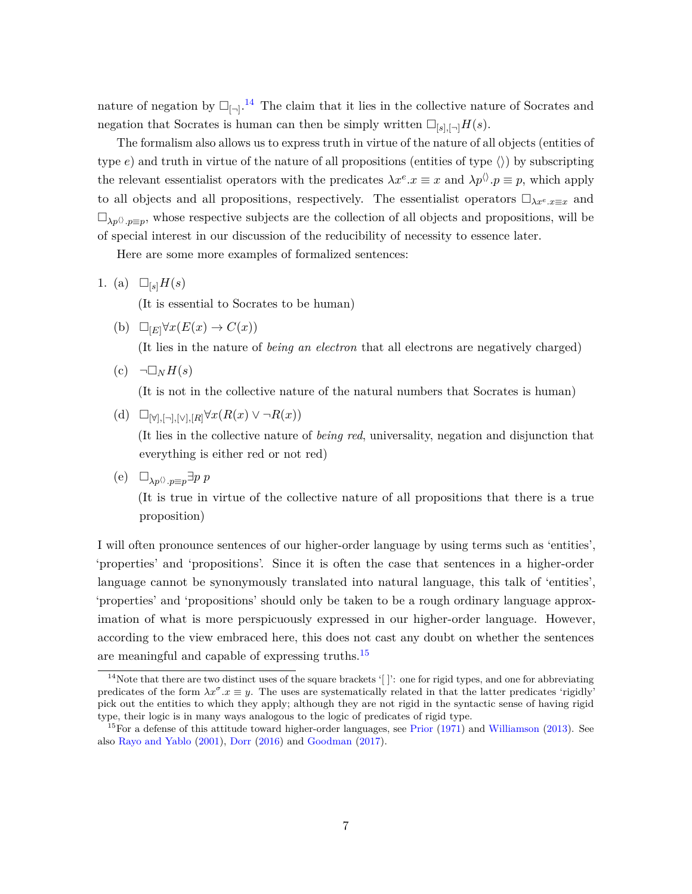nature of negation by  $\Box_{\Box}$ <sup>[14](#page-6-0)</sup> The claim that it lies in the collective nature of Socrates and negation that Socrates is human can then be simply written  $\Box_{[s], [\neg]} H(s)$ .

The formalism also allows us to express truth in virtue of the nature of all objects (entities of type  $e$ ) and truth in virtue of the nature of all propositions (entities of type  $\langle \rangle$ ) by subscripting the relevant essentialist operators with the predicates  $\lambda x^e \cdot x \equiv x$  and  $\lambda p^{\langle \rangle} \cdot p \equiv p$ , which apply to all objects and all propositions, respectively. The essentialist operators  $\Box_{\lambda x^e.x\equiv x}$  and  $\Box_{\lambda p}$ , whose respective subjects are the collection of all objects and propositions, will be of special interest in our discussion of the reducibility of necessity to essence later.

Here are some more examples of formalized sentences:

1. (a)  $\Box_{s}H(s)$ 

(It is essential to Socrates to be human)

(b)  $\Box_{[E]}\forall x(E(x) \rightarrow C(x))$ 

(It lies in the nature of *being an electron* that all electrons are negatively charged)

 $(c)$   $\neg \Box_N H(s)$ 

(It is not in the collective nature of the natural numbers that Socrates is human)

(d)  $\Box_{\forall}$ *,*[¬*]*,[∨*]*,[*R*] $\forall x(R(x) \vee \neg R(x))$ 

(It lies in the collective nature of *being red*, universality, negation and disjunction that everything is either red or not red)

(e)  $\Box_{\lambda p} \otimes_{p \equiv p} \exists p \ p$ 

(It is true in virtue of the collective nature of all propositions that there is a true proposition)

I will often pronounce sentences of our higher-order language by using terms such as 'entities', 'properties' and 'propositions'. Since it is often the case that sentences in a higher-order language cannot be synonymously translated into natural language, this talk of 'entities', 'properties' and 'propositions' should only be taken to be a rough ordinary language approximation of what is more perspicuously expressed in our higher-order language. However, according to the view embraced here, this does not cast any doubt on whether the sentences are meaningful and capable of expressing truths.[15](#page-6-1)

<span id="page-6-0"></span><sup>&</sup>lt;sup>14</sup>Note that there are two distinct uses of the square brackets '[]': one for rigid types, and one for abbreviating predicates of the form  $\lambda x^{\sigma}$ .*x* = *y*. The uses are systematically related in that the latter predicates 'rigidly' pick out the entities to which they apply; although they are not rigid in the syntactic sense of having rigid type, their logic is in many ways analogous to the logic of predicates of rigid type.

<span id="page-6-1"></span><sup>&</sup>lt;sup>15</sup>For a defense of this attitude toward higher-order languages, see [Prior](#page-40-4)  $(1971)$  and [Williamson](#page-41-4) [\(2013\)](#page-41-4). See also [Rayo and Yablo](#page-40-5) [\(2001\)](#page-40-5), [Dorr](#page-38-7) [\(2016\)](#page-38-7) and [Goodman](#page-39-10) [\(2017\)](#page-39-10).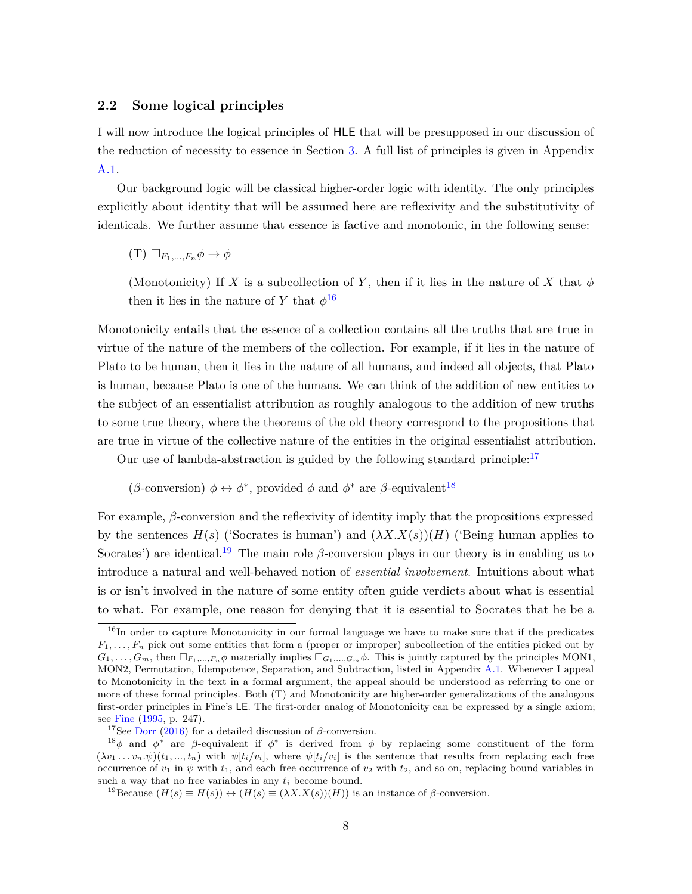#### <span id="page-7-0"></span>**2.2 Some logical principles**

I will now introduce the logical principles of HLE that will be presupposed in our discussion of the reduction of necessity to essence in Section [3.](#page-15-0) A full list of principles is given in Appendix [A.1.](#page-33-1)

Our background logic will be classical higher-order logic with identity. The only principles explicitly about identity that will be assumed here are reflexivity and the substitutivity of identicals. We further assume that essence is factive and monotonic, in the following sense:

 $(T) \Box_{F_1,...,F_n} \phi \rightarrow \phi$ 

(Monotonicity) If *X* is a subcollection of *Y*, then if it lies in the nature of *X* that  $\phi$ then it lies in the nature of *Y* that  $\phi^{16}$  $\phi^{16}$  $\phi^{16}$ 

Monotonicity entails that the essence of a collection contains all the truths that are true in virtue of the nature of the members of the collection. For example, if it lies in the nature of Plato to be human, then it lies in the nature of all humans, and indeed all objects, that Plato is human, because Plato is one of the humans. We can think of the addition of new entities to the subject of an essentialist attribution as roughly analogous to the addition of new truths to some true theory, where the theorems of the old theory correspond to the propositions that are true in virtue of the collective nature of the entities in the original essentialist attribution.

Our use of lambda-abstraction is guided by the following standard principle: $17$ 

### (*β*-conversion)  $\phi \leftrightarrow \phi^*$ , provided  $\phi$  and  $\phi^*$  are *β*-equivalent<sup>[18](#page-7-3)</sup>

For example, *β*-conversion and the reflexivity of identity imply that the propositions expressed by the sentences  $H(s)$  ('Socrates is human') and  $(\lambda X. X(s))(H)$  ('Being human applies to Socrates') are identical.<sup>[19](#page-7-4)</sup> The main role  $\beta$ -conversion plays in our theory is in enabling us to introduce a natural and well-behaved notion of *essential involvement*. Intuitions about what is or isn't involved in the nature of some entity often guide verdicts about what is essential to what. For example, one reason for denying that it is essential to Socrates that he be a

<span id="page-7-4"></span><sup>19</sup>Because  $(H(s) \equiv H(s)) \leftrightarrow (H(s) \equiv (\lambda X.X(s))(H))$  is an instance of *β*-conversion.

<span id="page-7-1"></span><sup>&</sup>lt;sup>16</sup>In order to capture Monotonicity in our formal language we have to make sure that if the predicates *F*1*, . . . , F<sup>n</sup>* pick out some entities that form a (proper or improper) subcollection of the entities picked out by  $G_1, \ldots, G_m$ , then  $\Box_{F_1, \ldots, F_n} \phi$  materially implies  $\Box_{G_1, \ldots, G_m} \phi$ . This is jointly captured by the principles MON1, MON2, Permutation, Idempotence, Separation, and Subtraction, listed in Appendix [A.1.](#page-33-1) Whenever I appeal to Monotonicity in the text in a formal argument, the appeal should be understood as referring to one or more of these formal principles. Both (T) and Monotonicity are higher-order generalizations of the analogous first-order principles in Fine's LE. The first-order analog of Monotonicity can be expressed by a single axiom; see [Fine](#page-39-1) [\(1995,](#page-39-1) p. 247).

<span id="page-7-3"></span><span id="page-7-2"></span><sup>&</sup>lt;sup>17</sup>See [Dorr](#page-38-7) [\(2016\)](#page-38-7) for a detailed discussion of  $\beta$ -conversion.

<sup>&</sup>lt;sup>18</sup> $\phi$  and  $\phi^*$  are *β*-equivalent if  $\phi^*$  is derived from  $\phi$  by replacing some constituent of the form  $(\lambda v_1 \dots v_n \psi)(t_1, ..., t_n)$  with  $\psi[t_i/v_i]$ , where  $\psi[t_i/v_i]$  is the sentence that results from replacing each free occurrence of  $v_1$  in  $\psi$  with  $t_1$ , and each free occurrence of  $v_2$  with  $t_2$ , and so on, replacing bound variables in such a way that no free variables in any *t<sup>i</sup>* become bound.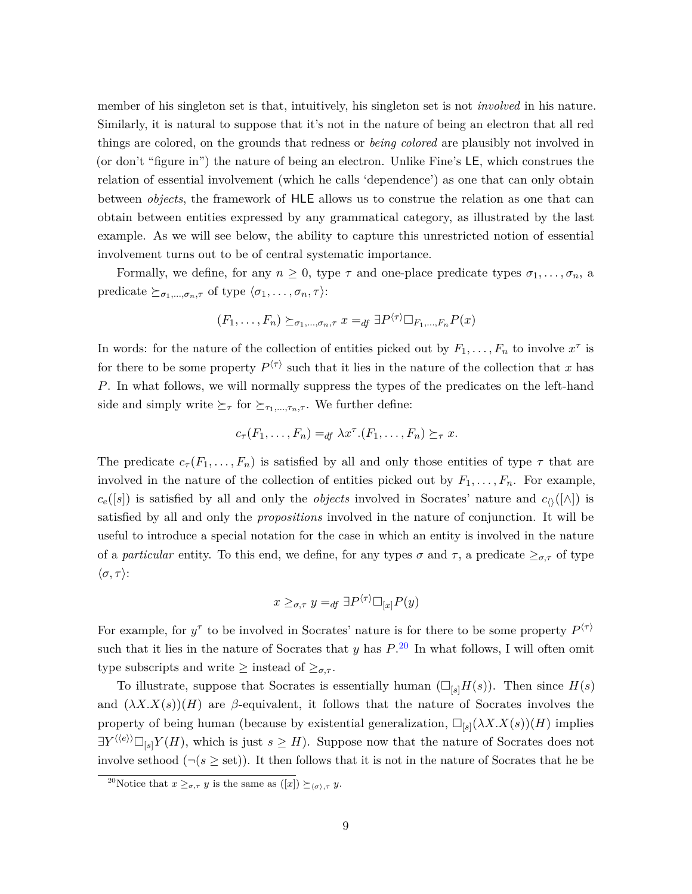member of his singleton set is that, intuitively, his singleton set is not *involved* in his nature. Similarly, it is natural to suppose that it's not in the nature of being an electron that all red things are colored, on the grounds that redness or *being colored* are plausibly not involved in (or don't "figure in") the nature of being an electron. Unlike Fine's LE, which construes the relation of essential involvement (which he calls 'dependence') as one that can only obtain between *objects*, the framework of HLE allows us to construe the relation as one that can obtain between entities expressed by any grammatical category, as illustrated by the last example. As we will see below, the ability to capture this unrestricted notion of essential involvement turns out to be of central systematic importance.

Formally, we define, for any  $n \geq 0$ , type  $\tau$  and one-place predicate types  $\sigma_1, \ldots, \sigma_n$ , a predicate  $\succeq_{\sigma_1,\ldots,\sigma_n,\tau}$  of type  $\langle \sigma_1,\ldots,\sigma_n,\tau \rangle$ :

$$
(F_1, \ldots, F_n) \succeq_{\sigma_1, \ldots, \sigma_n, \tau} x =_{df} \exists P^{\langle \tau \rangle} \Box_{F_1, \ldots, F_n} P(x)
$$

In words: for the nature of the collection of entities picked out by  $F_1, \ldots, F_n$  to involve  $x^{\tau}$  is for there to be some property  $P^{\langle \tau \rangle}$  such that it lies in the nature of the collection that *x* has *P*. In what follows, we will normally suppress the types of the predicates on the left-hand side and simply write  $\succeq_{\tau}$  for  $\succeq_{\tau_1,\ldots,\tau_n,\tau}$ . We further define:

$$
c_{\tau}(F_1,\ldots,F_n)=_{df} \lambda x^{\tau}.(F_1,\ldots,F_n)\succeq_{\tau} x.
$$

The predicate  $c_{\tau}(F_1,\ldots,F_n)$  is satisfied by all and only those entities of type  $\tau$  that are involved in the nature of the collection of entities picked out by  $F_1, \ldots, F_n$ . For example,  $c_e([s])$  is satisfied by all and only the *objects* involved in Socrates' nature and  $c_0([\wedge])$  is satisfied by all and only the *propositions* involved in the nature of conjunction. It will be useful to introduce a special notation for the case in which an entity is involved in the nature of a *particular* entity. To this end, we define, for any types  $\sigma$  and  $\tau$ , a predicate  $\geq_{\sigma,\tau}$  of type  $\langle \sigma, \tau \rangle$ :

$$
x \geq_{\sigma,\tau} y =_{df} \exists P^{\langle \tau \rangle} \Box_{[x]} P(y)
$$

For example, for  $y^{\tau}$  to be involved in Socrates' nature is for there to be some property  $P^{\langle \tau \rangle}$ such that it lies in the nature of Socrates that *y* has *P*. [20](#page-8-0) In what follows, I will often omit type subscripts and write  $\geq$  instead of  $\geq_{\sigma,\tau}$ .

To illustrate, suppose that Socrates is essentially human  $(\Box_{\lceil s \rceil} H(s))$ . Then since  $H(s)$ and  $(\lambda X. X(s))(H)$  are *β*-equivalent, it follows that the nature of Socrates involves the property of being human (because by existential generalization,  $\Box_{[s]}(\lambda X. X(s))(H)$  implies  $\exists Y^{\langle\langle e\rangle\rangle} \Box_{[s]} Y(H)$ , which is just  $s \geq H$ ). Suppose now that the nature of Socrates does not involve sethood  $(\neg (s \geq \text{set}))$ . It then follows that it is not in the nature of Socrates that he be

<span id="page-8-0"></span><sup>&</sup>lt;sup>20</sup>Notice that  $x \geq_{\sigma,\tau} y$  is the same as  $([x]) \succeq_{(\sigma),\tau} y$ .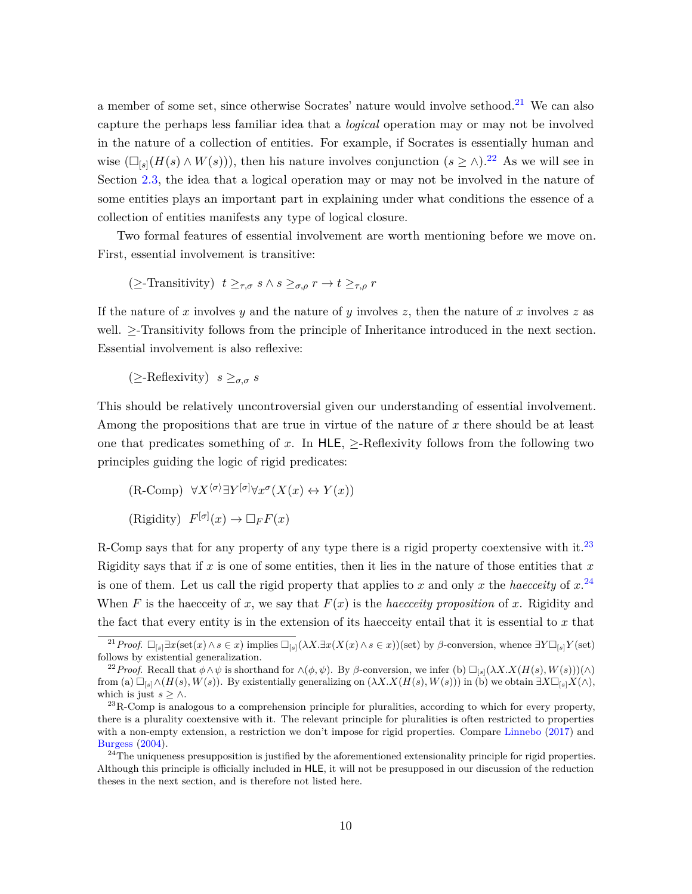a member of some set, since otherwise Socrates' nature would involve sethood.<sup>[21](#page-9-0)</sup> We can also capture the perhaps less familiar idea that a *logical* operation may or may not be involved in the nature of a collection of entities. For example, if Socrates is essentially human and wise  $(\Box_{[s]}(H(s) \land W(s)))$ , then his nature involves conjunction  $(s \ge \wedge).^{22}$  $(s \ge \wedge).^{22}$  $(s \ge \wedge).^{22}$  As we will see in Section [2.3,](#page-10-0) the idea that a logical operation may or may not be involved in the nature of some entities plays an important part in explaining under what conditions the essence of a collection of entities manifests any type of logical closure.

Two formal features of essential involvement are worth mentioning before we move on. First, essential involvement is transitive:

 $\left(\geq$ -Transitivity)  $t \geq_{\tau,\sigma} s \wedge s \geq_{\sigma,\rho} r \to t \geq_{\tau,\rho} r$ 

If the nature of *x* involves *y* and the nature of *y* involves *z*, then the nature of *x* involves *z* as well. >-Transitivity follows from the principle of Inheritance introduced in the next section. Essential involvement is also reflexive:

 $(\geq -\text{Reflexivity})$   $s \geq_{\sigma,\sigma} s$ 

This should be relatively uncontroversial given our understanding of essential involvement. Among the propositions that are true in virtue of the nature of *x* there should be at least one that predicates something of x. In HLE,  $\geq$ -Reflexivity follows from the following two principles guiding the logic of rigid predicates:

 $(R\text{-Comp}) \forall X^{\langle \sigma \rangle} \exists Y^{[\sigma]} \forall x^{\sigma} (X(x) \leftrightarrow Y(x))$  $(F^{[\sigma]}(x) \to \Box_F F(x))$ 

R-Comp says that for any property of any type there is a rigid property coextensive with it.<sup>[23](#page-9-2)</sup> Rigidity says that if *x* is one of some entities, then it lies in the nature of those entities that *x* is one of them. Let us call the rigid property that applies to *x* and only *x* the *haecceity* of *x*. [24](#page-9-3) When *F* is the haecceity of *x*, we say that  $F(x)$  is the *haecceity proposition* of *x*. Rigidity and the fact that every entity is in the extension of its haecceity entail that it is essential to *x* that

<span id="page-9-0"></span><sup>&</sup>lt;sup>21</sup>*Proof.*  $\Box_{[s]} \exists x (\text{set}(x) \land s \in x)$  implies  $\Box_{[s]}(\lambda X. \exists x (X(x) \land s \in x))$ (set) by *β*-conversion, whence  $\exists Y \Box_{[s]} Y$ (set) follows by existential generalization.

<span id="page-9-1"></span><sup>&</sup>lt;sup>22</sup>*Proof.* Recall that  $\phi \land \psi$  is shorthand for  $\land$ ( $\phi$ *,*  $\psi$ ). By *β*-conversion, we infer (b)  $\Box_{[s]}(\lambda X. X(H(s), W(s)))(\land)$ from (a)  $\Box_{[s]}\wedge (H(s), W(s))$ . By existentially generalizing on  $(\lambda X. X(H(s), W(s)))$  in (b) we obtain  $\exists X\Box_{[s]}X(\wedge)$ , which is just  $s \geq \wedge$ .

<span id="page-9-2"></span> $23R$ -Comp is analogous to a comprehension principle for pluralities, according to which for every property, there is a plurality coextensive with it. The relevant principle for pluralities is often restricted to properties with a non-empty extension, a restriction we don't impose for rigid properties. Compare [Linnebo](#page-40-6) [\(2017\)](#page-40-6) and [Burgess](#page-38-8) [\(2004\)](#page-38-8).

<span id="page-9-3"></span> $^{24}$ The uniqueness presupposition is justified by the aforementioned extensionality principle for rigid properties. Although this principle is officially included in HLE, it will not be presupposed in our discussion of the reduction theses in the next section, and is therefore not listed here.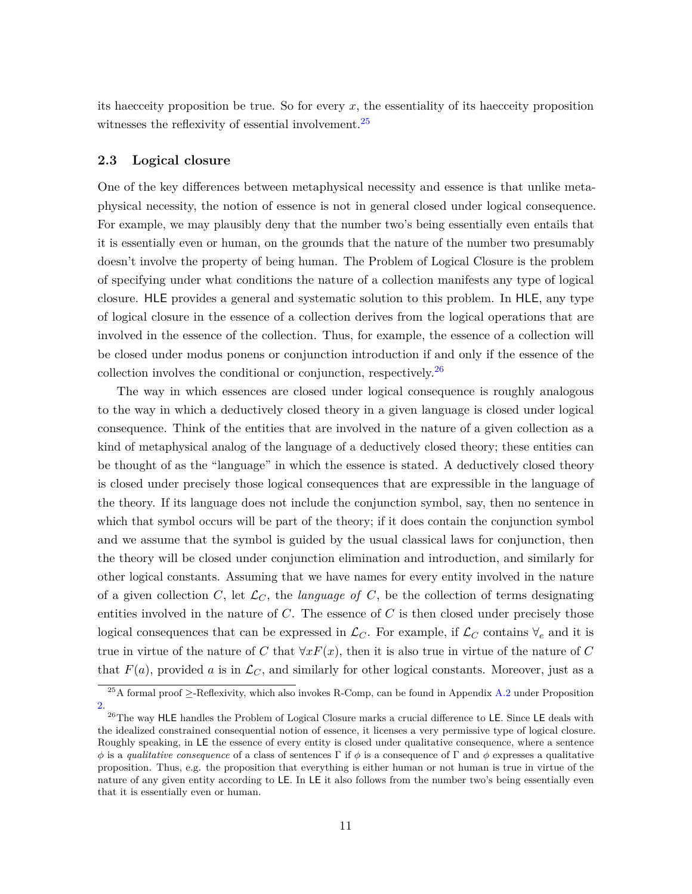its haecceity proposition be true. So for every *x*, the essentiality of its haecceity proposition witnesses the reflexivity of essential involvement.<sup>[25](#page-10-1)</sup>

#### <span id="page-10-0"></span>**2.3 Logical closure**

One of the key differences between metaphysical necessity and essence is that unlike metaphysical necessity, the notion of essence is not in general closed under logical consequence. For example, we may plausibly deny that the number two's being essentially even entails that it is essentially even or human, on the grounds that the nature of the number two presumably doesn't involve the property of being human. The Problem of Logical Closure is the problem of specifying under what conditions the nature of a collection manifests any type of logical closure. HLE provides a general and systematic solution to this problem. In HLE, any type of logical closure in the essence of a collection derives from the logical operations that are involved in the essence of the collection. Thus, for example, the essence of a collection will be closed under modus ponens or conjunction introduction if and only if the essence of the collection involves the conditional or conjunction, respectively.[26](#page-10-2)

The way in which essences are closed under logical consequence is roughly analogous to the way in which a deductively closed theory in a given language is closed under logical consequence. Think of the entities that are involved in the nature of a given collection as a kind of metaphysical analog of the language of a deductively closed theory; these entities can be thought of as the "language" in which the essence is stated. A deductively closed theory is closed under precisely those logical consequences that are expressible in the language of the theory. If its language does not include the conjunction symbol, say, then no sentence in which that symbol occurs will be part of the theory; if it does contain the conjunction symbol and we assume that the symbol is guided by the usual classical laws for conjunction, then the theory will be closed under conjunction elimination and introduction, and similarly for other logical constants. Assuming that we have names for every entity involved in the nature of a given collection  $C$ , let  $\mathcal{L}_C$ , the *language of*  $C$ , be the collection of terms designating entities involved in the nature of *C*. The essence of *C* is then closed under precisely those logical consequences that can be expressed in  $\mathcal{L}_C$ . For example, if  $\mathcal{L}_C$  contains  $\forall_e$  and it is true in virtue of the nature of *C* that  $\forall x F(x)$ , then it is also true in virtue of the nature of *C* that  $F(a)$ , provided a is in  $\mathcal{L}_C$ , and similarly for other logical constants. Moreover, just as a

<span id="page-10-1"></span><sup>&</sup>lt;sup>25</sup>A formal proof >-Reflexivity, which also invokes R-Comp, can be found in Appendix [A.2](#page-35-0) under Proposition [2.](#page-35-1)

<span id="page-10-2"></span><sup>&</sup>lt;sup>26</sup>The way HLE handles the Problem of Logical Closure marks a crucial difference to LE. Since LE deals with the idealized constrained consequential notion of essence, it licenses a very permissive type of logical closure. Roughly speaking, in LE the essence of every entity is closed under qualitative consequence, where a sentence *φ* is a *qualitative consequence* of a class of sentences Γ if *φ* is a consequence of Γ and *φ* expresses a qualitative proposition. Thus, e.g. the proposition that everything is either human or not human is true in virtue of the nature of any given entity according to LE. In LE it also follows from the number two's being essentially even that it is essentially even or human.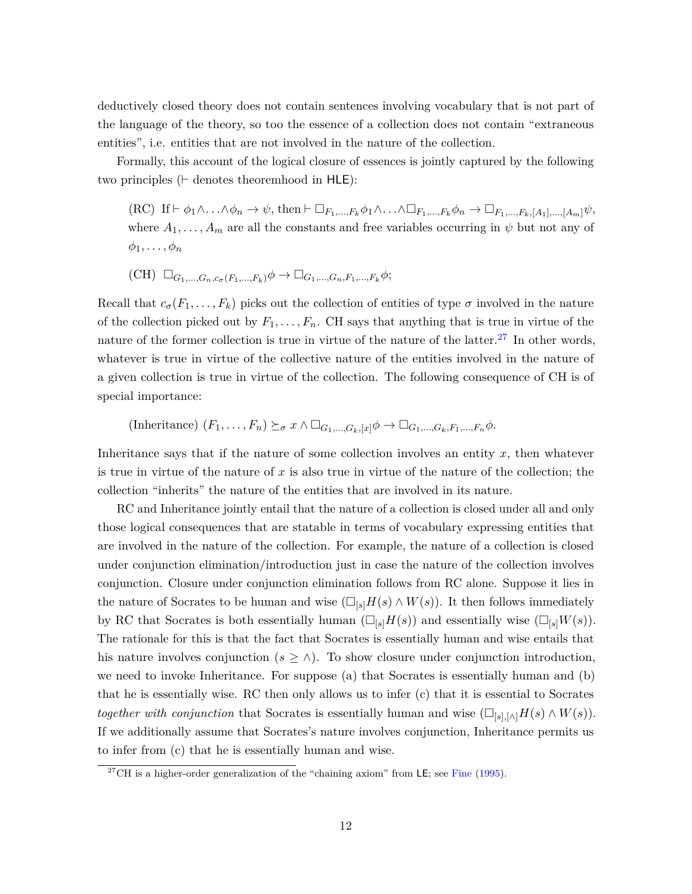deductively closed theory does not contain sentences involving vocabulary that is not part of the language of the theory, so too the essence of a collection does not contain "extraneous entities", i.e. entities that are not involved in the nature of the collection.

Formally, this account of the logical closure of essences is jointly captured by the following two principles ( $\vdash$  denotes theoremhood in  $HLE$ ):

 $(RC)$  If  $\vdash \phi_1 \wedge \ldots \wedge \phi_n \to \psi$ , then  $\vdash \Box_{F_1,\ldots,F_k} \phi_1 \wedge \ldots \wedge \Box_{F_1,\ldots,F_k} \phi_n \to \Box_{F_1,\ldots,F_k, [A_1],\ldots,[A_m]} \psi$ , where  $A_1, \ldots, A_m$  are all the constants and free variables occurring in  $\psi$  but not any of  $\phi_1, \ldots, \phi_n$ 

$$
(\mathrm{CH}) \ \Box_{G_1, \dots, G_n, c_{\sigma}(F_1, \dots, F_k)} \phi \to \Box_{G_1, \dots, G_n, F_1, \dots, F_k} \phi;
$$

Recall that  $c_{\sigma}(F_1,\ldots,F_k)$  picks out the collection of entities of type  $\sigma$  involved in the nature of the collection picked out by  $F_1, \ldots, F_n$ . CH says that anything that is true in virtue of the nature of the former collection is true in virtue of the nature of the latter.<sup>[27](#page-11-0)</sup> In other words, whatever is true in virtue of the collective nature of the entities involved in the nature of a given collection is true in virtue of the collection. The following consequence of CH is of special importance:

(Inheritance) 
$$
(F_1, \ldots, F_n) \succeq_{\sigma} x \wedge \Box_{G_1, \ldots, G_k, [x]} \phi \rightarrow \Box_{G_1, \ldots, G_k, F_1, \ldots, F_n} \phi.
$$

Inheritance says that if the nature of some collection involves an entity *x*, then whatever is true in virtue of the nature of *x* is also true in virtue of the nature of the collection; the collection "inherits" the nature of the entities that are involved in its nature.

RC and Inheritance jointly entail that the nature of a collection is closed under all and only those logical consequences that are statable in terms of vocabulary expressing entities that are involved in the nature of the collection. For example, the nature of a collection is closed under conjunction elimination/introduction just in case the nature of the collection involves conjunction. Closure under conjunction elimination follows from RC alone. Suppose it lies in the nature of Socrates to be human and wise  $(\Box_{\{s\}}H(s) \wedge W(s))$ . It then follows immediately by RC that Socrates is both essentially human  $(\Box_{[s]}H(s))$  and essentially wise  $(\Box_{[s]}W(s))$ . The rationale for this is that the fact that Socrates is essentially human and wise entails that his nature involves conjunction  $(s \geq \wedge)$ . To show closure under conjunction introduction, we need to invoke Inheritance. For suppose (a) that Socrates is essentially human and (b) that he is essentially wise. RC then only allows us to infer (c) that it is essential to Socrates *together with conjunction* that Socrates is essentially human and wise  $(\Box_{[s],[\wedge]}H(s) \wedge W(s)).$ If we additionally assume that Socrates's nature involves conjunction, Inheritance permits us to infer from (c) that he is essentially human and wise.

<span id="page-11-0"></span><sup>&</sup>lt;sup>27</sup>CH is a higher-order generalization of the "chaining axiom" from LE; see [Fine](#page-39-1) [\(1995\)](#page-39-1).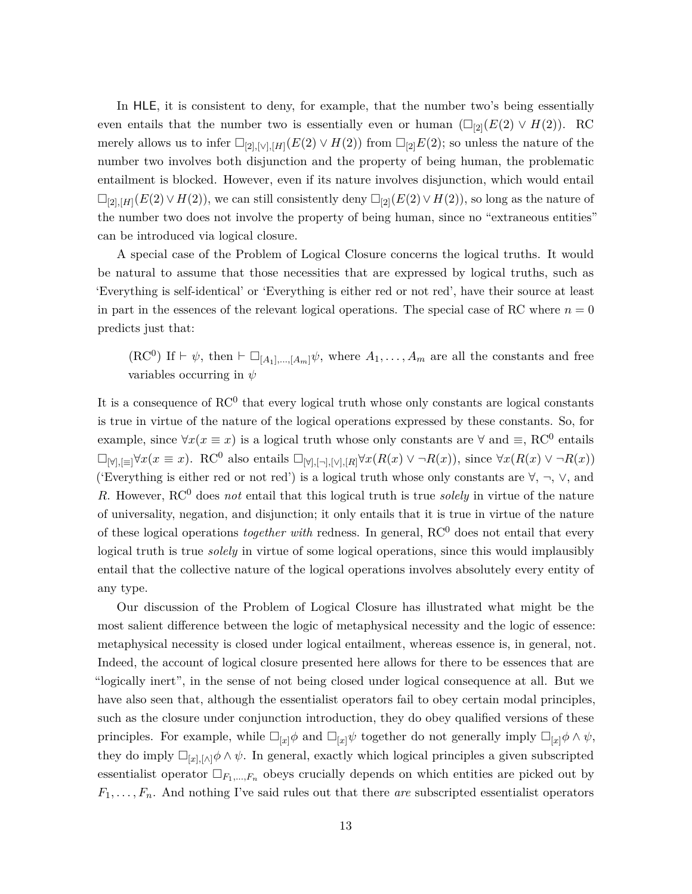In HLE, it is consistent to deny, for example, that the number two's being essentially even entails that the number two is essentially even or human  $(\Box_{2}(E(2) \lor H(2))$ . RC merely allows us to infer  $\Box_{[2],[\vee],[H]}(E(2) \vee H(2))$  from  $\Box_{[2]}E(2)$ ; so unless the nature of the number two involves both disjunction and the property of being human, the problematic entailment is blocked. However, even if its nature involves disjunction, which would entail  $\Box_{[2], [H]}(E(2) \vee H(2))$ , we can still consistently deny  $\Box_{[2]}(E(2) \vee H(2))$ , so long as the nature of the number two does not involve the property of being human, since no "extraneous entities" can be introduced via logical closure.

A special case of the Problem of Logical Closure concerns the logical truths. It would be natural to assume that those necessities that are expressed by logical truths, such as 'Everything is self-identical' or 'Everything is either red or not red', have their source at least in part in the essences of the relevant logical operations. The special case of RC where  $n = 0$ predicts just that:

 $(RC^0)$  If  $\vdash \psi$ , then  $\vdash \Box_{[A_1],...,[A_m]} \psi$ , where  $A_1, \ldots, A_m$  are all the constants and free variables occurring in *ψ*

It is a consequence of  $\mathrm{RC}^0$  that every logical truth whose only constants are logical constants is true in virtue of the nature of the logical operations expressed by these constants. So, for example, since  $\forall x(x \equiv x)$  is a logical truth whose only constants are  $\forall$  and  $\equiv$ , RC<sup>0</sup> entails  $\Box_{\forall |J|,|\equiv|} \forall x(x \equiv x)$ . RC<sup>0</sup> also entails  $\Box_{\forall |J|,|\neg J,|\vee|,|R|} \forall x(R(x) \vee \neg R(x))$ , since  $\forall x(R(x) \vee \neg R(x))$ ('Everything is either red or not red') is a logical truth whose only constants are  $\forall$ ,  $\neg$ ,  $\lor$ , and *R*. However, RC<sup>0</sup> does *not* entail that this logical truth is true *solely* in virtue of the nature of universality, negation, and disjunction; it only entails that it is true in virtue of the nature of these logical operations *together with* redness. In general, RC<sup>0</sup> does not entail that every logical truth is true *solely* in virtue of some logical operations, since this would implausibly entail that the collective nature of the logical operations involves absolutely every entity of any type.

Our discussion of the Problem of Logical Closure has illustrated what might be the most salient difference between the logic of metaphysical necessity and the logic of essence: metaphysical necessity is closed under logical entailment, whereas essence is, in general, not. Indeed, the account of logical closure presented here allows for there to be essences that are "logically inert", in the sense of not being closed under logical consequence at all. But we have also seen that, although the essentialist operators fail to obey certain modal principles, such as the closure under conjunction introduction, they do obey qualified versions of these principles. For example, while  $\Box_{[x]}\phi$  and  $\Box_{[x]}\psi$  together do not generally imply  $\Box_{[x]}\phi \wedge \psi$ , they do imply  $\Box_{[x],[\wedge]} \phi \land \psi$ . In general, exactly which logical principles a given subscripted essentialist operator  $\Box_{F_1,\dots,F_n}$  obeys crucially depends on which entities are picked out by  $F_1, \ldots, F_n$ . And nothing I've said rules out that there *are* subscripted essentialist operators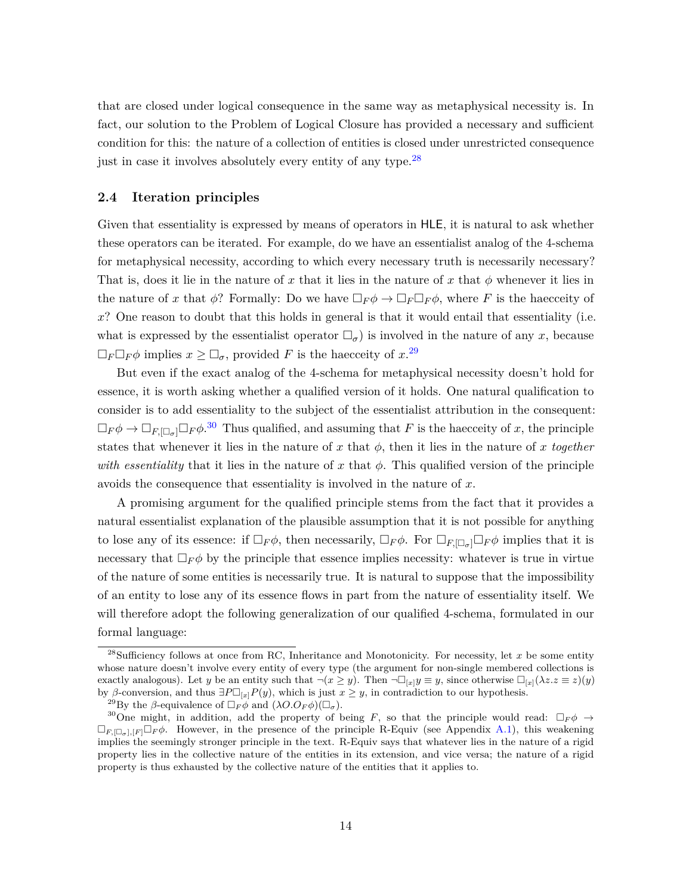that are closed under logical consequence in the same way as metaphysical necessity is. In fact, our solution to the Problem of Logical Closure has provided a necessary and sufficient condition for this: the nature of a collection of entities is closed under unrestricted consequence just in case it involves absolutely every entity of any type.<sup>[28](#page-13-0)</sup>

#### <span id="page-13-3"></span>**2.4 Iteration principles**

Given that essentiality is expressed by means of operators in HLE, it is natural to ask whether these operators can be iterated. For example, do we have an essentialist analog of the 4-schema for metaphysical necessity, according to which every necessary truth is necessarily necessary? That is, does it lie in the nature of x that it lies in the nature of x that  $\phi$  whenever it lies in the nature of x that  $\phi$ ? Formally: Do we have  $\Box_F \phi \to \Box_F \Box_F \phi$ , where F is the haecceity of *x*? One reason to doubt that this holds in general is that it would entail that essentiality (i.e. what is expressed by the essentialist operator  $\Box_{\sigma}$ ) is involved in the nature of any *x*, because  $\Box_F \Box_F \phi$  implies  $x \ge \Box_{\sigma}$ , provided *F* is the haecceity of  $x$ .<sup>[29](#page-13-1)</sup>

But even if the exact analog of the 4-schema for metaphysical necessity doesn't hold for essence, it is worth asking whether a qualified version of it holds. One natural qualification to consider is to add essentiality to the subject of the essentialist attribution in the consequent:  $\Box_F \phi \to \Box_{F, [\Box_{\sigma}]} \Box_F \phi$ <sup>[30](#page-13-2)</sup> Thus qualified, and assuming that *F* is the haecceity of *x*, the principle states that whenever it lies in the nature of *x* that  $\phi$ , then it lies in the nature of *x* together *with essentiality* that it lies in the nature of x that  $\phi$ . This qualified version of the principle avoids the consequence that essentiality is involved in the nature of *x*.

A promising argument for the qualified principle stems from the fact that it provides a natural essentialist explanation of the plausible assumption that it is not possible for anything to lose any of its essence: if  $\Box_F \phi$ , then necessarily,  $\Box_F \phi$ . For  $\Box_{F,\Box_{\sigma}} \Box_F \phi$  implies that it is necessary that  $\Box_F \phi$  by the principle that essence implies necessity: whatever is true in virtue of the nature of some entities is necessarily true. It is natural to suppose that the impossibility of an entity to lose any of its essence flows in part from the nature of essentiality itself. We will therefore adopt the following generalization of our qualified 4-schema, formulated in our formal language:

<span id="page-13-0"></span><sup>&</sup>lt;sup>28</sup>Sufficiency follows at once from RC, Inheritance and Monotonicity. For necessity, let *x* be some entity whose nature doesn't involve every entity of every type (the argument for non-single membered collections is exactly analogous). Let *y* be an entity such that  $\neg(x \geq y)$ . Then  $\neg\Box_{[x]}y \equiv y$ , since otherwise  $\Box_{[x]}(\lambda z \cdot z \equiv z)(y)$ by *β*-conversion, and thus  $\exists P\Box_{x}P(y)$ , which is just  $x \geq y$ , in contradiction to our hypothesis.

<span id="page-13-2"></span><span id="page-13-1"></span><sup>&</sup>lt;sup>29</sup>By the *β*-equivalence of  $\Box_F \phi$  and  $(\lambda O.O_F \phi)(\Box_{\sigma})$ .

<sup>&</sup>lt;sup>30</sup>One might, in addition, add the property of being *F*, so that the principle would read:  $\Box_F \phi \rightarrow$  $\Box_{F,\Box_{\sigma},F}\Box_{F}\phi$ . However, in the presence of the principle R-Equiv (see Appendix [A.1\)](#page-33-1), this weakening implies the seemingly stronger principle in the text. R-Equiv says that whatever lies in the nature of a rigid property lies in the collective nature of the entities in its extension, and vice versa; the nature of a rigid property is thus exhausted by the collective nature of the entities that it applies to.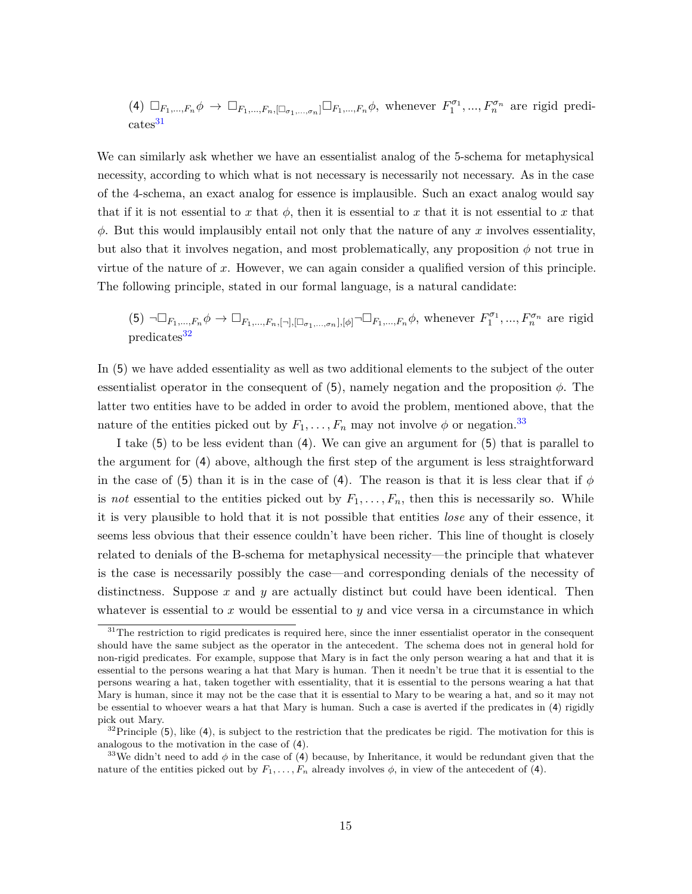(4) 
$$
\Box_{F_1,\dots,F_n}\phi \to \Box_{F_1,\dots,F_n,[\Box_{\sigma_1,\dots,\sigma_n}]} \Box_{F_1,\dots,F_n}\phi
$$
, whenever  $F_1^{\sigma_1},\dots,F_n^{\sigma_n}$  are rigid predi-  
cates<sup>31</sup>

We can similarly ask whether we have an essentialist analog of the 5-schema for metaphysical necessity, according to which what is not necessary is necessarily not necessary. As in the case of the 4-schema, an exact analog for essence is implausible. Such an exact analog would say that if it is not essential to *x* that  $\phi$ , then it is essential to *x* that it is not essential to *x* that *φ*. But this would implausibly entail not only that the nature of any *x* involves essentiality, but also that it involves negation, and most problematically, any proposition  $\phi$  not true in virtue of the nature of *x*. However, we can again consider a qualified version of this principle. The following principle, stated in our formal language, is a natural candidate:

(5) 
$$
\neg \Box_{F_1,\dots,F_n} \phi \to \Box_{F_1,\dots,F_n, [\neg], [\Box_{\sigma_1,\dots,\sigma_n}], [\phi]} \neg \Box_{F_1,\dots,F_n} \phi
$$
, whenever  $F_1^{\sigma_1}, \dots, F_n^{\sigma_n}$  are rigid predicates<sup>32</sup>

In (5) we have added essentiality as well as two additional elements to the subject of the outer essentialist operator in the consequent of  $(5)$ , namely negation and the proposition  $\phi$ . The latter two entities have to be added in order to avoid the problem, mentioned above, that the nature of the entities picked out by  $F_1, \ldots, F_n$  may not involve  $\phi$  or negation.<sup>[33](#page-14-2)</sup>

I take (5) to be less evident than (4). We can give an argument for (5) that is parallel to the argument for (4) above, although the first step of the argument is less straightforward in the case of (5) than it is in the case of (4). The reason is that it is less clear that if  $\phi$ is *not* essential to the entities picked out by  $F_1, \ldots, F_n$ , then this is necessarily so. While it is very plausible to hold that it is not possible that entities *lose* any of their essence, it seems less obvious that their essence couldn't have been richer. This line of thought is closely related to denials of the B-schema for metaphysical necessity—the principle that whatever is the case is necessarily possibly the case—and corresponding denials of the necessity of distinctness. Suppose *x* and *y* are actually distinct but could have been identical. Then whatever is essential to  $x$  would be essential to  $y$  and vice versa in a circumstance in which

<span id="page-14-0"></span> $31$ The restriction to rigid predicates is required here, since the inner essentialist operator in the consequent should have the same subject as the operator in the antecedent. The schema does not in general hold for non-rigid predicates. For example, suppose that Mary is in fact the only person wearing a hat and that it is essential to the persons wearing a hat that Mary is human. Then it needn't be true that it is essential to the persons wearing a hat, taken together with essentiality, that it is essential to the persons wearing a hat that Mary is human, since it may not be the case that it is essential to Mary to be wearing a hat, and so it may not be essential to whoever wears a hat that Mary is human. Such a case is averted if the predicates in (4) rigidly pick out Mary.

<span id="page-14-1"></span> $32$ Principle (5), like (4), is subject to the restriction that the predicates be rigid. The motivation for this is analogous to the motivation in the case of (4).

<span id="page-14-2"></span><sup>&</sup>lt;sup>33</sup>We didn't need to add  $\phi$  in the case of (4) because, by Inheritance, it would be redundant given that the nature of the entities picked out by  $F_1, \ldots, F_n$  already involves  $\phi$ , in view of the antecedent of (4).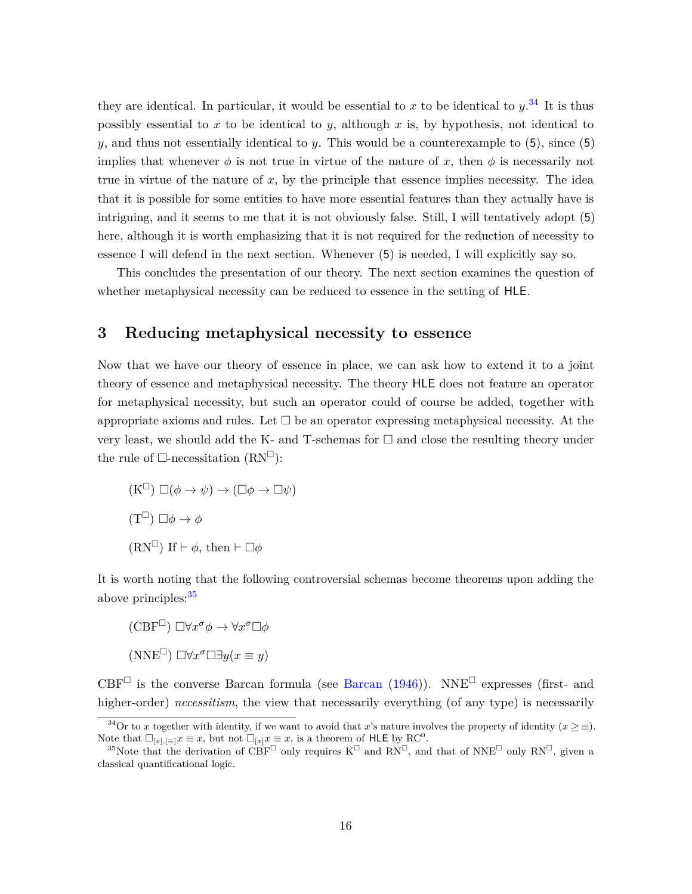they are identical. In particular, it would be essential to  $x$  to be identical to  $y$ .<sup>[34](#page-15-1)</sup> It is thus possibly essential to *x* to be identical to *y*, although *x* is, by hypothesis, not identical to *y*, and thus not essentially identical to *y*. This would be a counterexample to (5), since (5) implies that whenever  $\phi$  is not true in virtue of the nature of x, then  $\phi$  is necessarily not true in virtue of the nature of *x*, by the principle that essence implies necessity. The idea that it is possible for some entities to have more essential features than they actually have is intriguing, and it seems to me that it is not obviously false. Still, I will tentatively adopt (5) here, although it is worth emphasizing that it is not required for the reduction of necessity to essence I will defend in the next section. Whenever (5) is needed, I will explicitly say so.

This concludes the presentation of our theory. The next section examines the question of whether metaphysical necessity can be reduced to essence in the setting of HLE.

### <span id="page-15-0"></span>**3 Reducing metaphysical necessity to essence**

Now that we have our theory of essence in place, we can ask how to extend it to a joint theory of essence and metaphysical necessity. The theory HLE does not feature an operator for metaphysical necessity, but such an operator could of course be added, together with appropriate axioms and rules. Let  $\Box$  be an operator expressing metaphysical necessity. At the very least, we should add the K- and T-schemas for  $\Box$  and close the resulting theory under the rule of  $\Box$ -necessitation  $(RN^{\Box})$ :

 $(K^{\square}) \square (\phi \rightarrow \psi) \rightarrow (\square \phi \rightarrow \square \psi)$  $(T^{\square}) \square \phi \rightarrow \phi$  $(RN^{\square})$  If  $\vdash \phi$ , then  $\vdash \square \phi$ 

It is worth noting that the following controversial schemas become theorems upon adding the above principles:  $35$ 

 $(\text{CBF}^{\Box}) \Box \forall x^{\sigma} \phi \rightarrow \forall x^{\sigma} \Box \phi$  $(NNE<sup>\Box</sup>) \Box \forall x^{\sigma} \Box \exists y (x \equiv y)$ 

CBF<sup> $\Box$ </sup> is the converse [Barcan](#page-38-9) formula (see Barcan [\(1946\)](#page-38-9)). NNE<sup> $\Box$ </sup> expresses (first- and higher-order) *necessitism*, the view that necessarily everything (of any type) is necessarily

<span id="page-15-1"></span><sup>&</sup>lt;sup>34</sup>Or to *x* together with identity, if we want to avoid that *x*'s nature involves the property of identity  $(x \geq \equiv)$ . Note that  $\Box_{[x],[\equiv]}x \equiv x$ , but not  $\Box_{[x]}x \equiv x$ , is a theorem of HLE by RC<sup>0</sup>.

<span id="page-15-2"></span><sup>&</sup>lt;sup>35</sup>Note that the derivation of CBF<sup> $\Box$ </sup> only requires K<sup> $\Box$ </sup> and RN<sup> $\Box$ </sup>, and that of NNE<sup> $\Box$ </sup> only RN<sup> $\Box$ </sup>, given a classical quantificational logic.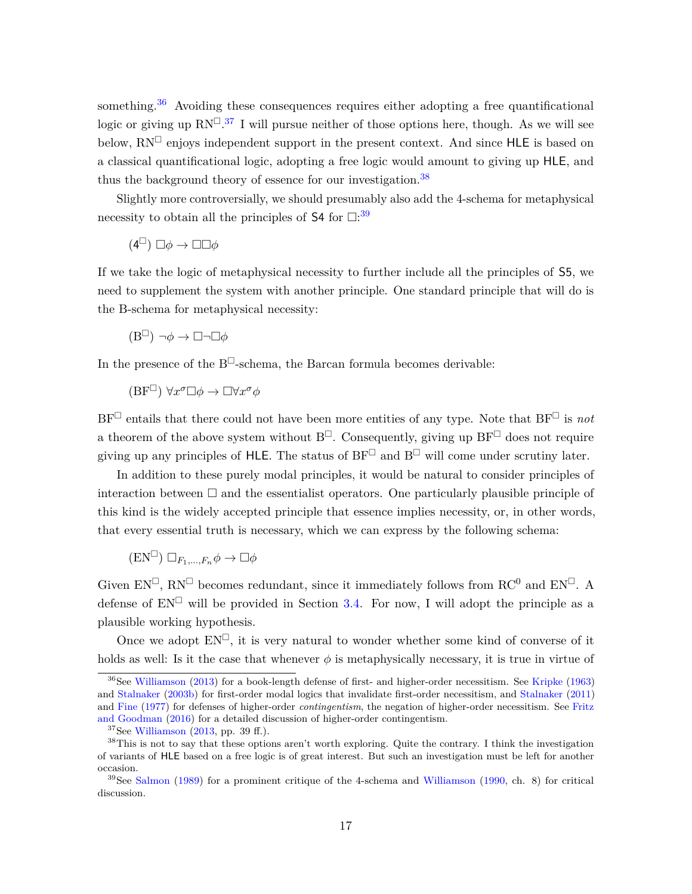something.<sup>[36](#page-16-0)</sup> Avoiding these consequences requires either adopting a free quantificational logic or giving up  $RN^{\square.37}$  $RN^{\square.37}$  $RN^{\square.37}$  I will pursue neither of those options here, though. As we will see below,  $RN^{\square}$  enjoys independent support in the present context. And since HLE is based on a classical quantificational logic, adopting a free logic would amount to giving up HLE, and thus the background theory of essence for our investigation.<sup>[38](#page-16-2)</sup>

Slightly more controversially, we should presumably also add the 4-schema for metaphysical necessity to obtain all the principles of  $S4$  for  $\Box$ <sup>[39](#page-16-3)</sup>

 $(4^{\Box}) \Box \phi \rightarrow \Box \Box \phi$ 

If we take the logic of metaphysical necessity to further include all the principles of S5, we need to supplement the system with another principle. One standard principle that will do is the B-schema for metaphysical necessity:

$$
(\mathbf{B}^{\square}) \neg \phi \to \square \neg \square \phi
$$

In the presence of the  $B^{\square}$ -schema, the Barcan formula becomes derivable:

 $(BF^{\Box}) \forall x^{\sigma} \Box \phi \rightarrow \Box \forall x^{\sigma} \phi$ 

 $BF^{\Box}$  entails that there could not have been more entities of any type. Note that  $BF^{\Box}$  is *not* a theorem of the above system without  $B^{\Box}$ . Consequently, giving up  $BF^{\Box}$  does not require giving up any principles of HLE. The status of  $BF^{\Box}$  and  $B^{\Box}$  will come under scrutiny later.

In addition to these purely modal principles, it would be natural to consider principles of interaction between  $\Box$  and the essentialist operators. One particularly plausible principle of this kind is the widely accepted principle that essence implies necessity, or, in other words, that every essential truth is necessary, which we can express by the following schema:

$$
(\mathbf{EN}^{\square}) \square_{F_1,\dots,F_n} \phi \to \square \phi
$$

Given  $EN^{\Box}$ ,  $RN^{\Box}$  becomes redundant, since it immediately follows from  $RC^0$  and  $EN^{\Box}$ . A defense of  $EN^{\square}$  will be provided in Section [3.4.](#page-25-0) For now, I will adopt the principle as a plausible working hypothesis.

Once we adopt  $EN^{\square}$ , it is very natural to wonder whether some kind of converse of it holds as well: Is it the case that whenever  $\phi$  is metaphysically necessary, it is true in virtue of

<span id="page-16-0"></span><sup>&</sup>lt;sup>36</sup>See [Williamson](#page-41-4) [\(2013\)](#page-41-4) for a book-length defense of first- and higher-order necessitism. See [Kripke](#page-40-7) [\(1963\)](#page-40-7) and [Stalnaker](#page-40-8) [\(2003b\)](#page-40-8) for first-order modal logics that invalidate first-order necessitism, and [Stalnaker](#page-41-5) [\(2011\)](#page-41-5) and [Fine](#page-39-8) [\(1977\)](#page-39-8) for defenses of higher-order *contingentism*, the negation of higher-order necessitism. See [Fritz](#page-39-11) [and Goodman](#page-39-11) [\(2016\)](#page-39-11) for a detailed discussion of higher-order contingentism.

<span id="page-16-2"></span><span id="page-16-1"></span> $37$  See [Williamson](#page-41-4) [\(2013,](#page-41-4) pp. 39 ff.).

<sup>38</sup>This is not to say that these options aren't worth exploring. Quite the contrary. I think the investigation of variants of HLE based on a free logic is of great interest. But such an investigation must be left for another occasion.

<span id="page-16-3"></span><sup>&</sup>lt;sup>39</sup>See [Salmon](#page-40-9) [\(1989\)](#page-40-9) for a prominent critique of the 4-schema and [Williamson](#page-41-6) [\(1990,](#page-41-6) ch. 8) for critical discussion.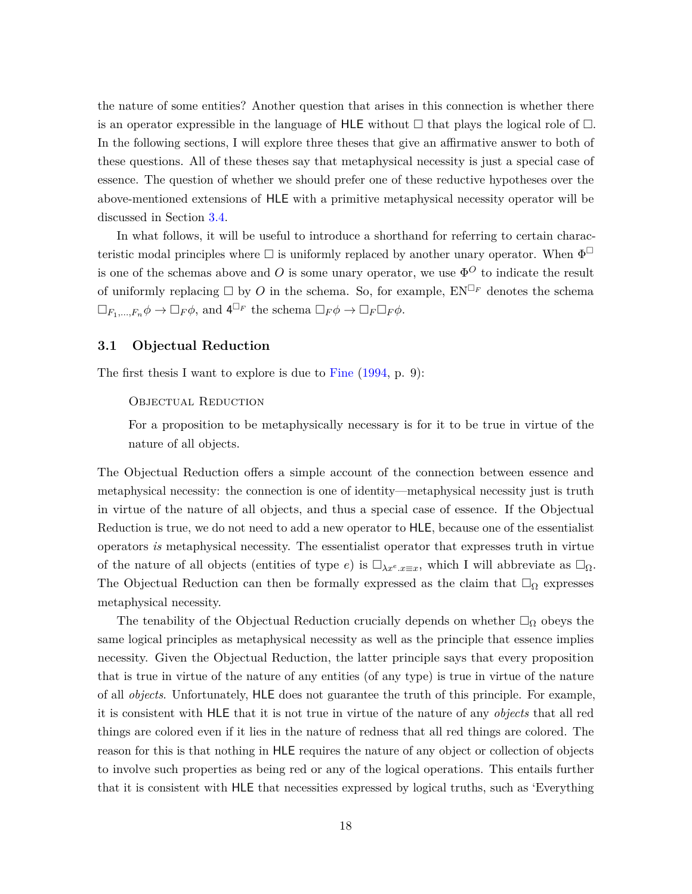the nature of some entities? Another question that arises in this connection is whether there is an operator expressible in the language of HLE without  $\Box$  that plays the logical role of  $\Box$ . In the following sections, I will explore three theses that give an affirmative answer to both of these questions. All of these theses say that metaphysical necessity is just a special case of essence. The question of whether we should prefer one of these reductive hypotheses over the above-mentioned extensions of HLE with a primitive metaphysical necessity operator will be discussed in Section [3.4.](#page-25-0)

In what follows, it will be useful to introduce a shorthand for referring to certain characteristic modal principles where  $\Box$  is uniformly replaced by another unary operator. When  $\Phi^{\Box}$ is one of the schemas above and *O* is some unary operator, we use  $\Phi^O$  to indicate the result of uniformly replacing  $\Box$  by *O* in the schema. So, for example,  $EN^{\Box_F}$  denotes the schema  $\Box_{F_1,\dots,F_n}\phi \to \Box_F\phi$ , and  $4^{\Box_F}$  the schema  $\Box_F\phi \to \Box_F\Box_F\phi$ .

#### <span id="page-17-0"></span>**3.1 Objectual Reduction**

The first thesis I want to explore is due to [Fine](#page-39-0) [\(1994,](#page-39-0) p. 9):

#### Objectual Reduction

For a proposition to be metaphysically necessary is for it to be true in virtue of the nature of all objects.

The Objectual Reduction offers a simple account of the connection between essence and metaphysical necessity: the connection is one of identity—metaphysical necessity just is truth in virtue of the nature of all objects, and thus a special case of essence. If the Objectual Reduction is true, we do not need to add a new operator to HLE, because one of the essentialist operators *is* metaphysical necessity. The essentialist operator that expresses truth in virtue of the nature of all objects (entities of type *e*) is  $\Box_{\lambda x^e.x\equiv x}$ , which I will abbreviate as  $\Box_{\Omega}$ . The Objectual Reduction can then be formally expressed as the claim that  $\Box_{\Omega}$  expresses metaphysical necessity.

The tenability of the Objectual Reduction crucially depends on whether  $\Box_{\Omega}$  obeys the same logical principles as metaphysical necessity as well as the principle that essence implies necessity. Given the Objectual Reduction, the latter principle says that every proposition that is true in virtue of the nature of any entities (of any type) is true in virtue of the nature of all *objects*. Unfortunately, HLE does not guarantee the truth of this principle. For example, it is consistent with HLE that it is not true in virtue of the nature of any *objects* that all red things are colored even if it lies in the nature of redness that all red things are colored. The reason for this is that nothing in HLE requires the nature of any object or collection of objects to involve such properties as being red or any of the logical operations. This entails further that it is consistent with HLE that necessities expressed by logical truths, such as 'Everything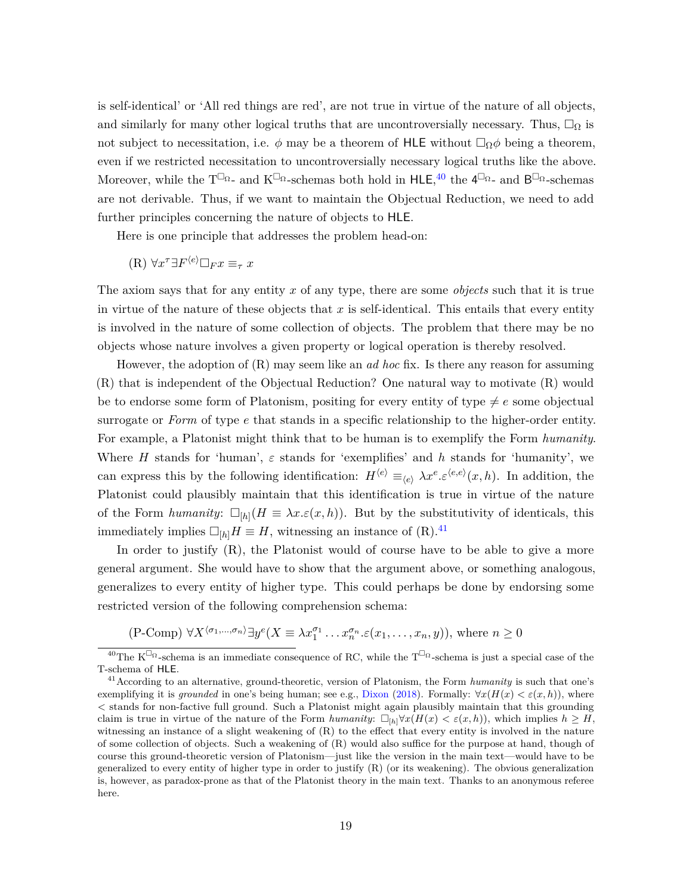is self-identical' or 'All red things are red', are not true in virtue of the nature of all objects, and similarly for many other logical truths that are uncontroversially necessary. Thus,  $\Box_{\Omega}$  is not subject to necessitation, i.e.  $\phi$  may be a theorem of HLE without  $\Box_{\Omega}\phi$  being a theorem, even if we restricted necessitation to uncontroversially necessary logical truths like the above. Moreover, while the T<sup> $\Box_{\Omega}$ </sup>- and K<sup> $\Box_{\Omega}$ </sup>-schemas both hold in HLE,<sup>[40](#page-18-0)</sup> the 4<sup> $\Box_{\Omega}$ </sup>- and B<sup> $\Box_{\Omega}$ </sup>-schemas are not derivable. Thus, if we want to maintain the Objectual Reduction, we need to add further principles concerning the nature of objects to HLE.

Here is one principle that addresses the problem head-on:

$$
(R) \ \forall x^{\tau} \exists F^{\langle e \rangle} \Box_F x \equiv_{\tau} x
$$

The axiom says that for any entity *x* of any type, there are some *objects* such that it is true in virtue of the nature of these objects that *x* is self-identical. This entails that every entity is involved in the nature of some collection of objects. The problem that there may be no objects whose nature involves a given property or logical operation is thereby resolved.

However, the adoption of (R) may seem like an *ad hoc* fix. Is there any reason for assuming (R) that is independent of the Objectual Reduction? One natural way to motivate (R) would be to endorse some form of Platonism, positing for every entity of type  $\neq e$  some objectual surrogate or *Form* of type *e* that stands in a specific relationship to the higher-order entity. For example, a Platonist might think that to be human is to exemplify the Form *humanity*. Where *H* stands for 'human', *ε* stands for 'exemplifies' and *h* stands for 'humanity', we can express this by the following identification:  $H^{\langle e \rangle} \equiv_{\langle e \rangle} \lambda x^e \cdot \varepsilon^{\langle e,e \rangle}(x,h)$ . In addition, the Platonist could plausibly maintain that this identification is true in virtue of the nature of the Form *humanity*:  $\Box_{[h]}(H \equiv \lambda x.\varepsilon(x,h))$ . But by the substitutivity of identicals, this immediately implies  $\Box_{[h]}H \equiv H$ , witnessing an instance of (R).<sup>[41](#page-18-1)</sup>

In order to justify (R), the Platonist would of course have to be able to give a more general argument. She would have to show that the argument above, or something analogous, generalizes to every entity of higher type. This could perhaps be done by endorsing some restricted version of the following comprehension schema:

 $(P\text{-Comp}) \ \forall X^{\langle \sigma_1, \ldots, \sigma_n \rangle} \exists y^e (X \equiv \lambda x_1^{\sigma_1} \ldots x_n^{\sigma_n} \in (x_1, \ldots, x_n, y)), \text{ where } n \geq 0$ 

<span id="page-18-0"></span><sup>&</sup>lt;sup>40</sup>The K<sup> $\Box$ </sup> -schema is an immediate consequence of RC, while the T<sup> $\Box$ </sup> -schema is just a special case of the T-schema of HLE.

<span id="page-18-1"></span><sup>&</sup>lt;sup>41</sup> According to an alternative, ground-theoretic, version of Platonism, the Form *humanity* is such that one's exemplifying it is *grounded* in one's being human; see e.g., [Dixon](#page-38-10) [\(2018\)](#page-38-10). Formally:  $\forall x(H(x) < \varepsilon(x, h))$ , where *<* stands for non-factive full ground. Such a Platonist might again plausibly maintain that this grounding claim is true in virtue of the nature of the Form *humanity*:  $\Box_{h} \forall x (H(x) < \varepsilon(x, h))$ , which implies  $h \geq H$ , witnessing an instance of a slight weakening of (R) to the effect that every entity is involved in the nature of some collection of objects. Such a weakening of (R) would also suffice for the purpose at hand, though of course this ground-theoretic version of Platonism—just like the version in the main text—would have to be generalized to every entity of higher type in order to justify (R) (or its weakening). The obvious generalization is, however, as paradox-prone as that of the Platonist theory in the main text. Thanks to an anonymous referee here.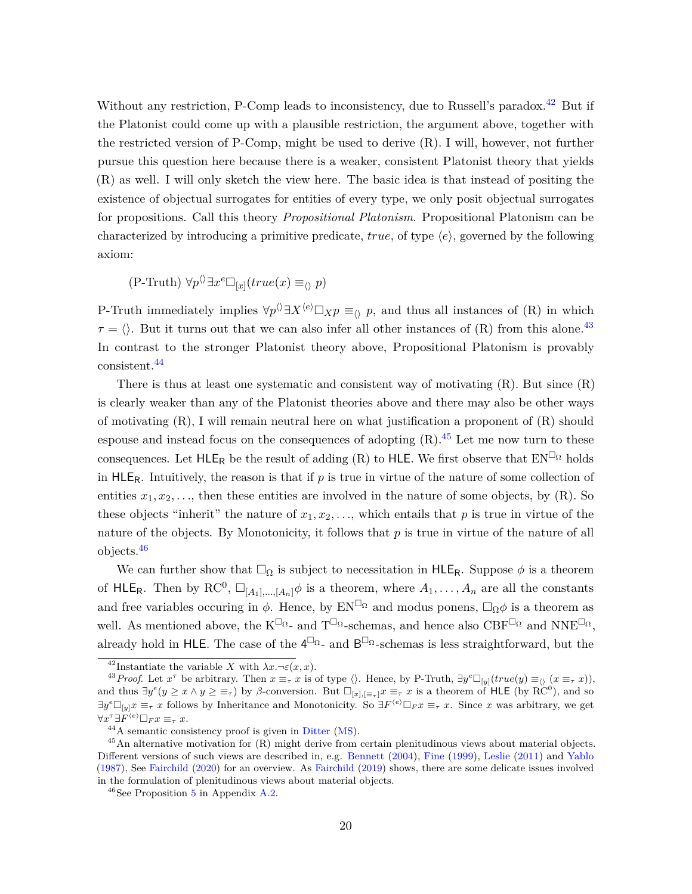Without any restriction, P-Comp leads to inconsistency, due to Russell's paradox.<sup>[42](#page-19-0)</sup> But if the Platonist could come up with a plausible restriction, the argument above, together with the restricted version of P-Comp, might be used to derive (R). I will, however, not further pursue this question here because there is a weaker, consistent Platonist theory that yields (R) as well. I will only sketch the view here. The basic idea is that instead of positing the existence of objectual surrogates for entities of every type, we only posit objectual surrogates for propositions. Call this theory *Propositional Platonism*. Propositional Platonism can be characterized by introducing a primitive predicate, *true*, of type  $\langle e \rangle$ , governed by the following axiom:

$$
(\text{P-Truth}) \ \forall p \land \exists x^e \Box_{[x]} (true(x) \equiv_{\langle \rangle} p)
$$

P-Truth immediately implies  $\forall p'$   $\exists X^{(e)} \Box_X p \equiv_{\langle \rangle} p$ , and thus all instances of (R) in which  $\tau = \langle \rangle$ . But it turns out that we can also infer all other instances of (R) from this alone.<sup>[43](#page-19-1)</sup> In contrast to the stronger Platonist theory above, Propositional Platonism is provably consistent.[44](#page-19-2)

There is thus at least one systematic and consistent way of motivating  $(R)$ . But since  $(R)$ is clearly weaker than any of the Platonist theories above and there may also be other ways of motivating  $(R)$ , I will remain neutral here on what justification a proponent of  $(R)$  should espouse and instead focus on the consequences of adopting  $(R)$ .<sup>[45](#page-19-3)</sup> Let me now turn to these consequences. Let  ${\sf HLE}_R$  be the result of adding (R) to  ${\sf HLE}.$  We first observe that  ${\rm EN}^{\square_\Omega}$  holds in  $HLE_R$ . Intuitively, the reason is that if  $p$  is true in virtue of the nature of some collection of entities  $x_1, x_2, \ldots$ , then these entities are involved in the nature of some objects, by (R). So these objects "inherit" the nature of  $x_1, x_2, \ldots$ , which entails that p is true in virtue of the nature of the objects. By Monotonicity, it follows that *p* is true in virtue of the nature of all objects.[46](#page-19-4)

We can further show that  $\square_{\Omega}$  is subject to necessitation in HLE<sub>R</sub>. Suppose  $\phi$  is a theorem of  $HLE_R$ . Then by  $RC^0$ ,  $\Box_{[A_1],...,[A_n]}$  is a theorem, where  $A_1, \ldots, A_n$  are all the constants and free variables occuring in  $\phi$ . Hence, by  $EN^{\Box_{\Omega}}$  and modus ponens,  $\Box_{\Omega}\phi$  is a theorem as well. As mentioned above, the  $K^{\Box_{\Omega}}$ - and  $T^{\Box_{\Omega}}$ -schemas, and hence also  $CBF^{\Box_{\Omega}}$  and  $NNE^{\Box_{\Omega}}$ . already hold in HLE. The case of the  $4^{\Box_{\Omega}}$ - and  $B^{\Box_{\Omega}}$ -schemas is less straightforward, but the

<span id="page-19-1"></span><span id="page-19-0"></span><sup>&</sup>lt;sup>42</sup>Instantiate the variable *X* with  $\lambda x.\neg \varepsilon(x, x)$ .

<sup>&</sup>lt;sup>43</sup>*Proof.* Let  $x^{\tau}$  be arbitrary. Then  $x \equiv_{\tau} x$  is of type  $\langle \rangle$ . Hence, by P-Truth,  $\exists y^e \Box_{[y]}(true(y) \equiv_{\langle \rangle} (x \equiv_{\tau} x))$ , and thus  $\exists y^e (y \geq x \land y \geq \equiv_{\tau})$  by *β*-conversion. But  $\Box_{[x], [\equiv_{\tau}]} x \equiv_{\tau} x$  is a theorem of HLE (by RC<sup>0</sup>), and so  $\exists y^e \Box_{[y]} x \equiv_\tau x$  follows by Inheritance and Monotonicity. So  $\exists F^{(e)} \Box_F x \equiv_\tau x$ . Since x was arbitrary, we get  $\forall x^{\tau} \exists F^{\langle e \rangle} \Box_F x \equiv_{\tau} x.$ 

<span id="page-19-3"></span><span id="page-19-2"></span><sup>44</sup>A semantic consistency proof is given in [Ditter](#page-38-6) [\(MS\)](#page-38-6).

 $45$ An alternative motivation for  $(R)$  might derive from certain plenitudinous views about material objects. Different versions of such views are described in, e.g. [Bennett](#page-38-11) [\(2004\)](#page-38-11), [Fine](#page-39-12) [\(1999\)](#page-39-12), [Leslie](#page-40-10) [\(2011\)](#page-40-10) and [Yablo](#page-41-7) [\(1987\)](#page-41-7), See [Fairchild](#page-39-13) [\(2020\)](#page-39-13) for an overview. As [Fairchild](#page-39-14) [\(2019\)](#page-39-14) shows, there are some delicate issues involved in the formulation of plenitudinous views about material objects.

<span id="page-19-4"></span> $46$ See Proposition [5](#page-36-0) in Appendix [A.2.](#page-35-0)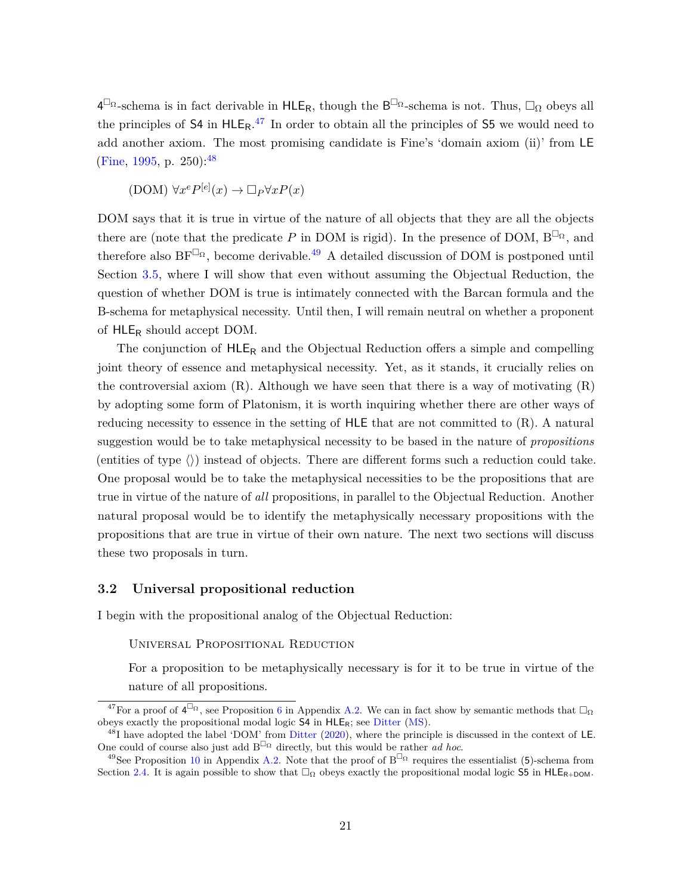$4^{\Box_{\Omega}}$ -schema is in fact derivable in  $HLE_R$ , though the  $B^{\Box_{\Omega}}$ -schema is not. Thus,  $\Box_{\Omega}$  obeys all the principles of  $S4$  in  $HLE_R$ .<sup>[47](#page-20-0)</sup> In order to obtain all the principles of  $S5$  we would need to add another axiom. The most promising candidate is Fine's 'domain axiom (ii)' from LE [\(Fine,](#page-39-1) [1995,](#page-39-1) p. 250):  $48$ 

 $(DOM) \forall x^e P^{[e]}(x) \rightarrow \Box_P \forall x P(x)$ 

DOM says that it is true in virtue of the nature of all objects that they are all the objects there are (note that the predicate *P* in DOM is rigid). In the presence of DOM,  $B^{\Box_{\Omega}}$ , and therefore also  $BF^{\Box_{\Omega}}$ , become derivable.<sup>[49](#page-20-2)</sup> A detailed discussion of DOM is postponed until Section [3.5,](#page-29-0) where I will show that even without assuming the Objectual Reduction, the question of whether DOM is true is intimately connected with the Barcan formula and the B-schema for metaphysical necessity. Until then, I will remain neutral on whether a proponent of HLE<sup>R</sup> should accept DOM.

The conjunction of  $HLE_R$  and the Objectual Reduction offers a simple and compelling joint theory of essence and metaphysical necessity. Yet, as it stands, it crucially relies on the controversial axiom  $(R)$ . Although we have seen that there is a way of motivating  $(R)$ by adopting some form of Platonism, it is worth inquiring whether there are other ways of reducing necessity to essence in the setting of HLE that are not committed to (R). A natural suggestion would be to take metaphysical necessity to be based in the nature of *propositions* (entities of type  $\langle \rangle$ ) instead of objects. There are different forms such a reduction could take. One proposal would be to take the metaphysical necessities to be the propositions that are true in virtue of the nature of *all* propositions, in parallel to the Objectual Reduction. Another natural proposal would be to identify the metaphysically necessary propositions with the propositions that are true in virtue of their own nature. The next two sections will discuss these two proposals in turn.

#### **3.2 Universal propositional reduction**

I begin with the propositional analog of the Objectual Reduction:

Universal Propositional Reduction

For a proposition to be metaphysically necessary is for it to be true in virtue of the nature of all propositions.

<span id="page-20-0"></span><sup>&</sup>lt;sup>47</sup>For a proof of  $4^{\square_{\Omega}}$ , see Proposition [6](#page-36-1) in Appendix [A.2.](#page-35-0) We can in fact show by semantic methods that  $\square_{\Omega}$ obeys exactly the propositional modal logic  $S4$  in  $HLE_R$ ; see [Ditter](#page-38-6) [\(MS\)](#page-38-6).

<span id="page-20-1"></span> $^{48}$ I have adopted the label 'DOM' from [Ditter](#page-38-5) [\(2020\)](#page-38-5), where the principle is discussed in the context of LE. One could of course also just add  $B^{\Box_{\Omega}}$  directly, but this would be rather *ad hoc*.

<span id="page-20-2"></span><sup>&</sup>lt;sup>49</sup>See Proposition [10](#page-37-0) in Appendix [A.2.](#page-35-0) Note that the proof of  $B^{\Box_{\Omega}}$  requires the essentialist (5)-schema from Section [2.4.](#page-13-3) It is again possible to show that  $\Box_{\Omega}$  obeys exactly the propositional modal logic S5 in HLE<sub>R+DOM</sub>.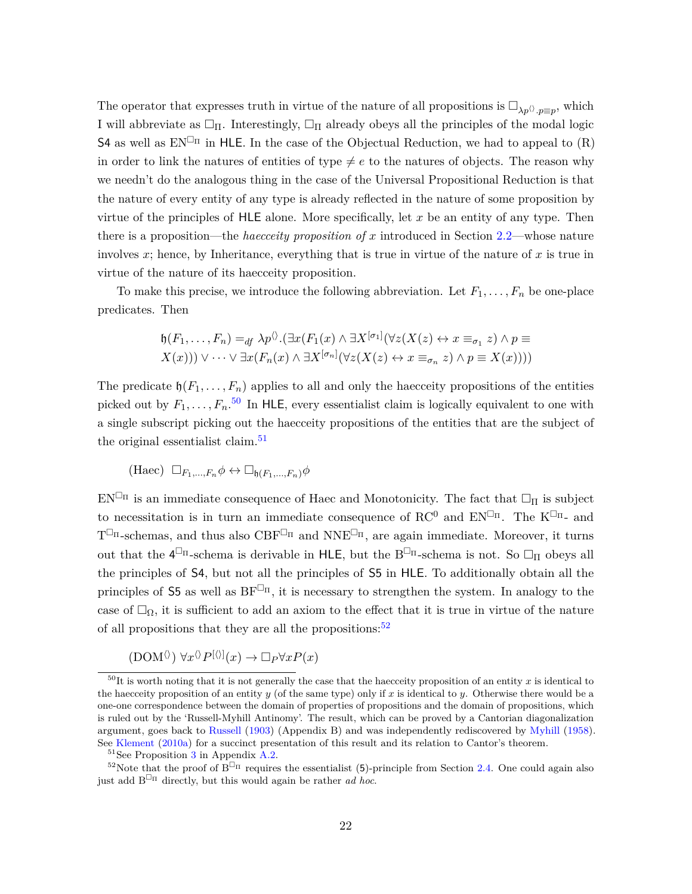The operator that expresses truth in virtue of the nature of all propositions is  $\square_{\lambda p} \otimes_{p\equiv p}$ , which I will abbreviate as  $\Box_{\Pi}$ . Interestingly,  $\Box_{\Pi}$  already obeys all the principles of the modal logic  $S4$  as well as  $EN^{\Box_{\Pi}}$  in HLE. In the case of the Objectual Reduction, we had to appeal to (R) in order to link the natures of entities of type  $\neq e$  to the natures of objects. The reason why we needn't do the analogous thing in the case of the Universal Propositional Reduction is that the nature of every entity of any type is already reflected in the nature of some proposition by virtue of the principles of HLE alone. More specifically, let *x* be an entity of any type. Then there is a proposition—the *haecceity proposition of x* introduced in Section [2.2—](#page-7-0)whose nature involves  $x$ ; hence, by Inheritance, everything that is true in virtue of the nature of  $x$  is true in virtue of the nature of its haecceity proposition.

To make this precise, we introduce the following abbreviation. Let  $F_1, \ldots, F_n$  be one-place predicates. Then

$$
\mathfrak{h}(F_1,\ldots,F_n) =_{df} \lambda p^{\langle\rangle}.(\exists x (F_1(x) \land \exists X^{[\sigma_1]}(\forall z (X(z) \leftrightarrow x \equiv_{\sigma_1} z) \land p \equiv X(x))) \lor \cdots \lor \exists x (F_n(x) \land \exists X^{[\sigma_n]}(\forall z (X(z) \leftrightarrow x \equiv_{\sigma_n} z) \land p \equiv X(x))))
$$

The predicate  $\mathfrak{h}(F_1,\ldots,F_n)$  applies to all and only the haecceity propositions of the entities picked out by  $F_1, \ldots, F_n$ <sup>[50](#page-21-0)</sup> In HLE, every essentialist claim is logically equivalent to one with a single subscript picking out the haecceity propositions of the entities that are the subject of the original essentialist claim.<sup>[51](#page-21-1)</sup>

$$
(\text{Haec}) \ \Box_{F_1,\dots,F_n} \phi \leftrightarrow \Box_{\mathfrak{h}(F_1,\dots,F_n)} \phi
$$

 $EN^{\Box_{\Pi}}$  is an immediate consequence of Haec and Monotonicity. The fact that  $\Box_{\Pi}$  is subject to necessitation is in turn an immediate consequence of  $\mathrm{RC}^0$  and  $\mathrm{EN}^{\square_{\Pi}}$ . The  $\mathrm{K}^{\square_{\Pi}}$ - and  $T^{\Box_{\Pi}}$ -schemas, and thus also  $CBF^{\Box_{\Pi}}$  and  $NNE^{\Box_{\Pi}}$ , are again immediate. Moreover, it turns out that the  $4^{\Box_{\Pi}}$ -schema is derivable in HLE, but the B<sup> $\Box_{\Pi}$ </sup>-schema is not. So  $\Box_{\Pi}$  obeys all the principles of S4, but not all the principles of S5 in HLE. To additionally obtain all the principles of 55 as well as  $BF^{\Box_{\Pi}}$ , it is necessary to strengthen the system. In analogy to the case of  $\Box_{\Omega}$ , it is sufficient to add an axiom to the effect that it is true in virtue of the nature of all propositions that they are all the propositions:  $52$ 

 $(DOM^{\langle\rangle}) \forall x^{\langle\rangle} P^{[\langle\rangle]}(x) \rightarrow \Box_P \forall x P(x)$ 

<span id="page-21-0"></span> $50$ It is worth noting that it is not generally the case that the haecceity proposition of an entity x is identical to the haecceity proposition of an entity  $y$  (of the same type) only if  $x$  is identical to  $y$ . Otherwise there would be a one-one correspondence between the domain of properties of propositions and the domain of propositions, which is ruled out by the 'Russell-Myhill Antinomy'. The result, which can be proved by a Cantorian diagonalization argument, goes back to [Russell](#page-40-11) [\(1903\)](#page-40-11) (Appendix B) and was independently rediscovered by [Myhill](#page-40-3) [\(1958\)](#page-40-3). See [Klement](#page-39-15) [\(2010a\)](#page-39-15) for a succinct presentation of this result and its relation to Cantor's theorem.

<span id="page-21-2"></span><span id="page-21-1"></span> $51$ See Proposition [3](#page-35-2) in Appendix [A.2.](#page-35-0)

<sup>&</sup>lt;sup>52</sup>Note that the proof of  $\widehat{B}^{\Box_{\Pi}}$  requires the essentialist (5)-principle from Section [2.4.](#page-13-3) One could again also just add  $B^{\Box_{\Pi}}$  directly, but this would again be rather *ad hoc*.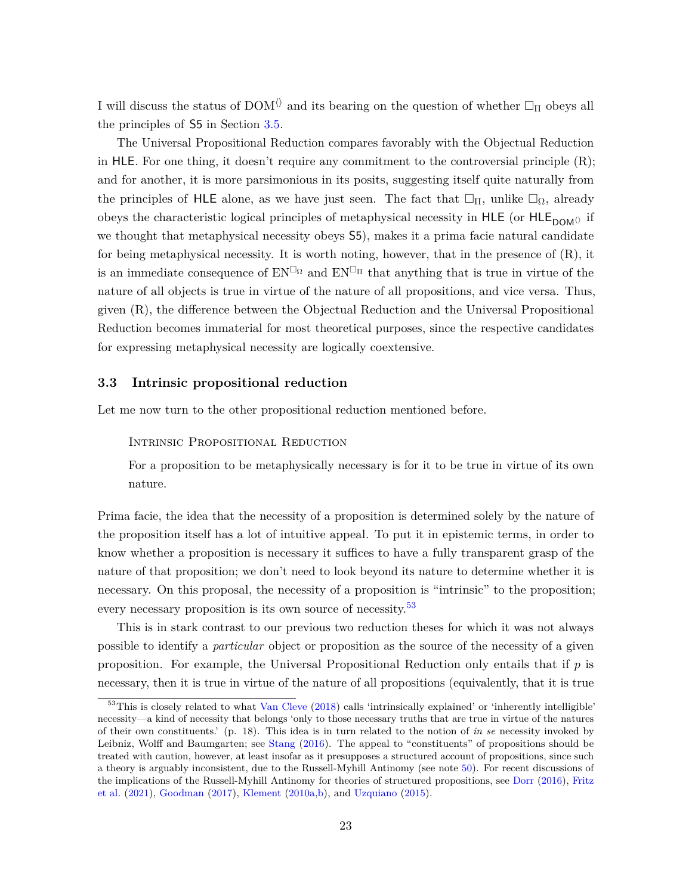I will discuss the status of DOM<sup> $\Diamond$ </sup> and its bearing on the question of whether  $\Box_{\Pi}$  obeys all the principles of S5 in Section [3.5.](#page-29-0)

The Universal Propositional Reduction compares favorably with the Objectual Reduction in HLE. For one thing, it doesn't require any commitment to the controversial principle (R); and for another, it is more parsimonious in its posits, suggesting itself quite naturally from the principles of HLE alone, as we have just seen. The fact that  $\Box_{\Pi}$ , unlike  $\Box_{\Omega}$ , already obeys the characteristic logical principles of metaphysical necessity in HLE (or HLE<sub>DOM()</sub> if we thought that metaphysical necessity obeys S5), makes it a prima facie natural candidate for being metaphysical necessity. It is worth noting, however, that in the presence of (R), it is an immediate consequence of  $EN^{\Box_{\Omega}}$  and  $EN^{\Box_{\Pi}}$  that anything that is true in virtue of the nature of all objects is true in virtue of the nature of all propositions, and vice versa. Thus, given (R), the difference between the Objectual Reduction and the Universal Propositional Reduction becomes immaterial for most theoretical purposes, since the respective candidates for expressing metaphysical necessity are logically coextensive.

#### <span id="page-22-0"></span>**3.3 Intrinsic propositional reduction**

Let me now turn to the other propositional reduction mentioned before.

#### Intrinsic Propositional Reduction

For a proposition to be metaphysically necessary is for it to be true in virtue of its own nature.

Prima facie, the idea that the necessity of a proposition is determined solely by the nature of the proposition itself has a lot of intuitive appeal. To put it in epistemic terms, in order to know whether a proposition is necessary it suffices to have a fully transparent grasp of the nature of that proposition; we don't need to look beyond its nature to determine whether it is necessary. On this proposal, the necessity of a proposition is "intrinsic" to the proposition; every necessary proposition is its own source of necessity.<sup>[53](#page-22-1)</sup>

This is in stark contrast to our previous two reduction theses for which it was not always possible to identify a *particular* object or proposition as the source of the necessity of a given proposition. For example, the Universal Propositional Reduction only entails that if *p* is necessary, then it is true in virtue of the nature of all propositions (equivalently, that it is true

<span id="page-22-1"></span><sup>53</sup>This is closely related to what [Van Cleve](#page-41-8) [\(2018\)](#page-41-8) calls 'intrinsically explained' or 'inherently intelligible' necessity—a kind of necessity that belongs 'only to those necessary truths that are true in virtue of the natures of their own constituents.' (p. 18). This idea is in turn related to the notion of *in se* necessity invoked by Leibniz, Wolff and Baumgarten; see [Stang](#page-41-9) [\(2016\)](#page-41-9). The appeal to "constituents" of propositions should be treated with caution, however, at least insofar as it presupposes a structured account of propositions, since such a theory is arguably inconsistent, due to the Russell-Myhill Antinomy (see note [50\)](#page-21-0). For recent discussions of the implications of the Russell-Myhill Antinomy for theories of structured propositions, see [Dorr](#page-38-7) [\(2016\)](#page-38-7), [Fritz](#page-39-9) [et al.](#page-39-9) [\(2021\)](#page-39-9), [Goodman](#page-39-10) [\(2017\)](#page-39-10), [Klement](#page-39-15) [\(2010a,](#page-39-15)[b\)](#page-40-12), and [Uzquiano](#page-41-10) [\(2015\)](#page-41-10).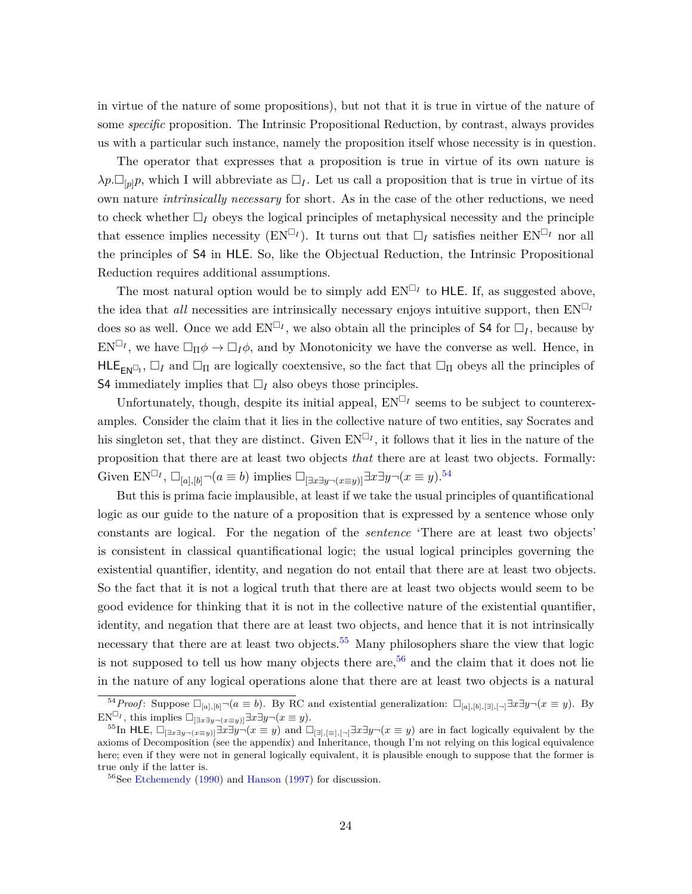in virtue of the nature of some propositions), but not that it is true in virtue of the nature of some *specific* proposition. The Intrinsic Propositional Reduction, by contrast, always provides us with a particular such instance, namely the proposition itself whose necessity is in question.

The operator that expresses that a proposition is true in virtue of its own nature is  $\lambda p \Box_{p} p$ , which I will abbreviate as  $\Box_I$ . Let us call a proposition that is true in virtue of its own nature *intrinsically necessary* for short. As in the case of the other reductions, we need to check whether  $\Box_I$  obeys the logical principles of metaphysical necessity and the principle that essence implies necessity ( $EN<sup>I</sup>I$ ). It turns out that  $I<sub>I</sub>$  satisfies neither  $EN<sup>I</sup>I$  nor all the principles of S4 in HLE. So, like the Objectual Reduction, the Intrinsic Propositional Reduction requires additional assumptions.

The most natural option would be to simply add  $EN^{\Box_I}$  to HLE. If, as suggested above, the idea that *all* necessities are intrinsically necessary enjoys intuitive support, then  $EN^{\square_I}$ does so as well. Once we add  $EN^{\square_I}$ , we also obtain all the principles of **S4** for  $\square_I$ , because by  $EN^{\Box_I}$ , we have  $\Box_{\Pi}\phi \to \Box_I \phi$ , and by Monotonicity we have the converse as well. Hence, in  $HLE_{EN^{\Box}I}$ ,  $\Box_I$  and  $\Box_{\Pi}$  are logically coextensive, so the fact that  $\Box_{\Pi}$  obeys all the principles of S4 immediately implies that  $\Box_I$  also obeys those principles.

Unfortunately, though, despite its initial appeal,  $EN^{\Box_I}$  seems to be subject to counterexamples. Consider the claim that it lies in the collective nature of two entities, say Socrates and his singleton set, that they are distinct. Given  $EN^{\square_I}$ , it follows that it lies in the nature of the proposition that there are at least two objects *that* there are at least two objects. Formally: Given  $EN^{\Box_I}$ ,  $\Box_{[a],[b]} \neg (a \equiv b)$  implies  $\Box_{[\exists x \exists y \neg (x \equiv y)]} \exists x \exists y \neg (x \equiv y)$ .<sup>[54](#page-23-0)</sup>

But this is prima facie implausible, at least if we take the usual principles of quantificational logic as our guide to the nature of a proposition that is expressed by a sentence whose only constants are logical. For the negation of the *sentence* 'There are at least two objects' is consistent in classical quantificational logic; the usual logical principles governing the existential quantifier, identity, and negation do not entail that there are at least two objects. So the fact that it is not a logical truth that there are at least two objects would seem to be good evidence for thinking that it is not in the collective nature of the existential quantifier, identity, and negation that there are at least two objects, and hence that it is not intrinsically necessary that there are at least two objects.<sup>[55](#page-23-1)</sup> Many philosophers share the view that logic is not supposed to tell us how many objects there are,  $56$  and the claim that it does not lie in the nature of any logical operations alone that there are at least two objects is a natural

<span id="page-23-0"></span> $\overline{54}$ *Proof*: Suppose  $\Box_{[a],[b]} \neg (a \equiv b)$ . By RC and existential generalization:  $\Box_{[a],[b],[\exists],\Box} \exists x \exists y \neg (x \equiv y)$ . By  $EN^{\square_I}$ , this implies  $\square_{\square \exists x \exists y \neg (x \equiv y)} \exists x \exists y \neg (x \equiv y)$ .

<span id="page-23-1"></span><sup>&</sup>lt;sup>55</sup>In HLE,  $\Box_{[\exists x\exists y\neg(x\equiv y)]}$  $\exists x\exists y\neg(x\equiv y)$  and  $\Box_{[\exists], [\equiv], [\neg]}$   $\exists x\exists y\neg(x\equiv y)$  are in fact logically equivalent by the axioms of Decomposition (see the appendix) and Inheritance, though I'm not relying on this logical equivalence here; even if they were not in general logically equivalent, it is plausible enough to suppose that the former is true only if the latter is.

<span id="page-23-2"></span><sup>&</sup>lt;sup>56</sup>See [Etchemendy](#page-39-16) [\(1990\)](#page-39-16) and [Hanson](#page-39-17) [\(1997\)](#page-39-17) for discussion.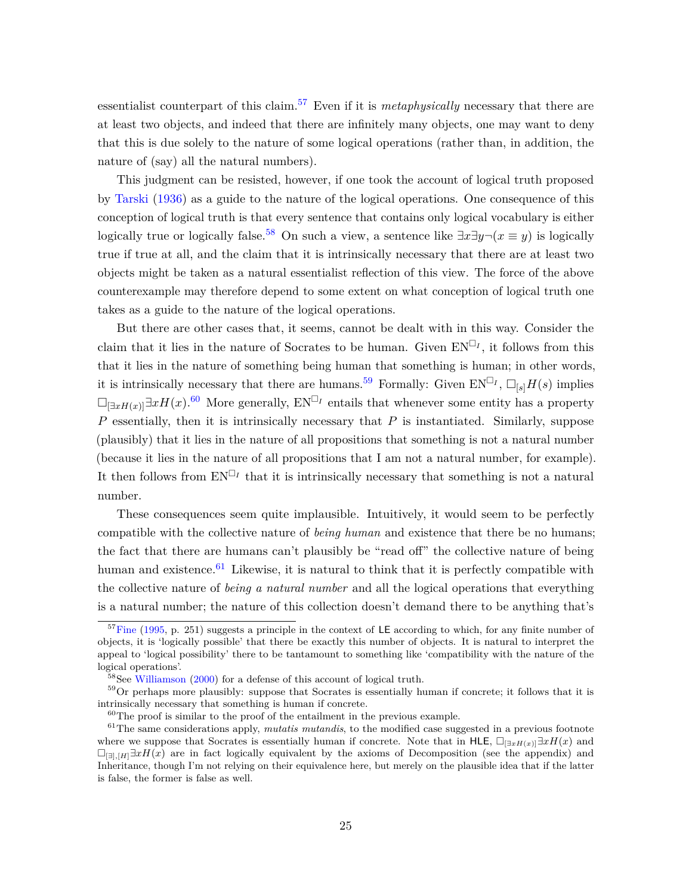essentialist counterpart of this claim.[57](#page-24-0) Even if it is *metaphysically* necessary that there are at least two objects, and indeed that there are infinitely many objects, one may want to deny that this is due solely to the nature of some logical operations (rather than, in addition, the nature of (say) all the natural numbers).

This judgment can be resisted, however, if one took the account of logical truth proposed by [Tarski](#page-41-11) [\(1936\)](#page-41-11) as a guide to the nature of the logical operations. One consequence of this conception of logical truth is that every sentence that contains only logical vocabulary is either logically true or logically false.<sup>[58](#page-24-1)</sup> On such a view, a sentence like  $\exists x \exists y \neg (x \equiv y)$  is logically true if true at all, and the claim that it is intrinsically necessary that there are at least two objects might be taken as a natural essentialist reflection of this view. The force of the above counterexample may therefore depend to some extent on what conception of logical truth one takes as a guide to the nature of the logical operations.

But there are other cases that, it seems, cannot be dealt with in this way. Consider the claim that it lies in the nature of Socrates to be human. Given  $EN^{\Box_I}$ , it follows from this that it lies in the nature of something being human that something is human; in other words, it is intrinsically necessary that there are humans.<sup>[59](#page-24-2)</sup> Formally: Given  $EN^{\Box_I}$ ,  $\Box_{[s]}H(s)$  implies  $\Box_{\exists xH(x)}\exists xH(x).$ <sup>[60](#page-24-3)</sup> More generally,  $EN^{\Box_I}$  entails that whenever some entity has a property *P* essentially, then it is intrinsically necessary that *P* is instantiated. Similarly, suppose (plausibly) that it lies in the nature of all propositions that something is not a natural number (because it lies in the nature of all propositions that I am not a natural number, for example). It then follows from  $EN^{\Box_I}$  that it is intrinsically necessary that something is not a natural number.

These consequences seem quite implausible. Intuitively, it would seem to be perfectly compatible with the collective nature of *being human* and existence that there be no humans; the fact that there are humans can't plausibly be "read off" the collective nature of being human and existence. $61$  Likewise, it is natural to think that it is perfectly compatible with the collective nature of *being a natural number* and all the logical operations that everything is a natural number; the nature of this collection doesn't demand there to be anything that's

<span id="page-24-0"></span> $57$ [Fine](#page-39-1) [\(1995,](#page-39-1) p. 251) suggests a principle in the context of LE according to which, for any finite number of objects, it is 'logically possible' that there be exactly this number of objects. It is natural to interpret the appeal to 'logical possibility' there to be tantamount to something like 'compatibility with the nature of the logical operations'.

<span id="page-24-2"></span><span id="page-24-1"></span> $58$ See [Williamson](#page-41-12) [\(2000\)](#page-41-12) for a defense of this account of logical truth.

 $59$ Or perhaps more plausibly: suppose that Socrates is essentially human if concrete; it follows that it is intrinsically necessary that something is human if concrete.

<span id="page-24-4"></span><span id="page-24-3"></span> $60$ The proof is similar to the proof of the entailment in the previous example.

<sup>&</sup>lt;sup>61</sup>The same considerations apply, *mutatis mutandis*, to the modified case suggested in a previous footnote where we suppose that Socrates is essentially human if concrete. Note that in HLE,  $\Box_{\exists xH(x)}\exists xH(x)$  and  $\Box_{\Box\Box H} \Box xH(x)$  are in fact logically equivalent by the axioms of Decomposition (see the appendix) and Inheritance, though I'm not relying on their equivalence here, but merely on the plausible idea that if the latter is false, the former is false as well.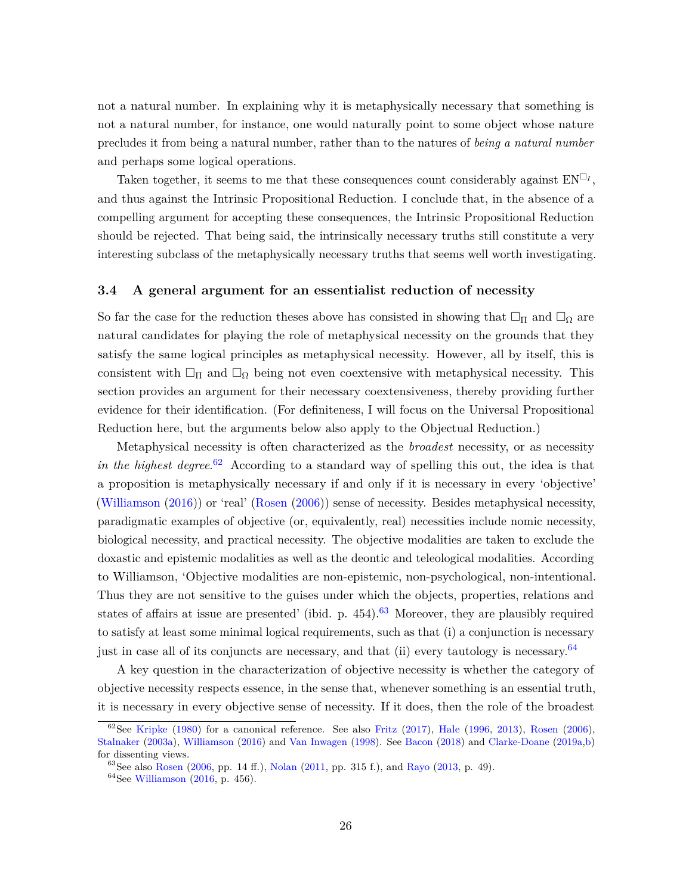not a natural number. In explaining why it is metaphysically necessary that something is not a natural number, for instance, one would naturally point to some object whose nature precludes it from being a natural number, rather than to the natures of *being a natural number* and perhaps some logical operations.

Taken together, it seems to me that these consequences count considerably against  $EN^{\Box_I}$ , and thus against the Intrinsic Propositional Reduction. I conclude that, in the absence of a compelling argument for accepting these consequences, the Intrinsic Propositional Reduction should be rejected. That being said, the intrinsically necessary truths still constitute a very interesting subclass of the metaphysically necessary truths that seems well worth investigating.

#### <span id="page-25-0"></span>**3.4 A general argument for an essentialist reduction of necessity**

So far the case for the reduction theses above has consisted in showing that  $\Box_{\Pi}$  and  $\Box_{\Omega}$  are natural candidates for playing the role of metaphysical necessity on the grounds that they satisfy the same logical principles as metaphysical necessity. However, all by itself, this is consistent with  $\Box_{\Pi}$  and  $\Box_{\Omega}$  being not even coextensive with metaphysical necessity. This section provides an argument for their necessary coextensiveness, thereby providing further evidence for their identification. (For definiteness, I will focus on the Universal Propositional Reduction here, but the arguments below also apply to the Objectual Reduction.)

Metaphysical necessity is often characterized as the *broadest* necessity, or as necessity *in the highest degree*. [62](#page-25-1) According to a standard way of spelling this out, the idea is that a proposition is metaphysically necessary if and only if it is necessary in every 'objective' [\(Williamson](#page-41-13) [\(2016\)](#page-41-13)) or 'real' [\(Rosen](#page-40-13) [\(2006\)](#page-40-13)) sense of necessity. Besides metaphysical necessity, paradigmatic examples of objective (or, equivalently, real) necessities include nomic necessity, biological necessity, and practical necessity. The objective modalities are taken to exclude the doxastic and epistemic modalities as well as the deontic and teleological modalities. According to Williamson, 'Objective modalities are non-epistemic, non-psychological, non-intentional. Thus they are not sensitive to the guises under which the objects, properties, relations and states of affairs at issue are presented' (ibid. p.  $454$ ).<sup>[63](#page-25-2)</sup> Moreover, they are plausibly required to satisfy at least some minimal logical requirements, such as that (i) a conjunction is necessary just in case all of its conjuncts are necessary, and that (ii) every tautology is necessary.<sup>[64](#page-25-3)</sup>

A key question in the characterization of objective necessity is whether the category of objective necessity respects essence, in the sense that, whenever something is an essential truth, it is necessary in every objective sense of necessity. If it does, then the role of the broadest

<span id="page-25-1"></span> $62$ See [Kripke](#page-40-14) [\(1980\)](#page-40-14) for a canonical reference. See also [Fritz](#page-39-18) [\(2017\)](#page-39-18), [Hale](#page-39-3) [\(1996,](#page-39-3) [2013\)](#page-39-5), [Rosen](#page-40-13) [\(2006\)](#page-40-13), [Stalnaker](#page-40-15) [\(2003a\)](#page-40-15), [Williamson](#page-41-13) [\(2016\)](#page-41-13) and [Van Inwagen](#page-41-14) [\(1998\)](#page-41-14). See [Bacon](#page-38-12) [\(2018\)](#page-38-12) and [Clarke-Doane](#page-38-13) [\(2019a,](#page-38-13)[b\)](#page-38-14) for dissenting views.

<span id="page-25-2"></span><sup>63</sup>See also [Rosen](#page-40-13) [\(2006,](#page-40-13) pp. 14 ff.), [Nolan](#page-40-16) [\(2011,](#page-40-16) pp. 315 f.), and [Rayo](#page-40-17) [\(2013,](#page-40-17) p. 49).

<span id="page-25-3"></span> $64$ See [Williamson](#page-41-13) [\(2016,](#page-41-13) p. 456).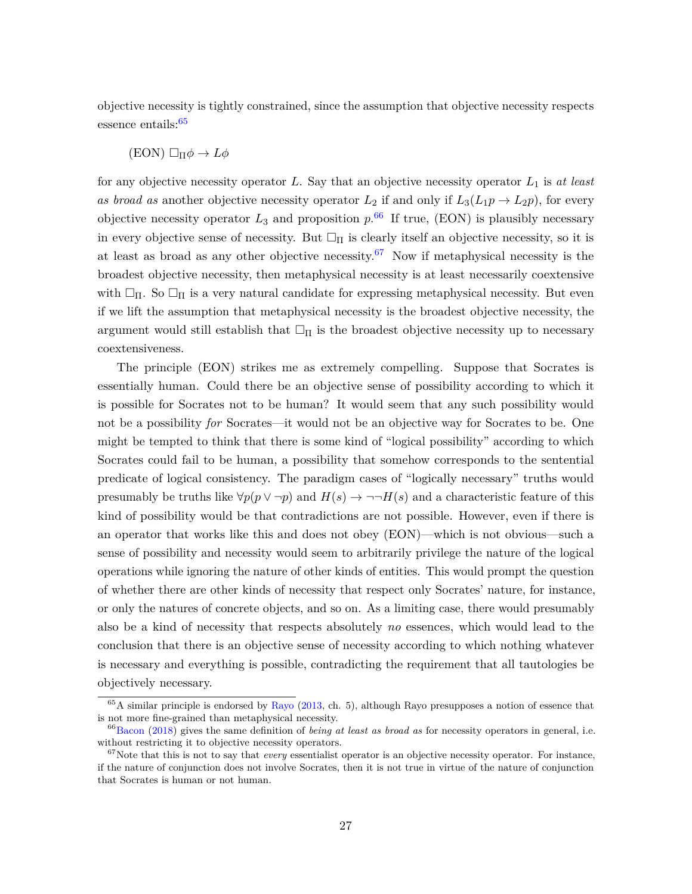objective necessity is tightly constrained, since the assumption that objective necessity respects essence entails: $65$ 

$$
(EON) \Box_{\Pi} \phi \to L\phi
$$

for any objective necessity operator *L*. Say that an objective necessity operator *L*<sup>1</sup> is *at least* as broad as another objective necessity operator  $L_2$  if and only if  $L_3(L_1p \to L_2p)$ , for every objective necessity operator  $L_3$  and proposition  $p^{66}$  $p^{66}$  $p^{66}$  If true, (EON) is plausibly necessary in every objective sense of necessity. But  $\Box_{\Pi}$  is clearly itself an objective necessity, so it is at least as broad as any other objective necessity.<sup>[67](#page-26-2)</sup> Now if metaphysical necessity is the broadest objective necessity, then metaphysical necessity is at least necessarily coextensive with  $\Box_{\Pi}$ . So  $\Box_{\Pi}$  is a very natural candidate for expressing metaphysical necessity. But even if we lift the assumption that metaphysical necessity is the broadest objective necessity, the argument would still establish that  $\Box_{\Pi}$  is the broadest objective necessity up to necessary coextensiveness.

The principle (EON) strikes me as extremely compelling. Suppose that Socrates is essentially human. Could there be an objective sense of possibility according to which it is possible for Socrates not to be human? It would seem that any such possibility would not be a possibility *for* Socrates—it would not be an objective way for Socrates to be. One might be tempted to think that there is some kind of "logical possibility" according to which Socrates could fail to be human, a possibility that somehow corresponds to the sentential predicate of logical consistency. The paradigm cases of "logically necessary" truths would presumably be truths like  $\forall p(p \lor \neg p)$  and  $H(s) \to \neg \neg H(s)$  and a characteristic feature of this kind of possibility would be that contradictions are not possible. However, even if there is an operator that works like this and does not obey (EON)—which is not obvious—such a sense of possibility and necessity would seem to arbitrarily privilege the nature of the logical operations while ignoring the nature of other kinds of entities. This would prompt the question of whether there are other kinds of necessity that respect only Socrates' nature, for instance, or only the natures of concrete objects, and so on. As a limiting case, there would presumably also be a kind of necessity that respects absolutely *no* essences, which would lead to the conclusion that there is an objective sense of necessity according to which nothing whatever is necessary and everything is possible, contradicting the requirement that all tautologies be objectively necessary.

<span id="page-26-0"></span> $65A$  similar principle is endorsed by [Rayo](#page-40-17) [\(2013,](#page-40-17) ch. 5), although Rayo presupposes a notion of essence that is not more fine-grained than metaphysical necessity.

<span id="page-26-1"></span><sup>66</sup>[Bacon](#page-38-12) [\(2018\)](#page-38-12) gives the same definition of *being at least as broad as* for necessity operators in general, i.e. without restricting it to objective necessity operators.

<span id="page-26-2"></span><sup>67</sup>Note that this is not to say that *every* essentialist operator is an objective necessity operator. For instance, if the nature of conjunction does not involve Socrates, then it is not true in virtue of the nature of conjunction that Socrates is human or not human.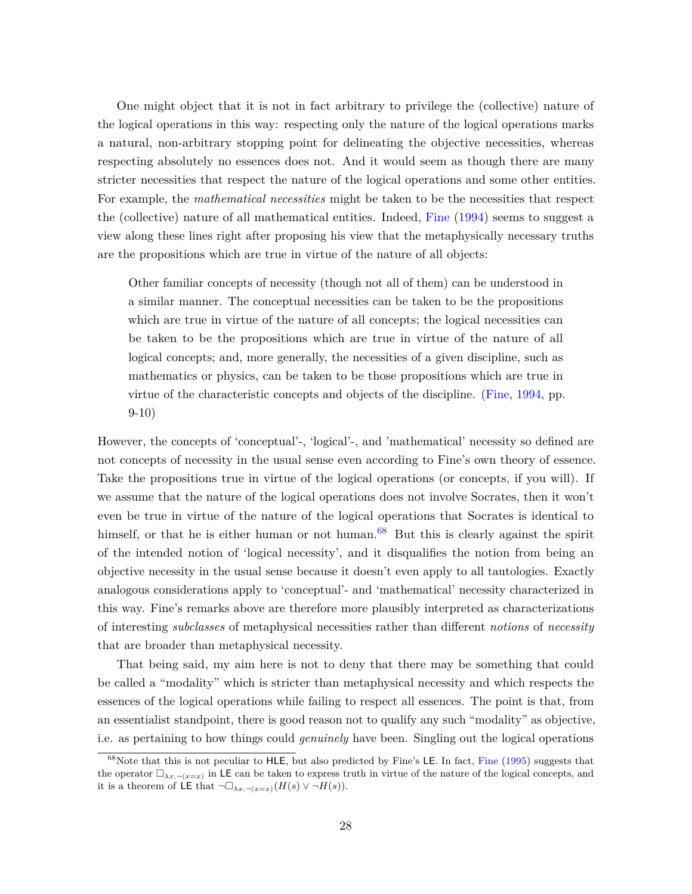One might object that it is not in fact arbitrary to privilege the (collective) nature of the logical operations in this way: respecting only the nature of the logical operations marks a natural, non-arbitrary stopping point for delineating the objective necessities, whereas respecting absolutely no essences does not. And it would seem as though there are many stricter necessities that respect the nature of the logical operations and some other entities. For example, the *mathematical necessities* might be taken to be the necessities that respect the (collective) nature of all mathematical entities. Indeed, [Fine](#page-39-0) [\(1994\)](#page-39-0) seems to suggest a view along these lines right after proposing his view that the metaphysically necessary truths are the propositions which are true in virtue of the nature of all objects:

Other familiar concepts of necessity (though not all of them) can be understood in a similar manner. The conceptual necessities can be taken to be the propositions which are true in virtue of the nature of all concepts; the logical necessities can be taken to be the propositions which are true in virtue of the nature of all logical concepts; and, more generally, the necessities of a given discipline, such as mathematics or physics, can be taken to be those propositions which are true in virtue of the characteristic concepts and objects of the discipline. [\(Fine,](#page-39-0) [1994,](#page-39-0) pp. 9-10)

However, the concepts of 'conceptual'-, 'logical'-, and 'mathematical' necessity so defined are not concepts of necessity in the usual sense even according to Fine's own theory of essence. Take the propositions true in virtue of the logical operations (or concepts, if you will). If we assume that the nature of the logical operations does not involve Socrates, then it won't even be true in virtue of the nature of the logical operations that Socrates is identical to himself, or that he is either human or not human.<sup>[68](#page-27-0)</sup> But this is clearly against the spirit of the intended notion of 'logical necessity', and it disqualifies the notion from being an objective necessity in the usual sense because it doesn't even apply to all tautologies. Exactly analogous considerations apply to 'conceptual'- and 'mathematical' necessity characterized in this way. Fine's remarks above are therefore more plausibly interpreted as characterizations of interesting *subclasses* of metaphysical necessities rather than different *notions* of *necessity* that are broader than metaphysical necessity.

That being said, my aim here is not to deny that there may be something that could be called a "modality" which is stricter than metaphysical necessity and which respects the essences of the logical operations while failing to respect all essences. The point is that, from an essentialist standpoint, there is good reason not to qualify any such "modality" as objective, i.e. as pertaining to how things could *genuinely* have been. Singling out the logical operations

<span id="page-27-0"></span><sup>&</sup>lt;sup>68</sup>Note that this is not peculiar to HLE, but also predicted by [Fine](#page-39-1)'s LE. In fact, Fine [\(1995\)](#page-39-1) suggests that the operator  $\Box_{\lambda x. \neg (x=x)}$  in LE can be taken to express truth in virtue of the nature of the logical concepts, and it is a theorem of LE that  $\neg \Box_{\lambda x \cdot \neg (x=x)}(H(s) \vee \neg H(s)).$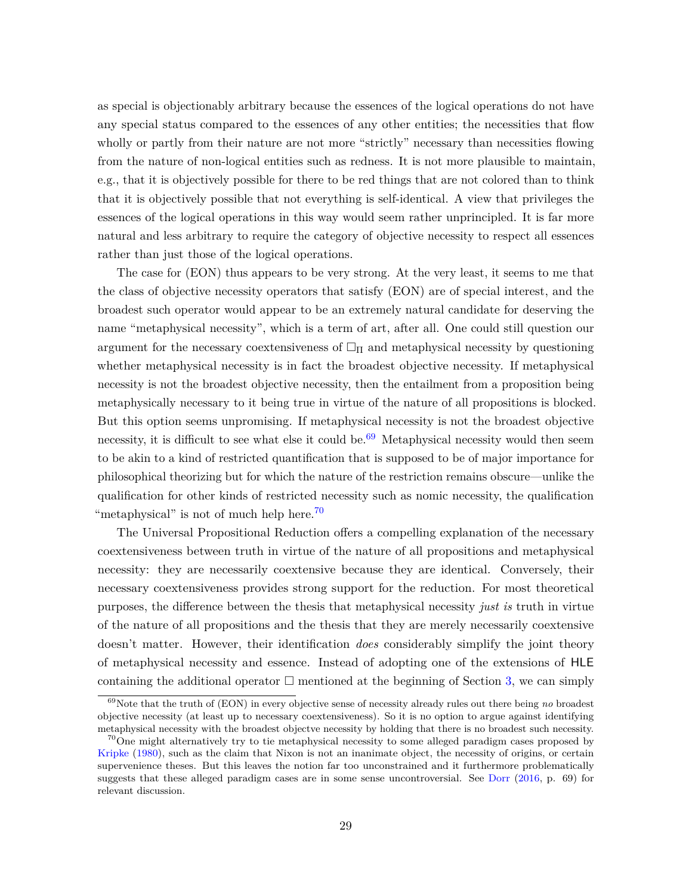as special is objectionably arbitrary because the essences of the logical operations do not have any special status compared to the essences of any other entities; the necessities that flow wholly or partly from their nature are not more "strictly" necessary than necessities flowing from the nature of non-logical entities such as redness. It is not more plausible to maintain, e.g., that it is objectively possible for there to be red things that are not colored than to think that it is objectively possible that not everything is self-identical. A view that privileges the essences of the logical operations in this way would seem rather unprincipled. It is far more natural and less arbitrary to require the category of objective necessity to respect all essences rather than just those of the logical operations.

The case for (EON) thus appears to be very strong. At the very least, it seems to me that the class of objective necessity operators that satisfy (EON) are of special interest, and the broadest such operator would appear to be an extremely natural candidate for deserving the name "metaphysical necessity", which is a term of art, after all. One could still question our argument for the necessary coextensiveness of  $\Box_{\Pi}$  and metaphysical necessity by questioning whether metaphysical necessity is in fact the broadest objective necessity. If metaphysical necessity is not the broadest objective necessity, then the entailment from a proposition being metaphysically necessary to it being true in virtue of the nature of all propositions is blocked. But this option seems unpromising. If metaphysical necessity is not the broadest objective necessity, it is difficult to see what else it could be.<sup>[69](#page-28-0)</sup> Metaphysical necessity would then seem to be akin to a kind of restricted quantification that is supposed to be of major importance for philosophical theorizing but for which the nature of the restriction remains obscure—unlike the qualification for other kinds of restricted necessity such as nomic necessity, the qualification "metaphysical" is not of much help here.<sup>[70](#page-28-1)</sup>

The Universal Propositional Reduction offers a compelling explanation of the necessary coextensiveness between truth in virtue of the nature of all propositions and metaphysical necessity: they are necessarily coextensive because they are identical. Conversely, their necessary coextensiveness provides strong support for the reduction. For most theoretical purposes, the difference between the thesis that metaphysical necessity *just is* truth in virtue of the nature of all propositions and the thesis that they are merely necessarily coextensive doesn't matter. However, their identification *does* considerably simplify the joint theory of metaphysical necessity and essence. Instead of adopting one of the extensions of HLE containing the additional operator  $\Box$  mentioned at the beginning of Section [3,](#page-15-0) we can simply

<span id="page-28-0"></span><sup>69</sup>Note that the truth of (EON) in every objective sense of necessity already rules out there being *no* broadest objective necessity (at least up to necessary coextensiveness). So it is no option to argue against identifying metaphysical necessity with the broadest objectve necessity by holding that there is no broadest such necessity.

<span id="page-28-1"></span> $70$ One might alternatively try to tie metaphysical necessity to some alleged paradigm cases proposed by [Kripke](#page-40-14) [\(1980\)](#page-40-14), such as the claim that Nixon is not an inanimate object, the necessity of origins, or certain supervenience theses. But this leaves the notion far too unconstrained and it furthermore problematically suggests that these alleged paradigm cases are in some sense uncontroversial. See [Dorr](#page-38-7) [\(2016,](#page-38-7) p. 69) for relevant discussion.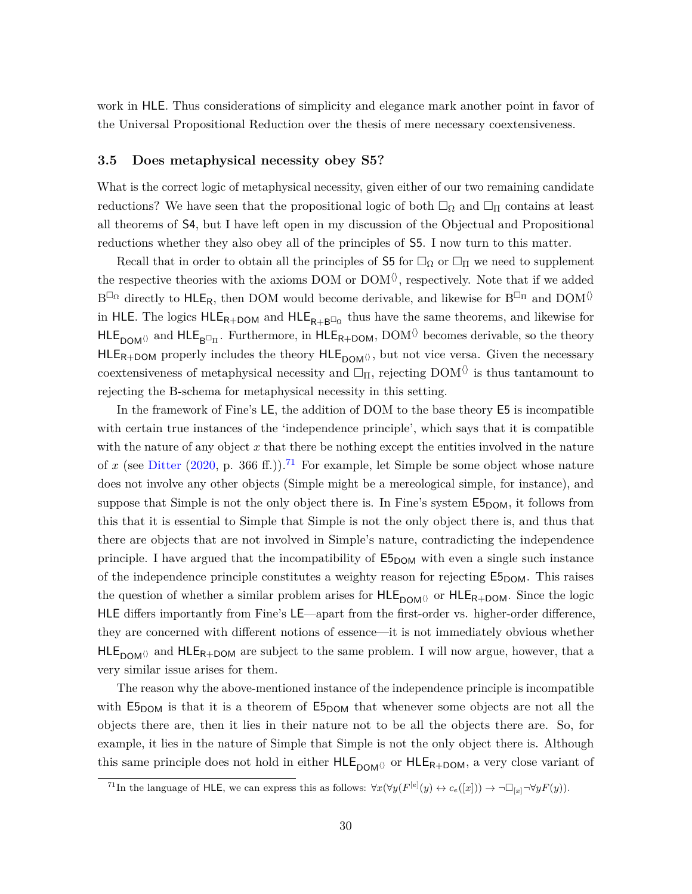work in HLE. Thus considerations of simplicity and elegance mark another point in favor of the Universal Propositional Reduction over the thesis of mere necessary coextensiveness.

### <span id="page-29-0"></span>**3.5 Does metaphysical necessity obey S5?**

What is the correct logic of metaphysical necessity, given either of our two remaining candidate reductions? We have seen that the propositional logic of both  $\Box_{\Omega}$  and  $\Box_{\Pi}$  contains at least all theorems of S4, but I have left open in my discussion of the Objectual and Propositional reductions whether they also obey all of the principles of S5. I now turn to this matter.

Recall that in order to obtain all the principles of S5 for  $\Box_{\Omega}$  or  $\Box_{\Pi}$  we need to supplement the respective theories with the axioms DOM or  $\text{DOM} \langle \rangle,$  respectively. Note that if we added  $B^{\Box_{\Omega}}$  directly to  $HLE_R$ , then DOM would become derivable, and likewise for  $B^{\Box_{\Pi}}$  and  $DOM^{\Diamond}$ in HLE. The logics  $HLE_{R+DOM}$  and  $HLE_{R+B^{\Box_{\Omega}}}$  thus have the same theorems, and likewise for  $HLE_{DOM}$  and  $HLE_{B^{\Box} \Pi}$ . Furthermore, in  $HLE_{R+DOM}$ ,  $DOM^{\langle\rangle}$  becomes derivable, so the theory  $HLE_{R+DOM}$  properly includes the theory  $HLE_{DOM}\circ$ , but not vice versa. Given the necessary coextensiveness of metaphysical necessity and  $\Box_{\Pi}$ , rejecting DOM $\Diamond$  is thus tantamount to rejecting the B-schema for metaphysical necessity in this setting.

In the framework of Fine's LE, the addition of DOM to the base theory E5 is incompatible with certain true instances of the 'independence principle', which says that it is compatible with the nature of any object  $x$  that there be nothing except the entities involved in the nature of x (see [Ditter](#page-38-5) [\(2020,](#page-38-5) p. 366 ff.)).<sup>[71](#page-29-1)</sup> For example, let Simple be some object whose nature does not involve any other objects (Simple might be a mereological simple, for instance), and suppose that Simple is not the only object there is. In Fine's system  $E_{5DOM}$ , it follows from this that it is essential to Simple that Simple is not the only object there is, and thus that there are objects that are not involved in Simple's nature, contradicting the independence principle. I have argued that the incompatibility of  $E_{DOM}$  with even a single such instance of the independence principle constitutes a weighty reason for rejecting  $E_{5DOM}$ . This raises the question of whether a similar problem arises for  $HLE_{DOM}$  or  $HLE_{R+DOM}$ . Since the logic HLE differs importantly from Fine's LE—apart from the first-order vs. higher-order difference, they are concerned with different notions of essence—it is not immediately obvious whether  $HLE_{DOM}$  and  $HLE_{R+DOM}$  are subject to the same problem. I will now argue, however, that a very similar issue arises for them.

The reason why the above-mentioned instance of the independence principle is incompatible with  $E_{5DOM}$  is that it is a theorem of  $E_{5DOM}$  that whenever some objects are not all the objects there are, then it lies in their nature not to be all the objects there are. So, for example, it lies in the nature of Simple that Simple is not the only object there is. Although this same principle does not hold in either  $HLE_{DOM}$  or  $HLE_{R+DOM}$ , a very close variant of

<span id="page-29-1"></span><sup>&</sup>lt;sup>71</sup>In the language of HLE, we can express this as follows:  $\forall x (\forall y (F^{[e]}(y) \leftrightarrow c_e([x])) \rightarrow \neg \Box_{[x]} \neg \forall y F(y)).$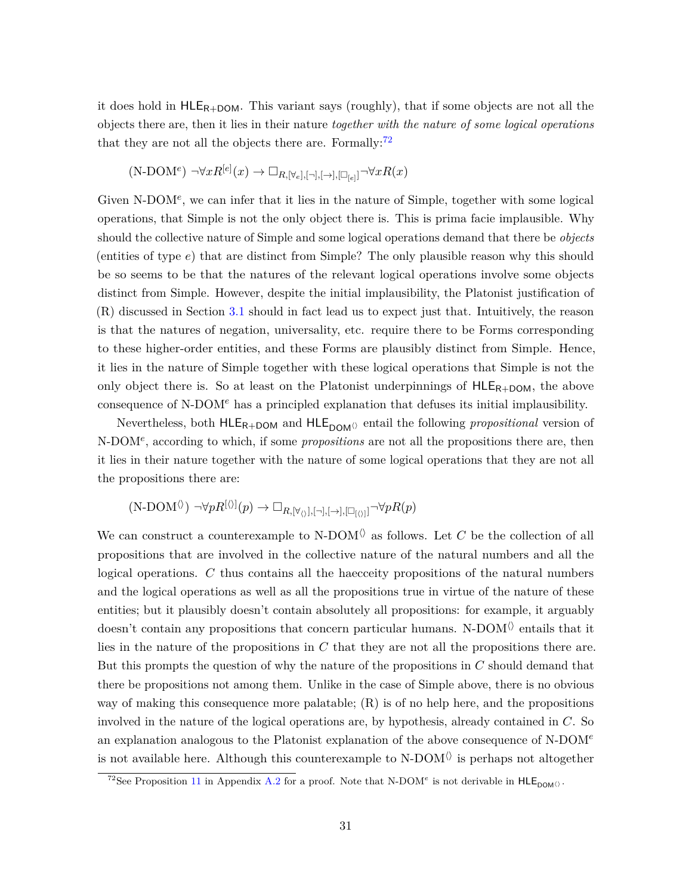it does hold in  $HLE_{R+DOM}$ . This variant says (roughly), that if some objects are not all the objects there are, then it lies in their nature *together with the nature of some logical operations* that they are not all the objects there are. Formally: $72$ 

$$
(\text{N-DOM}^e) \ \neg \forall x R^{[e]}(x) \to \Box_{R, [\forall_e], [\neg], [\rightarrow], [\Box_{[e]}]} \neg \forall x R(x)
$$

Given N-DOM<sup>e</sup>, we can infer that it lies in the nature of Simple, together with some logical operations, that Simple is not the only object there is. This is prima facie implausible. Why should the collective nature of Simple and some logical operations demand that there be *objects* (entities of type *e*) that are distinct from Simple? The only plausible reason why this should be so seems to be that the natures of the relevant logical operations involve some objects distinct from Simple. However, despite the initial implausibility, the Platonist justification of (R) discussed in Section [3.1](#page-17-0) should in fact lead us to expect just that. Intuitively, the reason is that the natures of negation, universality, etc. require there to be Forms corresponding to these higher-order entities, and these Forms are plausibly distinct from Simple. Hence, it lies in the nature of Simple together with these logical operations that Simple is not the only object there is. So at least on the Platonist underpinnings of  $HLE_{R+DOM}$ , the above consequence of N-DOM*<sup>e</sup>* has a principled explanation that defuses its initial implausibility.

Nevertheless, both  $HLE_{R+DOM}$  and  $HLE_{DOM}$  entail the following *propositional* version of N-DOM*<sup>e</sup>* , according to which, if some *propositions* are not all the propositions there are, then it lies in their nature together with the nature of some logical operations that they are not all the propositions there are:

$$
(N\text{-}\mathrm{DOM}^{\langle\rangle})\ \neg\forall pR^{[\langle\rangle]}(p)\to \Box_{R,[\forall_{\langle\rangle}], [\neg], [\rightarrow], [\Box_{[\langle\rangle]}]}\neg\forall pR(p)
$$

We can construct a counterexample to N-DOM<sup> $\langle \rangle$ </sup> as follows. Let *C* be the collection of all propositions that are involved in the collective nature of the natural numbers and all the logical operations. *C* thus contains all the haecceity propositions of the natural numbers and the logical operations as well as all the propositions true in virtue of the nature of these entities; but it plausibly doesn't contain absolutely all propositions: for example, it arguably doesn't contain any propositions that concern particular humans. N-DOM $\Diamond$  entails that it lies in the nature of the propositions in *C* that they are not all the propositions there are. But this prompts the question of why the nature of the propositions in *C* should demand that there be propositions not among them. Unlike in the case of Simple above, there is no obvious way of making this consequence more palatable;  $(R)$  is of no help here, and the propositions involved in the nature of the logical operations are, by hypothesis, already contained in *C*. So an explanation analogous to the Platonist explanation of the above consequence of N-DOM*<sup>e</sup>* is not available here. Although this counterexample to  $N-DOM^{\langle\rangle}$  is perhaps not altogether

<span id="page-30-0"></span><sup>&</sup>lt;sup>72</sup>See Proposition [11](#page-37-1) in Appendix [A.2](#page-35-0) for a proof. Note that N-DOM<sup>*e*</sup> is not derivable in  $HLE_{DOM}$ .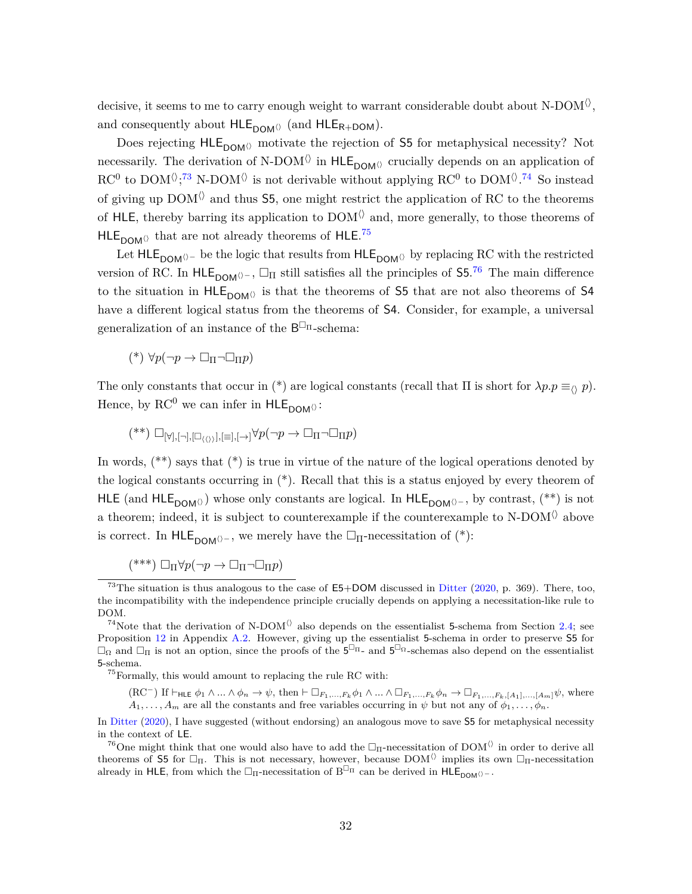decisive, it seems to me to carry enough weight to warrant considerable doubt about N-DOM<sup> $\langle \rangle$ </sup>, and consequently about  $HLE_{DOM}$  (and  $HLE_{R+DOM}$ ).

Does rejecting  $HLE_{DOM}$  motivate the rejection of S5 for metaphysical necessity? Not necessarily. The derivation of N-DOM $\langle \rangle$  in HLE<sub>DOM $\langle \rangle$ </sub> crucially depends on an application of  $\mathrm{RC}^0$  to  $\mathrm{DOM} \langle \cdot, ^{73} \text{ N-DOM} \rangle$  $\mathrm{DOM} \langle \cdot, ^{73} \text{ N-DOM} \rangle$  $\mathrm{DOM} \langle \cdot, ^{73} \text{ N-DOM} \rangle$  is not derivable without applying  $\mathrm{RC}^0$  to  $\mathrm{DOM} \langle \cdot, ^{74}$  $\mathrm{DOM} \langle \cdot, ^{74}$  $\mathrm{DOM} \langle \cdot, ^{74}$  So instead of giving up  $DOM^{\langle\rangle}$  and thus 55, one might restrict the application of RC to the theorems of HLE, thereby barring its application to  $DOM^{\langle\rangle}$  and, more generally, to those theorems of  $HLE<sub>DOM</sub>$ <sup>0</sup> that are not already theorems of HLE.<sup>[75](#page-31-2)</sup>

Let HLE<sub>DOM</sub> $\lozenge$  be the logic that results from HLE<sub>DOM</sub> $\lozenge$  by replacing RC with the restricted version of RC. In  $HLE_{DOM\Diamond^-}$ ,  $\Box_{\Pi}$  still satisfies all the principles of  $55.^{76}$  $55.^{76}$  $55.^{76}$  The main difference to the situation in  $HLE_{DOM}$  is that the theorems of S5 that are not also theorems of S4 have a different logical status from the theorems of S4. Consider, for example, a universal generalization of an instance of the  $B^{\Box_{\Pi}}$ -schema:

 $(*) \forall p(\neg p \rightarrow \Box_{\Pi} \neg \Box_{\Pi} p)$ 

The only constants that occur in (\*) are logical constants (recall that  $\Pi$  is short for  $\lambda p.p \equiv_{\Diamond} p$ ). Hence, by  $\mathrm{RC}^0$  we can infer in  $\mathsf{HLE}_{\mathsf{DOM}\langle}$ :

 $(**)$   $\Box_{\lbrack \forall 1,\lbrack \neg \rbrack, \lbrack \Box_{(1)}\rbrack, \lbrack \equiv 1,\lbrack \rightarrow \rbrack}$  $\forall p(\neg p \rightarrow \Box_{\Pi} \neg \Box_{\Pi} p)$ 

In words,  $(**)$  says that  $(*)$  is true in virtue of the nature of the logical operations denoted by the logical constants occurring in  $(*)$ . Recall that this is a status enjoyed by every theorem of HLE (and HLE<sub>DOM</sub> $\Diamond$ ) whose only constants are logical. In HLE<sub>DOM</sub> $\Diamond$ –, by contrast, (\*\*) is not a theorem; indeed, it is subject to counterexample if the counterexample to N-DOM $\Diamond$  above is correct. In HLE<sub>DOM</sub> $\Diamond$ -, we merely have the  $\Box_{\Pi}$ -necessitation of (\*):

 $(***)\Box_{\Pi}\forall p(\neg p \rightarrow \Box_{\Pi}\neg \Box_{\Pi}p)$ 

<span id="page-31-2"></span> $^{75}\rm{Formally, }$  this would amount to replacing the rule RC with:

 $(RC^-)$  If  $\vdash$ <sub>HLE</sub>  $\phi_1 \wedge ... \wedge \phi_n \to \psi$ , then  $\vdash \Box_{F_1,...,F_k} \phi_1 \wedge ... \wedge \Box_{F_1,...,F_k} \phi_n \to \Box_{F_1,...,F_k, [A_1],...,[A_m]} \psi$ , where  $A_1, \ldots, A_m$  are all the constants and free variables occurring in  $\psi$  but not any of  $\phi_1, \ldots, \phi_n$ .

<span id="page-31-0"></span><sup>&</sup>lt;sup>73</sup>The situation is thus analogous to the case of  $E5+DOM$  discussed in [Ditter](#page-38-5) [\(2020,](#page-38-5) p. 369). There, too, the incompatibility with the independence principle crucially depends on applying a necessitation-like rule to DOM.

<span id="page-31-1"></span><sup>&</sup>lt;sup>74</sup>Note that the derivation of N-DOM<sup> $\Diamond$ </sup> also depends on the essentialist 5-schema from Section [2.4;](#page-13-3) see Proposition [12](#page-38-15) in Appendix [A.2.](#page-35-0) However, giving up the essentialist 5-schema in order to preserve S5 for  $\Box_{\Omega}$  and  $\Box_{\Pi}$  is not an option, since the proofs of the  $5^{\Box_{\Pi}}$ - and  $5^{\Box_{\Omega}}$ -schemas also depend on the essentialist 5-schema.

In [Ditter](#page-38-5) [\(2020\)](#page-38-5), I have suggested (without endorsing) an analogous move to save S5 for metaphysical necessity in the context of LE.

<span id="page-31-3"></span><sup>&</sup>lt;sup>76</sup>One might think that one would also have to add the  $\Box_{\Pi}$ -necessitation of DOM<sup> $\Diamond$ </sup> in order to derive all theorems of 55 for  $\Box_{\Pi}$ . This is not necessary, however, because DOM<sup> $\Diamond$ </sup> implies its own  $\Box_{\Pi}$ -necessitation already in HLE, from which the  $\Box_{\Pi}$ -necessitation of B<sup> $\Box_{\Pi}$ </sup> can be derived in HLE<sub>DOM()</sub>-.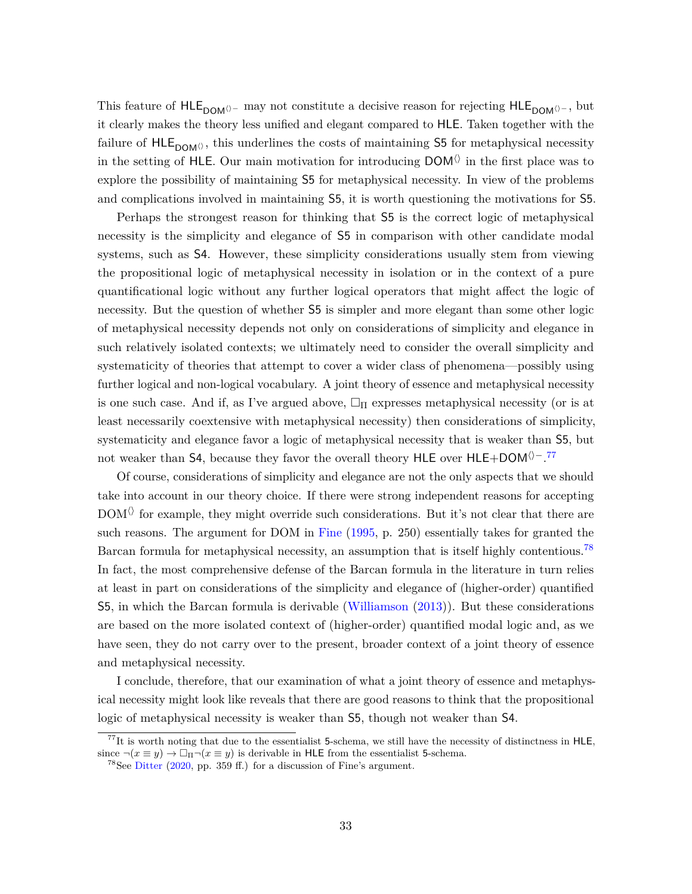This feature of HLE<sub>DOM</sub> $\Diamond$ - may not constitute a decisive reason for rejecting HLE<sub>DOM</sub> $\Diamond$ -, but it clearly makes the theory less unified and elegant compared to HLE. Taken together with the failure of  $HLE_{DOM}\langle\rangle$ , this underlines the costs of maintaining S5 for metaphysical necessity in the setting of HLE. Our main motivation for introducing  $DOM\Diamond$  in the first place was to explore the possibility of maintaining S5 for metaphysical necessity. In view of the problems and complications involved in maintaining S5, it is worth questioning the motivations for S5.

Perhaps the strongest reason for thinking that S5 is the correct logic of metaphysical necessity is the simplicity and elegance of S5 in comparison with other candidate modal systems, such as S4. However, these simplicity considerations usually stem from viewing the propositional logic of metaphysical necessity in isolation or in the context of a pure quantificational logic without any further logical operators that might affect the logic of necessity. But the question of whether S5 is simpler and more elegant than some other logic of metaphysical necessity depends not only on considerations of simplicity and elegance in such relatively isolated contexts; we ultimately need to consider the overall simplicity and systematicity of theories that attempt to cover a wider class of phenomena—possibly using further logical and non-logical vocabulary. A joint theory of essence and metaphysical necessity is one such case. And if, as I've argued above,  $\Box_{\Pi}$  expresses metaphysical necessity (or is at least necessarily coextensive with metaphysical necessity) then considerations of simplicity, systematicity and elegance favor a logic of metaphysical necessity that is weaker than S5, but not weaker than S4, because they favor the overall theory HLE over HLE+DOM<sup> $\Diamond$ -.<sup>[77](#page-32-0)</sup></sup>

Of course, considerations of simplicity and elegance are not the only aspects that we should take into account in our theory choice. If there were strong independent reasons for accepting  $DOM^{\langle\rangle}$  for example, they might override such considerations. But it's not clear that there are such reasons. The argument for DOM in [Fine](#page-39-1) [\(1995,](#page-39-1) p. 250) essentially takes for granted the Barcan formula for metaphysical necessity, an assumption that is itself highly contentious.<sup>[78](#page-32-1)</sup> In fact, the most comprehensive defense of the Barcan formula in the literature in turn relies at least in part on considerations of the simplicity and elegance of (higher-order) quantified S5, in which the Barcan formula is derivable [\(Williamson](#page-41-4) [\(2013\)](#page-41-4)). But these considerations are based on the more isolated context of (higher-order) quantified modal logic and, as we have seen, they do not carry over to the present, broader context of a joint theory of essence and metaphysical necessity.

I conclude, therefore, that our examination of what a joint theory of essence and metaphysical necessity might look like reveals that there are good reasons to think that the propositional logic of metaphysical necessity is weaker than S5, though not weaker than S4.

<span id="page-32-0"></span> $^{77}$ It is worth noting that due to the essentialist 5-schema, we still have the necessity of distinctness in HLE, since  $\neg(x \equiv y) \rightarrow \Box_{\Pi} \neg(x \equiv y)$  is derivable in HLE from the essentialist 5-schema.

<span id="page-32-1"></span><sup>&</sup>lt;sup>78</sup>See [Ditter](#page-38-5) [\(2020,](#page-38-5) pp. 359 ff.) for a discussion of Fine's argument.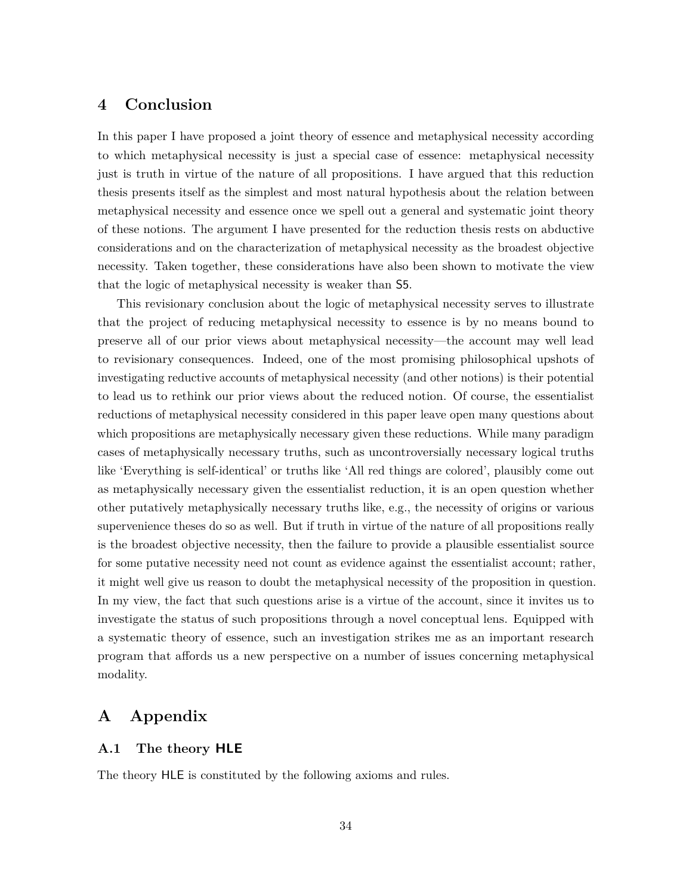## <span id="page-33-0"></span>**4 Conclusion**

In this paper I have proposed a joint theory of essence and metaphysical necessity according to which metaphysical necessity is just a special case of essence: metaphysical necessity just is truth in virtue of the nature of all propositions. I have argued that this reduction thesis presents itself as the simplest and most natural hypothesis about the relation between metaphysical necessity and essence once we spell out a general and systematic joint theory of these notions. The argument I have presented for the reduction thesis rests on abductive considerations and on the characterization of metaphysical necessity as the broadest objective necessity. Taken together, these considerations have also been shown to motivate the view that the logic of metaphysical necessity is weaker than S5.

This revisionary conclusion about the logic of metaphysical necessity serves to illustrate that the project of reducing metaphysical necessity to essence is by no means bound to preserve all of our prior views about metaphysical necessity—the account may well lead to revisionary consequences. Indeed, one of the most promising philosophical upshots of investigating reductive accounts of metaphysical necessity (and other notions) is their potential to lead us to rethink our prior views about the reduced notion. Of course, the essentialist reductions of metaphysical necessity considered in this paper leave open many questions about which propositions are metaphysically necessary given these reductions. While many paradigm cases of metaphysically necessary truths, such as uncontroversially necessary logical truths like 'Everything is self-identical' or truths like 'All red things are colored', plausibly come out as metaphysically necessary given the essentialist reduction, it is an open question whether other putatively metaphysically necessary truths like, e.g., the necessity of origins or various supervenience theses do so as well. But if truth in virtue of the nature of all propositions really is the broadest objective necessity, then the failure to provide a plausible essentialist source for some putative necessity need not count as evidence against the essentialist account; rather, it might well give us reason to doubt the metaphysical necessity of the proposition in question. In my view, the fact that such questions arise is a virtue of the account, since it invites us to investigate the status of such propositions through a novel conceptual lens. Equipped with a systematic theory of essence, such an investigation strikes me as an important research program that affords us a new perspective on a number of issues concerning metaphysical modality.

## **A Appendix**

#### <span id="page-33-1"></span>**A.1 The theory HLE**

The theory HLE is constituted by the following axioms and rules.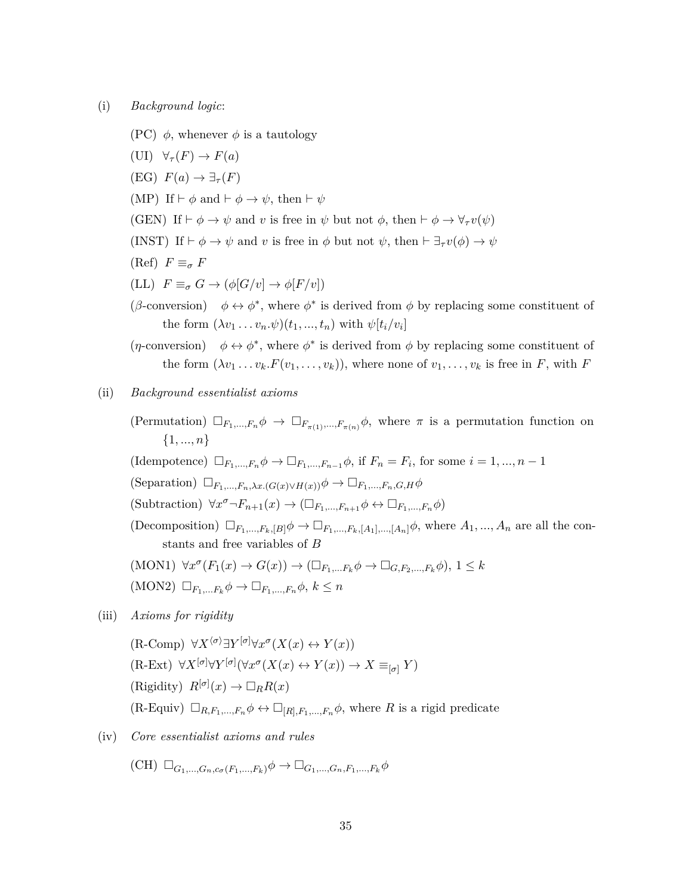(i) *Background logic*:

- (PC)  $\phi$ , whenever  $\phi$  is a tautology
- $(\text{UI})$   $\forall$ <sup>*τ*</sup> $(F)$   $\rightarrow$   $F(a)$  $(FG)$   $F(a) \rightarrow \exists_{\tau}(F)$ (MP) If  $\vdash \phi$  and  $\vdash \phi \rightarrow \psi$ , then  $\vdash \psi$ (GEN) If  $\vdash \phi \rightarrow \psi$  and *v* is free in  $\psi$  but not  $\phi$ , then  $\vdash \phi \rightarrow \forall_{\tau} v(\psi)$ (INST) If  $\vdash \phi \rightarrow \psi$  and *v* is free in  $\phi$  but not  $\psi$ , then  $\vdash \exists_{\tau} v(\phi) \rightarrow \psi$  $(F \equiv \sigma F)$  $(LL)$   $F \equiv_{\sigma} G \rightarrow (\phi[G/v] \rightarrow \phi[F/v])$ (*β*-conversion)  $\phi \leftrightarrow \phi^*$ , where  $\phi^*$  is derived from  $\phi$  by replacing some constituent of the form  $(\lambda v_1 \ldots v_n \cdot \psi)(t_1, \ldots, t_n)$  with  $\psi[t_i/v_i]$  $(\eta$ -conversion)  $\phi \leftrightarrow \phi^*$ , where  $\phi^*$  is derived from  $\phi$  by replacing some constituent of the form  $(\lambda v_1 \ldots v_k.F(v_1, \ldots, v_k))$ , where none of  $v_1, \ldots, v_k$  is free in *F*, with *F*
- (ii) *Background essentialist axioms*
	- (Permutation)  $\Box_{F_1,\dots,F_n}\phi \rightarrow \Box_{F_{\pi(1)},\dots,F_{\pi(n)}}\phi$ , where  $\pi$  is a permutation function on {1*, ..., n*}
	- (Idempotence)  $\Box_{F_1,\dots,F_n}\phi \to \Box_{F_1,\dots,F_{n-1}}\phi$ , if  $F_n = F_i$ , for some  $i = 1, \dots, n-1$
	- $(\text{Separation}) \Box_{F_1,\ldots,F_n,\lambda x. (G(x)\vee H(x))} \phi \rightarrow \Box_{F_1,\ldots,F_n,G,H} \phi$
	- $(\text{Subtraction}) \ \forall x^{\sigma} \neg F_{n+1}(x) \rightarrow (\Box_{F_1, \dots, F_{n+1}} \phi \leftrightarrow \Box_{F_1, \dots, F_n} \phi)$
	- (Decomposition)  $\Box_{F_1,\dots,F_k,[B]}\phi \to \Box_{F_1,\dots,F_k,[A_1],\dots,[A_n]}\phi$ , where  $A_1,\dots,A_n$  are all the constants and free variables of *B*

(MON1) 
$$
\forall x^{\sigma}(F_1(x) \to G(x)) \to (\Box_{F_1,...F_k} \phi \to \Box_{G,F_2,...,F_k} \phi), 1 \leq k
$$
  
(MON2)  $\Box_{F_1,...F_k} \phi \to \Box_{F_1,...,F_n} \phi, k \leq n$ 

- (iii) *Axioms for rigidity*
	- $(R\text{-Comp}) \forall X^{\langle \sigma \rangle} \exists Y^{[\sigma]} \forall x^{\sigma} (X(x) \leftrightarrow Y(x))$  $(K-FXt) \forall X^{\left[\sigma\right]}\forall Y^{\left[\sigma\right]}\left(\forall x^{\sigma}(X(x) \leftrightarrow Y(x))\rightarrow X \equiv_{\left[\sigma\right]} Y\right)$ (Rigidity)  $R^{[\sigma]}(x) \to \Box_R R(x)$  $(R\text{-}Equiv) \square_{R,F_1,\dots,F_n} \phi \leftrightarrow \square_{[R],F_1,\dots,F_n} \phi$ , where *R* is a rigid predicate
- (iv) *Core essentialist axioms and rules*

 $(\text{CH}) \Box_{G_1,...,G_n,c_{\sigma}(F_1,...,F_k)} \phi \rightarrow \Box_{G_1,...,G_n,F_1,...,F_k} \phi$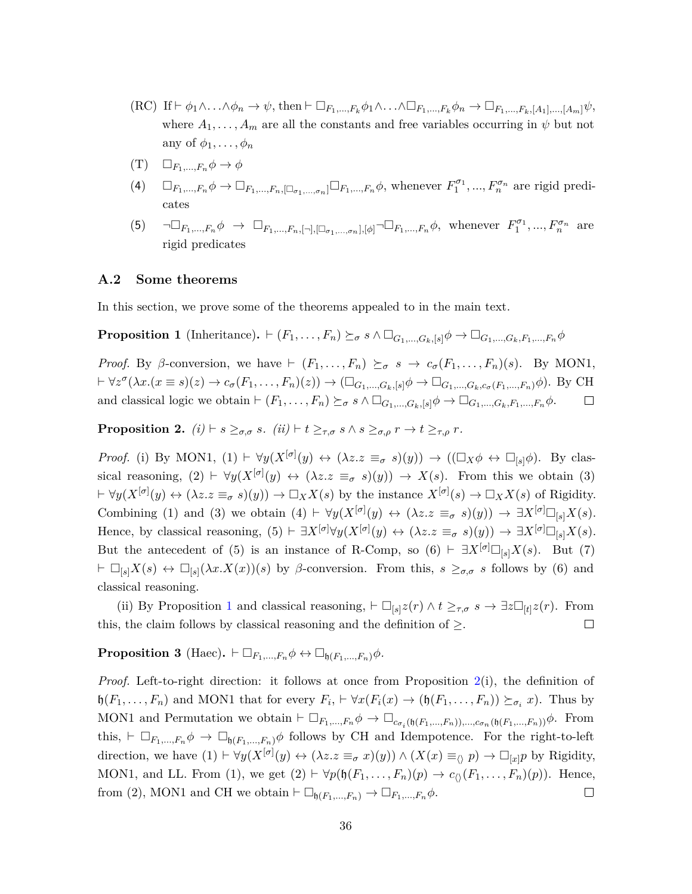- $(RC)$  If  $\vdash \phi_1 \wedge \ldots \wedge \phi_n \to \psi$ , then  $\vdash \Box_{F_1,\ldots,F_k} \phi_1 \wedge \ldots \wedge \Box_{F_1,\ldots,F_k} \phi_n \to \Box_{F_1,\ldots,F_k, [A_1],\ldots,[A_m]} \psi$ , where  $A_1, \ldots, A_m$  are all the constants and free variables occurring in  $\psi$  but not any of  $\phi_1, \ldots, \phi_n$
- $(T)$   $\Box_{F_1,...,F_n}\phi\to\phi$
- (4)  $\Box_{F_1,\dots,F_n}\phi \to \Box_{F_1,\dots,F_n,[\Box_{\sigma_1,\dots,\sigma_n}]} \Box_{F_1,\dots,F_n}\phi$ , whenever  $F_1^{\sigma_1},\dots,F_n^{\sigma_n}$  are rigid predicates
- (5)  $\neg\Box_{F_1,...,F_n}\phi \rightarrow \Box_{F_1,...,F_n,[\neg],[\Box_{\sigma_1,...,\sigma_n}],[\phi]} \neg \Box_{F_1,...,F_n}\phi$ , whenever  $F_1^{\sigma_1},...,F_n^{\sigma_n}$  are rigid predicates

#### <span id="page-35-0"></span>**A.2 Some theorems**

In this section, we prove some of the theorems appealed to in the main text.

<span id="page-35-3"></span>**Proposition 1** (Inheritance).  $\vdash (F_1, \ldots, F_n) \succeq_{\sigma} s \land \Box_{G_1, \ldots, G_k, [s]} \phi \rightarrow \Box_{G_1, \ldots, G_k, F_1, \ldots, F_n} \phi$ 

*Proof.* By *β*-conversion, we have  $\vdash$   $(F_1, \ldots, F_n) \succeq_{\sigma} s \rightarrow c_{\sigma}(F_1, \ldots, F_n)(s)$ . By MON1,  $\vdash \forall z^{\sigma}(\lambda x.(x \equiv s)(z) \rightarrow c_{\sigma}(F_1, \ldots, F_n)(z)) \rightarrow (\Box_{G_1, \ldots, G_k, [s]}\phi \rightarrow \Box_{G_1, \ldots, G_k, c_{\sigma}(F_1, \ldots, F_n)}\phi).$  By CH and classical logic we obtain  $\vdash (F_1, \ldots, F_n) \succeq_{\sigma} s \land \Box_{G_1, \ldots, G_k, [s]} \phi \rightarrow \Box_{G_1, \ldots, G_k, F_1, \ldots, F_n} \phi$ .  $\Box$ 

<span id="page-35-1"></span>**Proposition 2.**  $(i) \vdash s \geq_{\sigma,\sigma} s$ *.*  $(ii) \vdash t \geq_{\tau,\sigma} s \land s \geq_{\sigma,\rho} r \to t \geq_{\tau,\rho} r$ *.* 

*Proof.* (i) By MON1,  $(1) \vdash \forall y (X^{[\sigma]}(y) \leftrightarrow (\lambda z. z \equiv_{\sigma} s)(y)) \rightarrow ((\Box_X \phi \leftrightarrow \Box_{[s]}\phi)$ . By classical reasoning,  $(2) \vdash \forall y (X^{[\sigma]}(y) \leftrightarrow (\lambda z. z \equiv_{\sigma} s)(y)) \rightarrow X(s)$ . From this we obtain (3)  $\forall y(X^{[\sigma]}(y) \leftrightarrow (\lambda z. z \equiv_{\sigma} s)(y)) \rightarrow \Box_X X(s)$  by the instance  $X^{[\sigma]}(s) \rightarrow \Box_X X(s)$  of Rigidity. Combining (1) and (3) we obtain  $(4) \vdash \forall y (X^{[\sigma]}(y) \leftrightarrow (\lambda z. z \equiv_{\sigma} s)(y)) \rightarrow \exists X^{[\sigma]} \square_{[s]} X(s)$ . Hence, by classical reasoning,  $(5) \vdash \exists X^{[\sigma]}\forall y(X^{[\sigma]}(y) \leftrightarrow (\lambda z. z \equiv_{\sigma} s)(y)) \rightarrow \exists X^{[\sigma]}\Box_{[s]}X(s)$ . But the antecedent of (5) is an instance of R-Comp, so  $(6) \vdash \exists X^{[\sigma]} \square_{[s]} X(s)$ . But (7)  $\vdash \Box_{[s]} X(s) \leftrightarrow \Box_{[s]} (\lambda x. X(x))(s)$  by *β*-conversion. From this,  $s \geq_{\sigma,\sigma} s$  follows by (6) and classical reasoning.

(ii) By Proposition [1](#page-35-3) and classical reasoning,  $\vdash \Box_{[s]} z(r) \land t \geq_{\tau,\sigma} s \to \exists z \Box_{[t]} z(r)$ . From this, the claim follows by classical reasoning and the definition of  $\geq$ .  $\Box$ 

<span id="page-35-2"></span>**Proposition 3** (Haec).  $\vdash \Box_{F_1,\ldots,F_n} \phi \leftrightarrow \Box_{\mathfrak{h}(F_1,\ldots,F_n)} \phi$ .

*Proof.* Left-to-right direction: it follows at once from Proposition [2\(](#page-35-1)i), the definition of  $\mathfrak{h}(F_1,\ldots,F_n)$  and MON1 that for every  $F_i$ ,  $\vdash \forall x (F_i(x) \to (\mathfrak{h}(F_1,\ldots,F_n)) \succeq_{\sigma_i} x)$ . Thus by MON1 and Permutation we obtain  $\vdash \Box_{F_1,\ldots,F_n} \phi \rightarrow \Box_{c_{\sigma_i}(\mathfrak{h}(F_1,\ldots,F_n)),\ldots,c_{\sigma_n}(\mathfrak{h}(F_1,\ldots,F_n))}\phi$ . From this,  $\vdash \Box_{F_1,\ldots,F_n} \phi \rightarrow \Box_{\mathfrak{h}(F_1,\ldots,F_n)} \phi$  follows by CH and Idempotence. For the right-to-left direction, we have  $(1) \vdash \forall y (X^{[\sigma]}(y) \leftrightarrow (\lambda z. z \equiv_{\sigma} x)(y)) \wedge (X(x) \equiv_{\langle \rangle} p) \rightarrow \Box_{[x]} p$  by Rigidity, MON1, and LL. From (1), we get  $(2) \vdash \forall p(\mathfrak{h}(F_1, \ldots, F_n)(p) \rightarrow c_{\langle \rangle}(F_1, \ldots, F_n)(p)).$  Hence, from (2), MON1 and CH we obtain  $\vdash \Box_{\mathfrak{h}(F_1,\ldots,F_n)} \to \Box_{F_1,\ldots,F_n}\phi$ .  $\Box$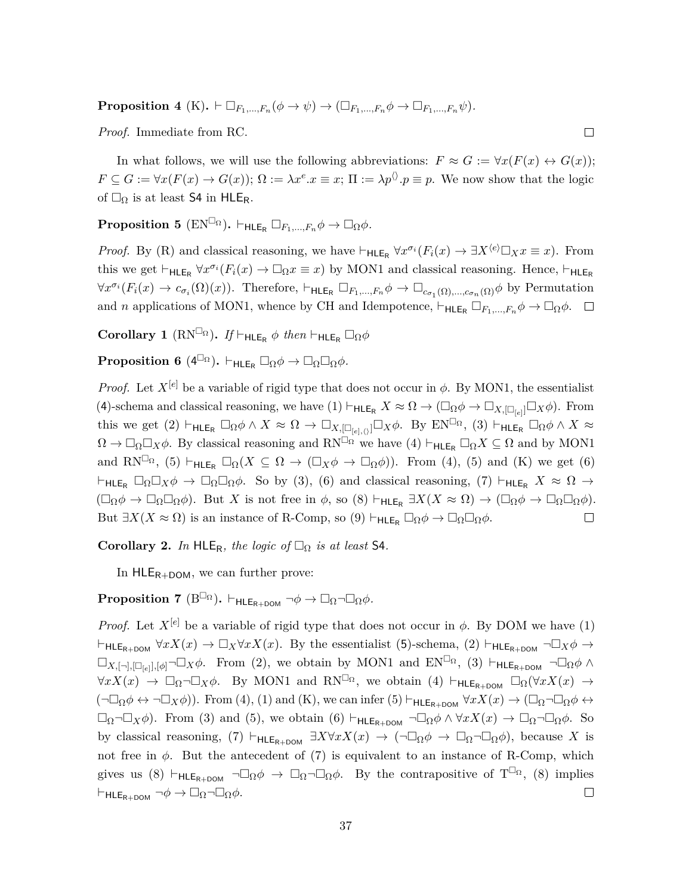**Proposition 4** (K),  $\vdash \Box_{F_1,\ldots,F_n}(\phi \to \psi) \to (\Box_{F_1,\ldots,F_n}\phi \to \Box_{F_1,\ldots,F_n}\psi)$ .

*Proof.* Immediate from RC.

In what follows, we will use the following abbreviations:  $F \approx G := \forall x (F(x) \leftrightarrow G(x));$  $F \subseteq G := \forall x (F(x) \to G(x)); \Omega := \lambda x^e \cdot x \equiv x; \Pi := \lambda p^{\langle \rangle} \cdot p \equiv p.$  We now show that the logic of  $\square_{\Omega}$  is at least **S4** in HLE<sub>R</sub>.

 $\Box$ 

<span id="page-36-0"></span>**Proposition 5** ( $EN^{\Box_{\Omega}}$ ).  $\vdash_{HLE_B} \Box_{F_1,\ldots,F_n} \phi \to \Box_{\Omega} \phi$ .

*Proof.* By (R) and classical reasoning, we have  $\vdash_{\mathsf{HLE}_\mathsf{R}} \forall x^{\sigma_i}(F_i(x) \to \exists X^{\langle e \rangle} \Box_X x \equiv x)$ . From this we get  $\vdash_{HLE_R} \forall x^{\sigma_i}(F_i(x) \to \Box_{\Omega} x \equiv x)$  by MON1 and classical reasoning. Hence,  $\vdash_{HLE_R}$  $\forall x^{\sigma_i}(F_i(x) \to c_{\sigma_i}(\Omega)(x)).$  Therefore,  $\vdash_{\mathsf{HLE}_R} \Box_{F_1,\ldots,F_n} \phi \to \Box_{c_{\sigma_1}(\Omega),\ldots,c_{\sigma_n}(\Omega)} \phi$  by Permutation and *n* applications of MON1, whence by CH and Idempotence,  $\vdash_{\mathsf{HLE}_R} \Box_{F_1,\ldots,F_n} \phi \to \Box_{\Omega} \phi$ .  $\Box$ 

**Corollary 1** ( $RN^{\square_{\Omega}}$ ). If  $\vdash_{HLE_R} \phi$  then  $\vdash_{HLE_R} \square_{\Omega} \phi$ 

<span id="page-36-1"></span> $\textbf{Proposition 6} \ \text{($4}^{\square_{\Omega}}). \vdash_{\textbf{HLE}_R} \square_{\Omega} \phi \rightarrow \square_{\Omega} \square_{\Omega} \phi.$ 

*Proof.* Let  $X^{[e]}$  be a variable of rigid type that does not occur in  $\phi$ . By MON1, the essentialist (4)-schema and classical reasoning, we have  $(1) \vdash_{\mathsf{HLE}_R} X \approx \Omega \to (\Box_{\Omega} \phi \to \Box_{X, [\Box_{[e]}]} \Box_X \phi)$ . From this we get (2)  $\vdash$ HLE<sub>R</sub>  $\Box_{\Omega} \phi \land X \approx \Omega \to \Box_{X, [\Box_{[e], \langle \rangle}]} \Box_X \phi$ . By EN<sup> $\Box_{\Omega}$ </sup>, (3)  $\vdash$ HLE<sub>R</sub>  $\Box_{\Omega} \phi \land X \approx$  $\Omega \to \Box_{\Omega} \Box_X \phi$ . By classical reasoning and RN<sup> $\Box_{\Omega}$ </sup> we have (4)  $\vdash_{\mathsf{HLE}_R} \Box_{\Omega} X \subseteq \Omega$  and by MON1 and RN<sup> $\Box_{\Omega}$ </sup>, (5)  $\vdash$ <sub>HLER</sub>  $\Box_{\Omega}(X \subseteq \Omega \to (\Box_X \phi \to \Box_{\Omega} \phi))$ . From (4), (5) and (K) we get (6)  $\vdash$ HLE<sub>R</sub>  $\Box_{\Omega}\Box_X\phi \rightarrow \Box_{\Omega}\Box_{\Omega}\phi$ . So by (3), (6) and classical reasoning, (7)  $\vdash$ HLE<sub>R</sub>  $X \approx \Omega \rightarrow$  $(\Box_{\Omega} \phi \to \Box_{\Omega} \Box_{\Omega} \phi)$ . But *X* is not free in  $\phi$ , so (8)  $\vdash_{\mathsf{HLE}_R} \exists X(X \approx \Omega) \to (\Box_{\Omega} \phi \to \Box_{\Omega} \Box_{\Omega} \phi)$ . But  $\exists X(X \approx \Omega)$  is an instance of R-Comp, so (9)  $\vdash_{\mathsf{HLE}_R} \Box_{\Omega} \phi \to \Box_{\Omega} \Box_{\Omega} \phi$ .  $\Box$ 

**Corollary 2.** *In* HLE<sub>R</sub>, the logic of  $\Box_{\Omega}$  is at least S4.

In  $HLE_{R+DOM}$ , we can further prove:

**Proposition 7** ( $B^{\Box_{\Omega}}$ ).  $\vdash_{HLE_{R+DOM}} \neg \phi \rightarrow \Box_{\Omega} \neg \Box_{\Omega} \phi$ .

*Proof.* Let  $X^{[e]}$  be a variable of rigid type that does not occur in  $\phi$ . By DOM we have (1)  $\vdash$ HLE<sub>R+DOM</sub>  $\forall x X(x) \rightarrow \Box_X \forall x X(x)$ . By the essentialist (5)-schema, (2)  $\vdash$ HLE<sub>R+DOM</sub>  $\neg \Box_X \phi \rightarrow$  $\Box_{X,[\neg],[\Box_{[e]}],[\phi]}$   $\neg \Box_X \phi$ . From (2), we obtain by MON1 and  $EN^{\Box_{\Omega}}$ , (3)  $\vdash_{HLE_{R+DOM}} \neg \Box_{\Omega} \phi \wedge$  $\forall x X(x) \rightarrow \Box_{\Omega} \neg \Box_X \phi$ . By MON1 and RN<sup> $\Box_{\Omega}$ </sup>, we obtain (4)  $\vdash_{\mathsf{HLE}_{\mathsf{R+DOM}}} \Box_{\Omega}(\forall x X(x) \rightarrow \bot)$  $(\neg \Box_{\Omega} \phi \leftrightarrow \neg \Box_X \phi)$ . From (4), (1) and (K), we can infer (5)  $\vdash_{\mathsf{HLE}_{\mathsf{R+DOM}}} \forall x X(x) \to (\Box_{\Omega} \neg \Box_{\Omega} \phi \leftrightarrow \Diamond X)(x)$  $\Box_{\Omega} \neg \Box_X \phi$ . From (3) and (5), we obtain (6)  $\vdash_{\mathsf{HLE}_{\mathsf{R+DOM}}} \neg \Box_{\Omega} \phi \land \forall x X(x) \to \Box_{\Omega} \neg \Box_{\Omega} \phi$ . So by classical reasoning,  $(7)$   $\vdash_{\mathsf{HLE}_{\mathsf{R+DOM}}} \exists X \forall x X(x) \rightarrow (\neg \Box_{\Omega} \phi \rightarrow \Box_{\Omega} \neg \Box_{\Omega} \phi)$ , because *X* is not free in  $\phi$ . But the antecedent of (7) is equivalent to an instance of R-Comp, which gives us (8)  $\vdash_{\mathsf{HLE}_{\mathsf{R}+\mathsf{DOM}}} \neg \Box_{\Omega} \phi \rightarrow \Box_{\Omega} \neg \Box_{\Omega} \phi$ . By the contrapositive of  $\mathsf{T}^{\Box_{\Omega}}$ , (8) implies  $\vdash$ HLE<sub>R+DOM</sub>  $\neg \phi \rightarrow \Box_{\Omega} \neg \Box_{\Omega} \phi$ .  $\Box$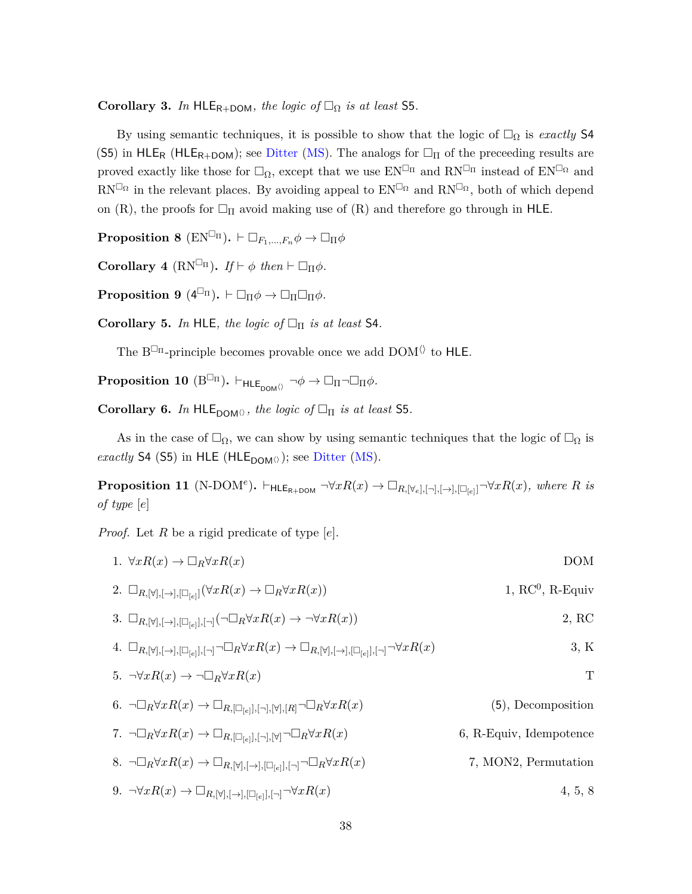**Corollary 3.** *In* HLE<sub>R+DOM</sub>, *the logic of*  $\Box_{\Omega}$  *is at least* S5.

By using semantic techniques, it is possible to show that the logic of  $\Box_{\Omega}$  is *exactly* S4 (S5) in HLE<sub>R</sub> (HLE<sub>R+DOM</sub>); see [Ditter](#page-38-6) [\(MS\)](#page-38-6). The analogs for  $\Box_{\Pi}$  of the preceeding results are proved exactly like those for  $\Box_{\Omega}$ , except that we use  $EN^{\Box_{\Pi}}$  and  $RN^{\Box_{\Pi}}$  instead of  $EN^{\Box_{\Omega}}$  and  $RN^{\Box_{\Omega}}$  in the relevant places. By avoiding appeal to  $EN^{\Box_{\Omega}}$  and  $RN^{\Box_{\Omega}}$ , both of which depend on (R), the proofs for  $\Box_{\Pi}$  avoid making use of (R) and therefore go through in HLE.

**Proposition 8** ( $EN^{\Box_{\Pi}}$ ).  $\vdash \Box_{F_1,\ldots,F_n} \phi \to \Box_{\Pi} \phi$ 

**Corollary 4** ( $RN^{\square_{\Pi}}$ ). *If*  $\vdash \phi$  *then*  $\vdash \square_{\Pi} \phi$ *.* 

 $\textbf{Proposition 9} \ (4^{\Box_{\Pi}}). \ \vdash \Box_{\Pi} \phi \rightarrow \Box_{\Pi} \Box_{\Pi} \phi.$ 

**Corollary 5.** *In* HLE, the logic of  $\Box$  **I** is at least S4.

The  $B^{\Box_{\Pi}}\textrm{-principle becomes provable once we add  $\textrm{DOM} \langle\rangle$  to  $\textrm{HLE}.$$ 

<span id="page-37-0"></span>**Proposition 10** ( $B^{\Box_{\Pi}}$ ).  $\vdash_{HLE_{\text{DOM}\Diamond}} \neg \phi \rightarrow \Box_{\Pi} \neg \Box_{\Pi} \phi$ .

**Corollary 6.** *In*  $HLE_{DOM}\n$ ; *the logic of*  $\Box_{\Pi}$  *is at least* **S5***.* 

As in the case of  $\Box_{\Omega}$ , we can show by using semantic techniques that the logic of  $\Box_{\Omega}$  is *exactly* S4 (S5) in HLE (HLE<sub>DOM( $\rangle$ ); see [Ditter](#page-38-6) [\(MS\)](#page-38-6).</sub>

<span id="page-37-1"></span>**Proposition 11** (N-DOM<sup>e</sup>).  $\vdash$ HLE<sub>R+DOM</sub>  $\neg \forall x R(x) \rightarrow \Box_{R,[\forall_e],[\neg],[\rightarrow],[\Box_{[e]}]} \neg \forall x R(x)$ *, where R is of type* [*e*]

*Proof.* Let *R* be a rigid predicate of type [*e*].

| 1. $\forall x R(x) \rightarrow \Box_R \forall x R(x)$                                                                                                                   | <b>DOM</b>              |
|-------------------------------------------------------------------------------------------------------------------------------------------------------------------------|-------------------------|
| 2. $\Box_{R,[\forall],[\rightarrow],[\Box_{[e]}]}(\forall xR(x) \rightarrow \Box_R \forall xR(x))$                                                                      | $1, RC^0, R$ -Equiv     |
| 3. $\Box_{R,[\forall],[\rightarrow],[\Box_{[e]}],[\neg]}(\neg \Box_R \forall x R(x) \rightarrow \neg \forall x R(x))$                                                   | 2, RC                   |
| 4. $\Box_{R,[\forall],[\rightarrow],[\Box_{[e]}],[\neg]}\neg \Box_R \forall x R(x) \rightarrow \Box_{R,[\forall],[\rightarrow],[\Box_{[e]}],[\neg]}\neg \forall x R(x)$ | 3, K                    |
| 5. $\neg \forall x R(x) \rightarrow \neg \Box_R \forall x R(x)$                                                                                                         | T                       |
| 6. $\neg\Box_R \forall x R(x) \rightarrow \Box_{R, [\Box_{[e]}], [\neg], [\forall], [R]} \neg \Box_R \forall x R(x)$                                                    | $(5)$ , Decomposition   |
| 7. $\neg\Box_R \forall x R(x) \rightarrow \Box_{R, [\Box_{[e]}], [\neg], [\forall]} \neg \Box_R \forall x R(x)$                                                         | 6, R-Equiv, Idempotence |

8.  $\neg\Box_R \forall x R(x) \rightarrow \Box_{R, [\forall], [\rightarrow], [\Box_{[e]}], [\neg]} \neg\Box_R \forall x R(x)$ ]*,*[¬]¬*R*∀*xR*(*x*) 7, MON2, Permutation

 $9. \ \ \neg \forall x R(x) \rightarrow \Box_{R,[\forall],[\rightarrow],[\Box_{[e]}],[\neg]} \neg \forall x R(x)$  4, 5, 8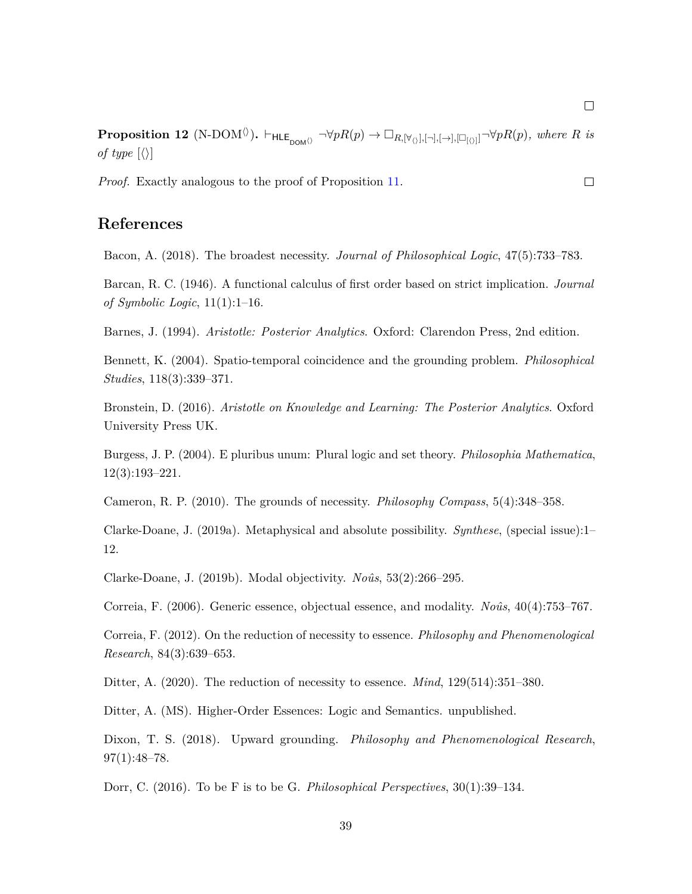<span id="page-38-15"></span> ${\bf Proposition 12 (N-DOM^{\langle\rangle})}.$   $\vdash_{\sf{HLE}_{\sf DOM^{\langle\rangle}}}\neg\forall pR(p)\rightarrow \Box_{R,[\forall_{\langle\rangle}],[\neg],[\rightarrow],[\Box_{[\langle\rangle]}]}\neg\forall pR(p),$  where  $R$  is *of type*  $\langle \rangle$ 

*Proof.* Exactly analogous to the proof of Proposition [11.](#page-37-1)

## **References**

<span id="page-38-12"></span>Bacon, A. (2018). The broadest necessity. *Journal of Philosophical Logic*, 47(5):733–783.

<span id="page-38-9"></span>Barcan, R. C. (1946). A functional calculus of first order based on strict implication. *Journal of Symbolic Logic*, 11(1):1–16.

<span id="page-38-0"></span>Barnes, J. (1994). *Aristotle: Posterior Analytics*. Oxford: Clarendon Press, 2nd edition.

<span id="page-38-11"></span>Bennett, K. (2004). Spatio-temporal coincidence and the grounding problem. *Philosophical Studies*, 118(3):339–371.

<span id="page-38-1"></span>Bronstein, D. (2016). *Aristotle on Knowledge and Learning: The Posterior Analytics*. Oxford University Press UK.

<span id="page-38-8"></span>Burgess, J. P. (2004). E pluribus unum: Plural logic and set theory. *Philosophia Mathematica*, 12(3):193–221.

<span id="page-38-4"></span>Cameron, R. P. (2010). The grounds of necessity. *Philosophy Compass*, 5(4):348–358.

<span id="page-38-13"></span>Clarke-Doane, J. (2019a). Metaphysical and absolute possibility. *Synthese*, (special issue):1– 12.

<span id="page-38-14"></span>Clarke-Doane, J. (2019b). Modal objectivity. *Noˆus*, 53(2):266–295.

<span id="page-38-2"></span>Correia, F. (2006). Generic essence, objectual essence, and modality. *Noûs*, 40(4):753–767.

<span id="page-38-3"></span>Correia, F. (2012). On the reduction of necessity to essence. *Philosophy and Phenomenological Research*, 84(3):639–653.

<span id="page-38-5"></span>Ditter, A. (2020). The reduction of necessity to essence. *Mind*, 129(514):351–380.

<span id="page-38-6"></span>Ditter, A. (MS). Higher-Order Essences: Logic and Semantics. unpublished.

<span id="page-38-10"></span>Dixon, T. S. (2018). Upward grounding. *Philosophy and Phenomenological Research*, 97(1):48–78.

<span id="page-38-7"></span>Dorr, C. (2016). To be F is to be G. *Philosophical Perspectives*, 30(1):39–134.

 $\Box$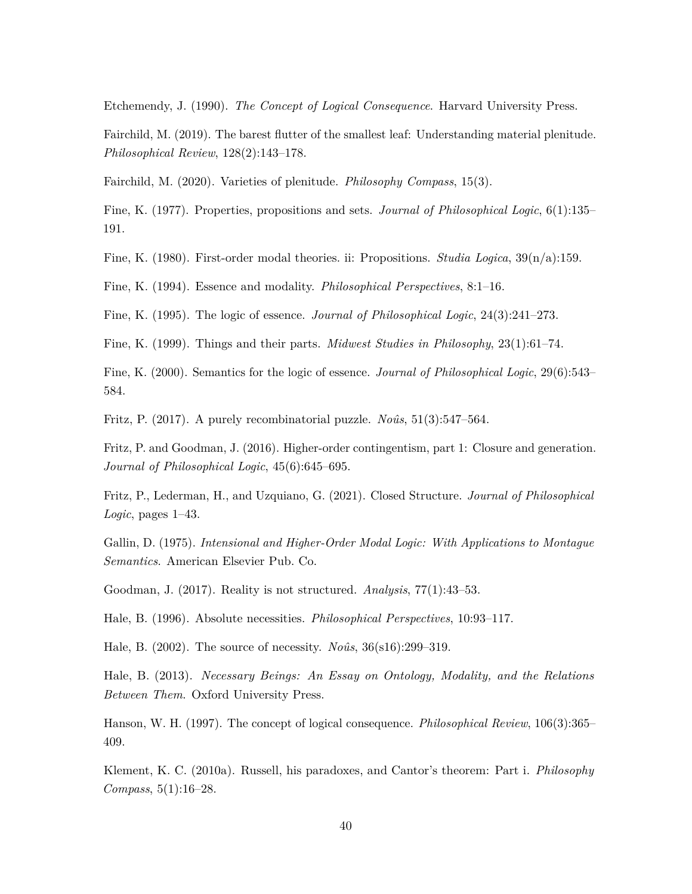<span id="page-39-16"></span>Etchemendy, J. (1990). *The Concept of Logical Consequence*. Harvard University Press.

<span id="page-39-14"></span>Fairchild, M. (2019). The barest flutter of the smallest leaf: Understanding material plenitude. *Philosophical Review*, 128(2):143–178.

<span id="page-39-13"></span>Fairchild, M. (2020). Varieties of plenitude. *Philosophy Compass*, 15(3).

<span id="page-39-8"></span>Fine, K. (1977). Properties, propositions and sets. *Journal of Philosophical Logic*, 6(1):135– 191.

<span id="page-39-6"></span>Fine, K. (1980). First-order modal theories. ii: Propositions. *Studia Logica*, 39(n/a):159.

<span id="page-39-0"></span>Fine, K. (1994). Essence and modality. *Philosophical Perspectives*, 8:1–16.

<span id="page-39-1"></span>Fine, K. (1995). The logic of essence. *Journal of Philosophical Logic*, 24(3):241–273.

<span id="page-39-12"></span>Fine, K. (1999). Things and their parts. *Midwest Studies in Philosophy*, 23(1):61–74.

<span id="page-39-2"></span>Fine, K. (2000). Semantics for the logic of essence. *Journal of Philosophical Logic*, 29(6):543– 584.

<span id="page-39-18"></span>Fritz, P. (2017). A purely recombinatorial puzzle. *Noûs*, 51(3):547–564.

<span id="page-39-11"></span>Fritz, P. and Goodman, J. (2016). Higher-order contingentism, part 1: Closure and generation. *Journal of Philosophical Logic*, 45(6):645–695.

<span id="page-39-9"></span>Fritz, P., Lederman, H., and Uzquiano, G. (2021). Closed Structure. *Journal of Philosophical Logic*, pages 1–43.

<span id="page-39-7"></span>Gallin, D. (1975). *Intensional and Higher-Order Modal Logic: With Applications to Montague Semantics*. American Elsevier Pub. Co.

<span id="page-39-10"></span>Goodman, J. (2017). Reality is not structured. *Analysis*, 77(1):43–53.

<span id="page-39-3"></span>Hale, B. (1996). Absolute necessities. *Philosophical Perspectives*, 10:93–117.

<span id="page-39-4"></span>Hale, B. (2002). The source of necessity. *Noûs*, 36(s16):299–319.

<span id="page-39-5"></span>Hale, B. (2013). *Necessary Beings: An Essay on Ontology, Modality, and the Relations Between Them*. Oxford University Press.

<span id="page-39-17"></span>Hanson, W. H. (1997). The concept of logical consequence. *Philosophical Review*, 106(3):365– 409.

<span id="page-39-15"></span>Klement, K. C. (2010a). Russell, his paradoxes, and Cantor's theorem: Part i. *Philosophy Compass*, 5(1):16–28.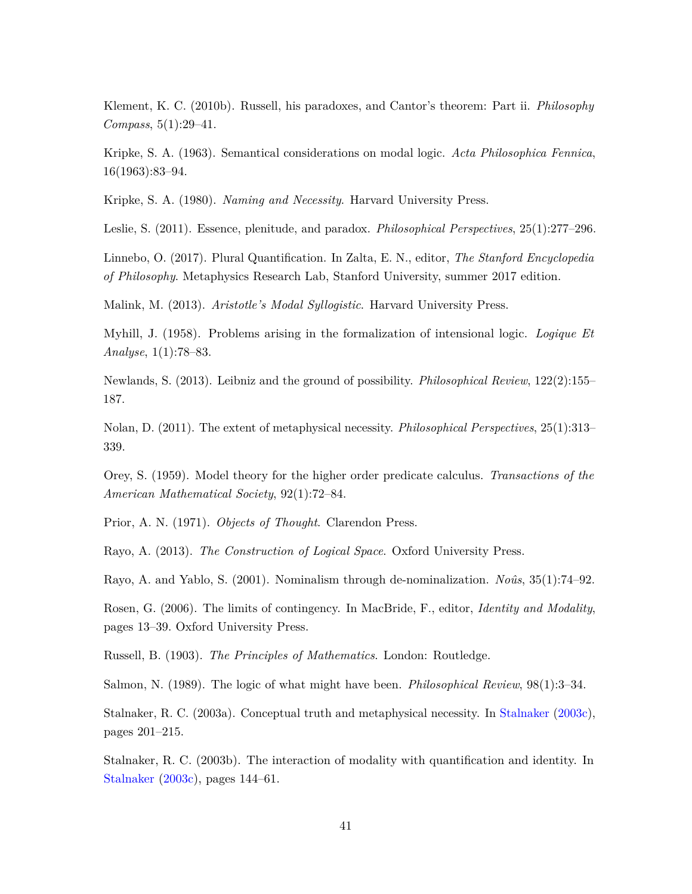<span id="page-40-12"></span>Klement, K. C. (2010b). Russell, his paradoxes, and Cantor's theorem: Part ii. *Philosophy Compass*, 5(1):29–41.

<span id="page-40-7"></span>Kripke, S. A. (1963). Semantical considerations on modal logic. *Acta Philosophica Fennica*, 16(1963):83–94.

<span id="page-40-14"></span>Kripke, S. A. (1980). *Naming and Necessity*. Harvard University Press.

<span id="page-40-10"></span>Leslie, S. (2011). Essence, plenitude, and paradox. *Philosophical Perspectives*, 25(1):277–296.

<span id="page-40-6"></span>Linnebo, O. (2017). Plural Quantification. In Zalta, E. N., editor, *The Stanford Encyclopedia of Philosophy*. Metaphysics Research Lab, Stanford University, summer 2017 edition.

<span id="page-40-0"></span>Malink, M. (2013). *Aristotle's Modal Syllogistic*. Harvard University Press.

<span id="page-40-3"></span>Myhill, J. (1958). Problems arising in the formalization of intensional logic. *Logique Et Analyse*, 1(1):78–83.

<span id="page-40-1"></span>Newlands, S. (2013). Leibniz and the ground of possibility. *Philosophical Review*, 122(2):155– 187.

<span id="page-40-16"></span>Nolan, D. (2011). The extent of metaphysical necessity. *Philosophical Perspectives*, 25(1):313– 339.

<span id="page-40-2"></span>Orey, S. (1959). Model theory for the higher order predicate calculus. *Transactions of the American Mathematical Society*, 92(1):72–84.

<span id="page-40-4"></span>Prior, A. N. (1971). *Objects of Thought*. Clarendon Press.

<span id="page-40-17"></span>Rayo, A. (2013). *The Construction of Logical Space*. Oxford University Press.

<span id="page-40-5"></span>Rayo, A. and Yablo, S. (2001). Nominalism through de-nominalization. *Noûs*, 35(1):74–92.

<span id="page-40-13"></span>Rosen, G. (2006). The limits of contingency. In MacBride, F., editor, *Identity and Modality*, pages 13–39. Oxford University Press.

<span id="page-40-11"></span>Russell, B. (1903). *The Principles of Mathematics*. London: Routledge.

<span id="page-40-9"></span>Salmon, N. (1989). The logic of what might have been. *Philosophical Review*, 98(1):3–34.

<span id="page-40-15"></span>Stalnaker, R. C. (2003a). Conceptual truth and metaphysical necessity. In [Stalnaker](#page-41-15) [\(2003c\)](#page-41-15), pages 201–215.

<span id="page-40-8"></span>Stalnaker, R. C. (2003b). The interaction of modality with quantification and identity. In [Stalnaker](#page-41-15) [\(2003c\)](#page-41-15), pages 144–61.